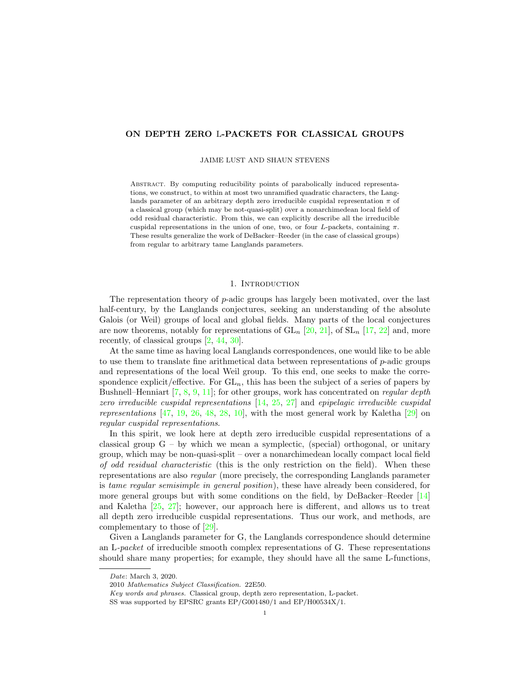# <span id="page-0-0"></span>ON DEPTH ZERO L-PACKETS FOR CLASSICAL GROUPS

#### JAIME LUST AND SHAUN STEVENS

Abstract. By computing reducibility points of parabolically induced representations, we construct, to within at most two unramified quadratic characters, the Langlands parameter of an arbitrary depth zero irreducible cuspidal representation  $\pi$  of a classical group (which may be not-quasi-split) over a nonarchimedean local field of odd residual characteristic. From this, we can explicitly describe all the irreducible cuspidal representations in the union of one, two, or four L-packets, containing  $\pi$ . These results generalize the work of DeBacker–Reeder (in the case of classical groups) from regular to arbitrary tame Langlands parameters.

### 1. INTRODUCTION

The representation theory of p-adic groups has largely been motivated, over the last half-century, by the Langlands conjectures, seeking an understanding of the absolute Galois (or Weil) groups of local and global fields. Many parts of the local conjectures are now theorems, notably for representations of  $GL_n$  [\[20,](#page-37-0) [21\]](#page-37-1), of  $SL_n$  [\[17,](#page-37-2) [22\]](#page-37-3) and, more recently, of classical groups [\[2,](#page-36-0) [44,](#page-38-0) [30\]](#page-37-4).

At the same time as having local Langlands correspondences, one would like to be able to use them to translate fine arithmetical data between representations of  $p$ -adic groups and representations of the local Weil group. To this end, one seeks to make the correspondence explicit/effective. For  $GL_n$ , this has been the subject of a series of papers by Bushnell–Henniart  $[7, 8, 9, 11]$  $[7, 8, 9, 11]$  $[7, 8, 9, 11]$  $[7, 8, 9, 11]$  $[7, 8, 9, 11]$  $[7, 8, 9, 11]$  $[7, 8, 9, 11]$ ; for other groups, work has concentrated on *regular depth* zero irreducible cuspidal representations  $[14, 25, 27]$  $[14, 25, 27]$  $[14, 25, 27]$  $[14, 25, 27]$  $[14, 25, 27]$  and epipelagic irreducible cuspidal representations  $[47, 19, 26, 48, 28, 10]$  $[47, 19, 26, 48, 28, 10]$  $[47, 19, 26, 48, 28, 10]$  $[47, 19, 26, 48, 28, 10]$  $[47, 19, 26, 48, 28, 10]$  $[47, 19, 26, 48, 28, 10]$  $[47, 19, 26, 48, 28, 10]$  $[47, 19, 26, 48, 28, 10]$  $[47, 19, 26, 48, 28, 10]$  $[47, 19, 26, 48, 28, 10]$  $[47, 19, 26, 48, 28, 10]$ , with the most general work by Kaletha  $[29]$  on regular cuspidal representations.

In this spirit, we look here at depth zero irreducible cuspidal representations of a classical group  $G - by$  which we mean a symplectic, (special) orthogonal, or unitary group, which may be non-quasi-split – over a nonarchimedean locally compact local field of odd residual characteristic (this is the only restriction on the field). When these representations are also regular (more precisely, the corresponding Langlands parameter is tame regular semisimple in general position), these have already been considered, for more general groups but with some conditions on the field, by DeBacker–Reeder [\[14\]](#page-37-5) and Kaletha [\[25,](#page-37-6) [27\]](#page-37-7); however, our approach here is different, and allows us to treat all depth zero irreducible cuspidal representations. Thus our work, and methods, are complementary to those of [\[29\]](#page-37-11).

Given a Langlands parameter for G, the Langlands correspondence should determine an L-packet of irreducible smooth complex representations of G. These representations should share many properties; for example, they should have all the same L-functions,

Date: March 3, 2020.

<sup>2010</sup> Mathematics Subject Classification. 22E50.

Key words and phrases. Classical group, depth zero representation, L-packet.

SS was supported by EPSRC grants EP/G001480/1 and EP/H00534X/1.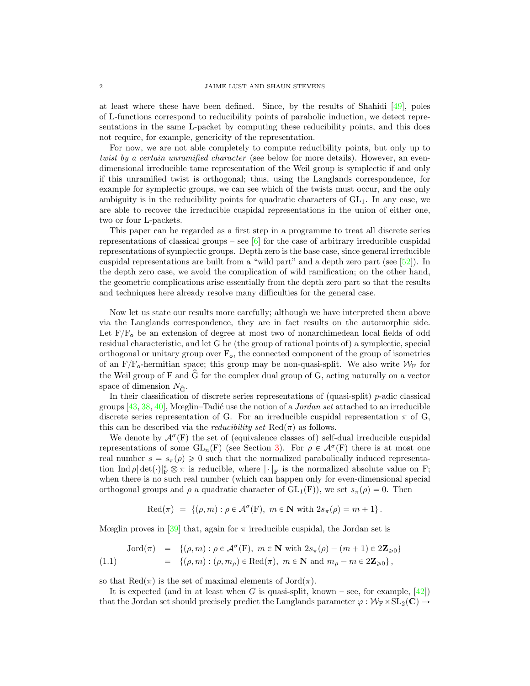at least where these have been defined. Since, by the results of Shahidi [\[49\]](#page-38-3), poles of L-functions correspond to reducibility points of parabolic induction, we detect representations in the same L-packet by computing these reducibility points, and this does not require, for example, genericity of the representation.

For now, we are not able completely to compute reducibility points, but only up to twist by a certain unramified character (see below for more details). However, an evendimensional irreducible tame representation of the Weil group is symplectic if and only if this unramified twist is orthogonal; thus, using the Langlands correspondence, for example for symplectic groups, we can see which of the twists must occur, and the only ambiguity is in the reducibility points for quadratic characters of  $GL<sub>1</sub>$ . In any case, we are able to recover the irreducible cuspidal representations in the union of either one, two or four L-packets.

This paper can be regarded as a first step in a programme to treat all discrete series representations of classical groups – see  $[6]$  for the case of arbitrary irreducible cuspidal representations of symplectic groups. Depth zero is the base case, since general irreducible cuspidal representations are built from a "wild part" and a depth zero part (see  $[52]$ ). In the depth zero case, we avoid the complication of wild ramification; on the other hand, the geometric complications arise essentially from the depth zero part so that the results and techniques here already resolve many difficulties for the general case.

Now let us state our results more carefully; although we have interpreted them above via the Langlands correspondence, they are in fact results on the automorphic side. Let  $F/F<sub>o</sub>$  be an extension of degree at most two of nonarchimedean local fields of odd residual characteristic, and let G be (the group of rational points of) a symplectic, special orthogonal or unitary group over  $F_{\rm o}$ , the connected component of the group of isometries of an F/F<sub>o</sub>-hermitian space; this group may be non-quasi-split. We also write  $W_F$  for the Weil group of F and G for the complex dual group of G, acting naturally on a vector <sup>p</sup> space of dimension  $N_{\hat{G}}$ .

In their classification of discrete series representations of (quasi-split)  $p$ -adic classical groups  $[43, 38, 40]$  $[43, 38, 40]$  $[43, 38, 40]$  $[43, 38, 40]$  $[43, 38, 40]$ , Mœglin–Tadić use the notion of a *Jordan set* attached to an irreducible discrete series representation of G. For an irreducible cuspidal representation  $\pi$  of G, this can be described via the *reducibility set*  $\text{Red}(\pi)$  as follows.

We denote by  $\mathcal{A}^{\sigma}(F)$  the set of (equivalence classes of) self-dual irreducible cuspidal representations of some  $GL_n(F)$  (see Section [3\)](#page-8-0). For  $\rho \in \mathcal{A}^\sigma(F)$  there is at most one real number  $s = s_\pi(\rho) \geq 0$  such that the normalized parabolically induced representation Ind  $\rho | \det(\cdot)|_F^s \otimes \pi$  is reducible, where  $|\cdot|_F$  is the normalized absolute value on F; when there is no such real number (which can happen only for even-dimensional special orthogonal groups and  $\rho$  a quadratic character of  $GL_1(F)$ , we set  $s_{\pi}(\rho) = 0$ . Then

$$
Red(\pi) = \{(\rho, m) : \rho \in \mathcal{A}^{\sigma}(F), m \in \mathbf{N} \text{ with } 2s_{\pi}(\rho) = m + 1\}.
$$

Mœglin proves in [\[39\]](#page-37-14) that, again for  $\pi$  irreducible cuspidal, the Jordan set is

<span id="page-1-0"></span>
$$
\begin{array}{rcl}\n\text{Jord}(\pi) & = & \{(\rho, m) : \rho \in \mathcal{A}^{\sigma}(\mathcal{F}), \ m \in \mathbb{N} \ \text{with} \ 2s_{\pi}(\rho) - (m+1) \in 2\mathbb{Z}_{\geqslant 0}\} \\
& = & \{(\rho, m) : (\rho, m_{\rho}) \in \text{Red}(\pi), \ m \in \mathbb{N} \ \text{and} \ m_{\rho} - m \in 2\mathbb{Z}_{\geqslant 0}\},\n\end{array}
$$

so that  $\text{Red}(\pi)$  is the set of maximal elements of  $\text{Jord}(\pi)$ .

It is expected (and in at least when G is quasi-split, known – see, for example,  $[42]$ ) that the Jordan set should precisely predict the Langlands parameter  $\varphi : \mathcal{W}_{F} \times SL_2(\mathbb{C}) \rightarrow$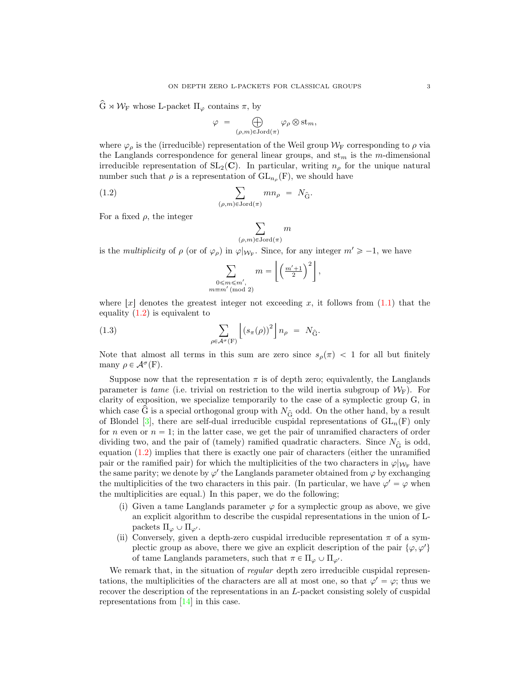$\widehat{G}\rtimes\mathcal{W}_F$  whose L-packet  $\Pi_\varphi$  contains  $\pi,$  by

$$
\varphi = \bigoplus_{(\rho,m)\in \text{Jord}(\pi)} \varphi_{\rho} \otimes \text{st}_{m},
$$

where  $\varphi_{\rho}$  is the (irreducible) representation of the Weil group  $\mathcal{W}_{\mathrm{F}}$  corresponding to  $\rho$  via the Langlands correspondence for general linear groups, and  $st_m$  is the m-dimensional irreducible representation of  $SL_2(\mathbb{C})$ . In particular, writing  $n_\rho$  for the unique natural number such that  $\rho$  is a representation of  $GL_{n_{\rho}}(F)$ , we should have

(1.2) 
$$
\sum_{(\rho,m)\in \text{Jord}(\pi)} mn_{\rho} = N_{\hat{G}}.
$$

For a fixed  $\rho$ , the integer

<span id="page-2-0"></span>
$$
\sum_{(\rho,m)\in{\rm Jord}(\pi)}m
$$

is the *multiplicity* of  $\rho$  (or of  $\varphi_{\rho}$ ) in  $\varphi|_{\mathcal{W}_{F}}$ . Since, for any integer  $m' \geq -1$ , we have

$$
\sum_{\substack{0 \le m \le m', \\ \equiv m' \pmod{2}}} m = \left\lfloor \left(\frac{m'+1}{2}\right)^2 \right\rfloor,
$$

where  $|x|$  denotes the greatest integer not exceeding x, it follows from [\(1.1\)](#page-1-0) that the equality  $(1.2)$  is equivalent to **Y** ]

(1.3) 
$$
\sum_{\rho \in \mathcal{A}^{\sigma}(\mathbf{F})} \left[ \left( s_{\pi}(\rho) \right)^{2} \right] n_{\rho} = N_{\hat{\mathbf{G}}}.
$$

<span id="page-2-1"></span> $\overline{m}$ 

Note that almost all terms in this sum are zero since  $s_\rho(\pi) < 1$  for all but finitely many  $\rho \in \mathcal{A}^{\sigma}(\mathbf{F}).$ 

Suppose now that the representation  $\pi$  is of depth zero; equivalently, the Langlands parameter is tame (i.e. trivial on restriction to the wild inertia subgroup of  $\mathcal{W}_{\mathcal{F}}$ ). For clarity of exposition, we specialize temporarily to the case of a symplectic group G, in which case G is a special orthogonal group with  $N_{\hat{G}}$  odd. On the other hand, by a result of Blondel [\[3\]](#page-36-7), there are self-dual irreducible cuspidal representations of  $GL_n(F)$  only for n even or  $n = 1$ ; in the latter case, we get the pair of unramified characters of order dividing two, and the pair of (tamely) ramified quadratic characters. Since  $N_{\hat{G}}$  is odd, equation [\(1.2\)](#page-2-0) implies that there is exactly one pair of characters (either the unramified pair or the ramified pair) for which the multiplicities of the two characters in  $\varphi|_{\mathcal{W}_{\mathbb{F}}}$  have the same parity; we denote by  $\varphi'$  the Langlands parameter obtained from  $\varphi$  by exchanging the multiplicities of the two characters in this pair. (In particular, we have  $\varphi' = \varphi$  when the multiplicities are equal.) In this paper, we do the following;

- (i) Given a tame Langlands parameter  $\varphi$  for a symplectic group as above, we give an explicit algorithm to describe the cuspidal representations in the union of Lpackets  $\Pi_{\varphi} \cup \Pi_{\varphi'}$ .
- (ii) Conversely, given a depth-zero cuspidal irreducible representation  $\pi$  of a symplectic group as above, there we give an explicit description of the pair  $\{\varphi, \varphi'\}$ of tame Langlands parameters, such that  $\pi \in \Pi_{\varphi} \cup \Pi_{\varphi'}$ .

We remark that, in the situation of *regular* depth zero irreducible cuspidal representations, the multiplicities of the characters are all at most one, so that  $\varphi' = \varphi$ ; thus we recover the description of the representations in an L-packet consisting solely of cuspidal representations from [\[14\]](#page-37-5) in this case.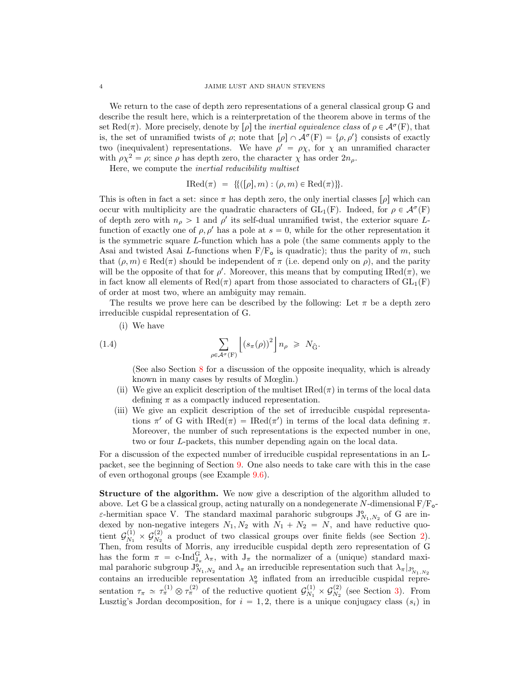We return to the case of depth zero representations of a general classical group G and describe the result here, which is a reinterpretation of the theorem above in terms of the set Red( $\pi$ ). More precisely, denote by  $[\rho]$  the *inertial equivalence class* of  $\rho \in \mathcal{A}^{\sigma}(\mathbb{F})$ , that is, the set of unramified twists of  $\rho$ ; note that  $[\rho] \cap \mathcal{A}^{\sigma}(F) = {\rho, \rho'}$  consists of exactly two (inequivalent) representations. We have  $\rho' = \rho \chi$ , for  $\chi$  an unramified character with  $\rho \chi^2 = \rho$ ; since  $\rho$  has depth zero, the character  $\chi$  has order  $2n_\rho$ .

Here, we compute the inertial reducibility multiset

$$
IRed(\pi) = \{ (([\rho], m) : (\rho, m) \in Red(\pi) \} \}.
$$

This is often in fact a set: since  $\pi$  has depth zero, the only inertial classes  $[\rho]$  which can occur with multiplicity are the quadratic characters of  $GL_1(F)$ . Indeed, for  $\rho \in \mathcal{A}^{\sigma}(F)$ of depth zero with  $n_{\rho} > 1$  and  $\rho'$  its self-dual unramified twist, the exterior square Lfunction of exactly one of  $\rho$ ,  $\rho'$  has a pole at  $s = 0$ , while for the other representation it is the symmetric square L-function which has a pole (the same comments apply to the Asai and twisted Asai L-functions when  $F/F<sub>o</sub>$  is quadratic); thus the parity of m, such that  $(\rho, m) \in \text{Red}(\pi)$  should be independent of  $\pi$  (i.e. depend only on  $\rho$ ), and the parity will be the opposite of that for  $\rho'$ . Moreover, this means that by computing IRed $(\pi)$ , we in fact know all elements of Red $(\pi)$  apart from those associated to characters of  $GL_1(F)$ of order at most two, where an ambiguity may remain.

The results we prove here can be described by the following: Let  $\pi$  be a depth zero irreducible cuspidal representation of G.

<span id="page-3-0"></span>**Y** 

(i) We have

(1.4) 
$$
\sum_{\rho \in \mathcal{A}^{\sigma}(\mathbf{F})} \left[ \left( s_{\pi}(\rho) \right)^2 \right] n_{\rho} \geq N_{\hat{\mathbf{G}}}.
$$

(See also Section [8](#page-25-0) for a discussion of the opposite inequality, which is already known in many cases by results of Mœglin.)

]

- (ii) We give an explicit description of the multiset  $\text{IRed}(\pi)$  in terms of the local data defining  $\pi$  as a compactly induced representation.
- (iii) We give an explicit description of the set of irreducible cuspidal representations  $\pi'$  of G with  $\text{IRed}(\pi) = \text{IRed}(\pi')$  in terms of the local data defining  $\pi$ . Moreover, the number of such representations is the expected number in one, two or four L-packets, this number depending again on the local data.

For a discussion of the expected number of irreducible cuspidal representations in an Lpacket, see the beginning of Section [9.](#page-29-0) One also needs to take care with this in the case of even orthogonal groups (see Example [9.6\)](#page-34-0).

Structure of the algorithm. We now give a description of the algorithm alluded to above. Let G be a classical group, acting naturally on a nondegenerate N-dimensional  $F/F_{o}$ - $\varepsilon$ -hermitian space V. The standard maximal parahoric subgroups  $J_{N_1,N_2}^{\circ}$  of G are indexed by non-negative integers  $N_1, N_2$  with  $N_1 + N_2 = N$ , and have reductive quotient  $\mathcal{G}_{N_1}^{(1)}$  $\frac{\mathcal{G}(1)}{N_1}\times\mathcal{G}_{N_2}^{(2)}$  $\frac{N_2}{N_2}$  a product of two classical groups over finite fields (see Section [2\)](#page-5-0). Then, from results of Morris, any irreducible cuspidal depth zero representation of G has the form  $\pi = c$ -Ind ${}_{J_{\pi}}^{G} \lambda_{\pi}$ , with  $J_{\pi}$  the normalizer of a (unique) standard maximal parahoric subgroup  $J^{\circ}_{N_1,N_2}$  and  $\lambda_{\pi}$  an irreducible representation such that  $\lambda_{\pi}|_{J^{\circ}_{N_1,N_2}}$ contains an irreducible representation  $\lambda_{\pi}^{\circ}$  inflated from an irreducible cuspidal representation  $\tau_{\pi} \simeq \tau_{\pi}^{(1)} \otimes \tau_{\pi}^{(2)}$  of the reductive quotient  $\mathcal{G}_{N_1}^{(1)}$  $\frac{\mathcal{G}(1)}{N_1}\times\mathcal{G}_{N_2}^{(2)}$  $\frac{N^{(2)}}{N_2}$  (see Section [3\)](#page-8-0). From Lusztig's Jordan decomposition, for  $i = 1, 2$ , there is a unique conjugacy class  $(s_i)$  in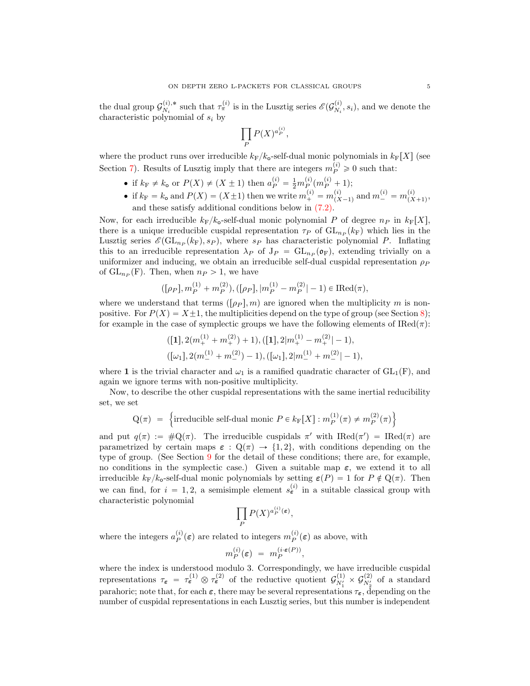the dual group  $\mathcal{G}_{N_i}^{(i),*}$  $\zeta_{N_i}^{(i),*}$  such that  $\tau_{\pi}^{(i)}$  is in the Lusztig series  $\mathscr{E}(\mathcal{G}_{N_i}^{(i)})$  $\mathcal{N}_i^{(i)}$ ,  $s_i$ , and we denote the characteristic polynomial of  $s_i$  by

$$
\prod_P P(X)^{a_P^{(i)}},
$$

where the product runs over irreducible  $k_F/k_o$ -self-dual monic polynomials in  $k_F[X]$  (see Section [7\)](#page-14-0). Results of Lusztig imply that there are integers  $m_P^{(i)} \geq 0$  such that:

- if  $k_F \neq k_o$  or  $P(X) \neq (X \pm 1)$  then  $a_P^{(i)} = \frac{1}{2} m_P^{(i)} (m_P^{(i)} + 1);$
- if  $k_F = k_o$  and  $P(X) = (X \pm 1)$  then we write  $m_+^{(i)} = m_{(X)}^{(i)}$  $\binom{i}{(X-1)}$  and  $m_{-}^{(i)} = m_{(X)}^{(i)}$  $\frac{(i)}{(X+1)},$ and these satisfy additional conditions below in [\(7.2\).](#page-0-0)

Now, for each irreducible  $k_F/k_o$ -self-dual monic polynomial P of degree  $n_P$  in  $k_F[X]$ , there is a unique irreducible cuspidal representation  $\tau_P$  of  $GL_{n_P}(k_F)$  which lies in the Lusztig series  $\mathscr{E}(\mathrm{GL}_{n_P}(k_F), s_P)$ , where  $s_P$  has characteristic polynomial P. Inflating this to an irreducible representation  $\lambda_P$  of  $J_P = GL_{n_P}(\mathfrak{o}_F)$ , extending trivially on a uniformizer and inducing, we obtain an irreducible self-dual cuspidal representation  $\rho_P$ of  $GL_{n_P}(F)$ . Then, when  $n_P > 1$ , we have

$$
([\rho_P], m_P^{(1)} + m_P^{(2)}), ([\rho_P], |m_P^{(1)} - m_P^{(2)}| - 1) \in \text{IRed}(\pi),
$$

where we understand that terms  $(\rho_P, m)$  are ignored when the multiplicity m is nonpositive. For  $P(X) = X \pm 1$ , the multiplicities depend on the type of group (see Section [8\)](#page-25-0); for example in the case of symplectic groups we have the following elements of  $\text{IRed}(\pi)$ :

$$
\begin{aligned} & ([\mathbf{1}], 2(m_+^{(1)} + m_+^{(2)}) + 1), ([\mathbf{1}], 2|m_+^{(1)} - m_+^{(2)}| - 1), \\ & ([\omega_1], 2(m_-^{(1)} + m_-^{(2)}) - 1), ([\omega_1], 2|m_-^{(1)} + m_-^{(2)}| - 1), \end{aligned}
$$

where 1 is the trivial character and  $\omega_1$  is a ramified quadratic character of  $GL_1(F)$ , and again we ignore terms with non-positive multiplicity.

Now, to describe the other cuspidal representations with the same inertial reducibility set, we set  $\mathbf{r}$ 

$$
Q(\pi) = \left\{\text{irreducible self-dual monic } P \in k_{\mathbb{F}}[X] : m_P^{(1)}(\pi) \neq m_P^{(2)}(\pi) \right\}
$$

and put  $q(\pi) := \#Q(\pi)$ . The irreducible cuspidals  $\pi'$  with IRed $(\pi') = \text{IRed}(\pi)$  are parametrized by certain maps  $\varepsilon : \mathbb{Q}(\pi) \to \{1, 2\}$ , with conditions depending on the type of group. (See Section [9](#page-29-0) for the detail of these conditions; there are, for example, no conditions in the symplectic case.) Given a suitable map  $\varepsilon$ , we extend it to all irreducible  $k_F/k_o$ -self-dual monic polynomials by setting  $\varepsilon(P) = 1$  for  $P \notin \mathcal{Q}(\pi)$ . Then we can find, for  $i = 1, 2$ , a semisimple element  $s_{\epsilon}^{(i)}$  in a suitable classical group with characteristic polynomial

$$
\prod_P P(X)^{a_P^{(i)}(\varepsilon)},
$$

where the integers  $a_P^{(i)}(\varepsilon)$  are related to integers  $m_P^{(i)}(\varepsilon)$  as above, with

$$
m_P^{(i)}(\varepsilon) = m_P^{(i \cdot \varepsilon(P))},
$$

where the index is understood modulo 3. Correspondingly, we have irreducible cuspidal representations  $\tau_{\epsilon} = \tau_{\epsilon}^{(1)} \otimes \tau_{\epsilon}^{(2)}$  of the reductive quotient  $\mathcal{G}_{N_1'}^{(1)} \times \mathcal{G}_{N_2'}^{(2)}$  of a standard parahoric; note that, for each  $\varepsilon$ , there may be several representations  $\tau_{\varepsilon}$ , depending on the number of cuspidal representations in each Lusztig series, but this number is independent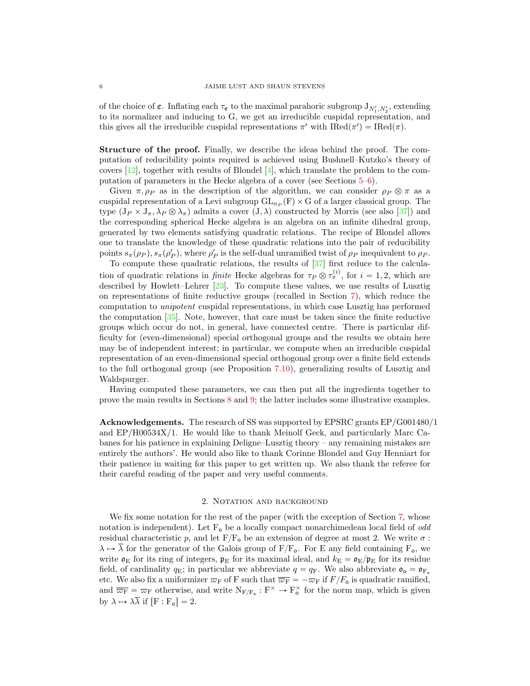of the choice of  $\varepsilon$ . Inflating each  $\tau_{\varepsilon}$  to the maximal parahoric subgroup  $J_{N'_1,N'_2}$ , extending to its normalizer and inducing to G, we get an irreducible cuspidal representation, and this gives all the irreducible cuspidal representations  $\pi'$  with  $\text{IRed}(\pi') = \text{IRed}(\pi)$ .

Structure of the proof. Finally, we describe the ideas behind the proof. The computation of reducibility points required is achieved using Bushnell–Kutzko's theory of covers  $[12]$ , together with results of Blondel  $[4]$ , which translate the problem to the computation of parameters in the Hecke algebra of a cover (see Sections [5–](#page-11-0)[6\)](#page-12-0).

Given  $\pi, \rho_P$  as in the description of the algorithm, we can consider  $\rho_P \otimes \pi$  as a cuspidal representation of a Levi subgroup  $GL_{n_P}(F) \times G$  of a larger classical group. The type  $(J_P \times J_\pi, \lambda_P \otimes \lambda_\pi)$  admits a cover  $(J, \lambda)$  constructed by Morris (see also [\[37\]](#page-37-16)) and the corresponding spherical Hecke algebra is an algebra on an infinite dihedral group, generated by two elements satisfying quadratic relations. The recipe of Blondel allows one to translate the knowledge of these quadratic relations into the pair of reducibility points  $s_{\pi}(\rho_P), s_{\pi}(\rho_P')$ , where  $\rho_P'$  is the self-dual unramified twist of  $\rho_P$  inequivalent to  $\rho_P$ .

To compute these quadratic relations, the results of [\[37\]](#page-37-16) first reduce to the calculation of quadratic relations in *finite* Hecke algebras for  $\tau_P \otimes \tau_{\pi}^{(i)}$ , for  $i = 1, 2$ , which are described by Howlett–Lehrer [\[23\]](#page-37-17). To compute these values, we use results of Lusztig on representations of finite reductive groups (recalled in Section [7\)](#page-14-0), which reduce the computation to unipotent cuspidal representations, in which case Lusztig has performed the computation [\[35\]](#page-37-18). Note, however, that care must be taken since the finite reductive groups which occur do not, in general, have connected centre. There is particular difficulty for (even-dimensional) special orthogonal groups and the results we obtain here may be of independent interest; in particular, we compute when an irreducible cuspidal representation of an even-dimensional special orthogonal group over a finite field extends to the full orthogonal group (see Proposition [7.10\)](#page-22-0), generalizing results of Lusztig and Waldspurger.

Having computed these parameters, we can then put all the ingredients together to prove the main results in Sections [8](#page-25-0) and [9;](#page-29-0) the latter includes some illustrative examples.

Acknowledgements. The research of SS was supported by EPSRC grants EP/G001480/1 and EP/H00534X/1. He would like to thank Meinolf Geck, and particularly Marc Cabanes for his patience in explaining Deligne–Lusztig theory – any remaining mistakes are entirely the authors'. He would also like to thank Corinne Blondel and Guy Henniart for their patience in waiting for this paper to get written up. We also thank the referee for their careful reading of the paper and very useful comments.

## 2. NOTATION AND BACKGROUND

<span id="page-5-0"></span>We fix some notation for the rest of the paper (with the exception of Section [7,](#page-14-0) whose notation is independent). Let  $F_{o}$  be a locally compact nonarchimedean local field of *odd* residual characteristic p, and let  $F/F<sub>o</sub>$  be an extension of degree at most 2. We write  $\sigma$ :  $\lambda \mapsto \lambda$  for the generator of the Galois group of  $F/F_o$ . For E any field containing  $F_o$ , we write  $\mathfrak{o}_E$  for its ring of integers,  $\mathfrak{p}_E$  for its maximal ideal, and  $k_E = \mathfrak{o}_E/\mathfrak{p}_E$  for its residue field, of cardinality  $q_E$ ; in particular we abbreviate  $q = q_F$ . We also abbreviate  $\mathfrak{o}_o = \mathfrak{o}_{F_o}$ etc. We also fix a uniformizer  $\varpi_F$  of F such that  $\overline{\varpi_F} = -\varpi_F$  if  $F/F_o$  is quadratic ramified, and  $\overline{\varpi_F} = \varpi_F$  otherwise, and write  $N_{F/F_o}: F^{\times} \to F_o^{\times}$  for the norm map, which is given by  $\lambda \mapsto \lambda \overline{\lambda}$  if  $[F : F_{\alpha}] = 2$ .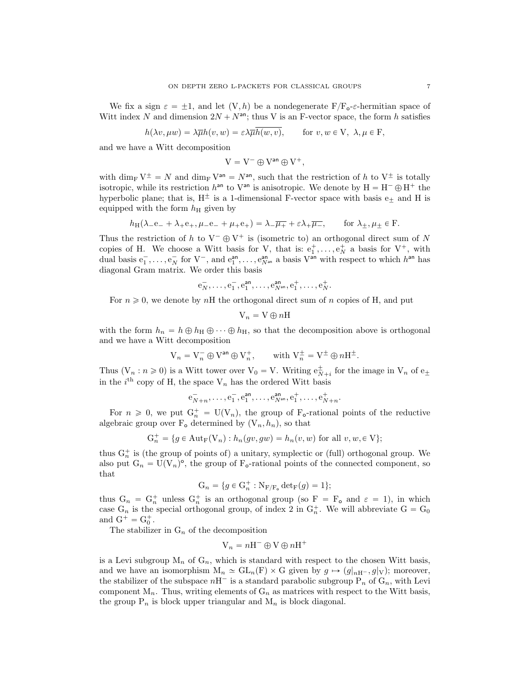We fix a sign  $\varepsilon = \pm 1$ , and let  $(V, h)$  be a nondegenerate  $F/F_{o}\text{-}\varepsilon$ -hermitian space of Witt index N and dimension  $2N + N^{an}$ ; thus V is an F-vector space, the form h satisfies

$$
h(\lambda v, \mu w) = \lambda \overline{\mu}h(v, w) = \varepsilon \lambda \overline{\mu}h(w, v), \quad \text{for } v, w \in V, \ \lambda, \mu \in F,
$$

and we have a Witt decomposition

$$
V=V^-\oplus V^{\text{an}}\oplus V^+,
$$

with dim<sub>F</sub>  $V^{\pm} = N$  and dim<sub>F</sub>  $V^{an} = N^{an}$ , such that the restriction of h to  $V^{\pm}$  is totally isotropic, while its restriction  $h^{\text{an}}$  to  $V^{\text{an}}$  is anisotropic. We denote by  $H = H^{-} \oplus H^{+}$  the hyperbolic plane; that is,  $H^{\pm}$  is a 1-dimensional F-vector space with basis  $e_{+}$  and H is equipped with the form  $h_{\rm H}$  given by

$$
h_{\rm H}(\lambda_{-}e_{-} + \lambda_{+}e_{+}, \mu_{-}e_{-} + \mu_{+}e_{+}) = \lambda_{-}\overline{\mu_{+}} + \varepsilon\lambda_{+}\overline{\mu_{-}}, \qquad \text{for } \lambda_{\pm}, \mu_{\pm} \in \mathcal{F}.
$$

Thus the restriction of h to  $V^-\oplus V^+$  is (isometric to) an orthogonal direct sum of N copies of H. We choose a Witt basis for V, that is:  $e_1^+, \ldots, e_N^+$  a basis for  $V^+$ , with dual basis  $e_1^-, \ldots, e_N^-$  for  $V^-,$  and  $e_1^{\text{an}}, \ldots, e_{N^{\text{an}}}^{\text{an}}$  a basis  $V^{\text{an}}$  with respect to which  $h^{\text{an}}$  has diagonal Gram matrix. We order this basis

$$
\mathbf{e}_N^-, \ldots, \mathbf{e}_1^-, \mathbf{e}_1^{\mathsf{an}}, \ldots, \mathbf{e}_{N^{\mathsf{an}}}^{\mathsf{an}}, \mathbf{e}_1^+, \ldots, \mathbf{e}_N^+.
$$

For  $n \geq 0$ , we denote by nH the orthogonal direct sum of n copies of H, and put

$$
V_n = V \oplus nH
$$

with the form  $h_n = h \oplus h_H \oplus \cdots \oplus h_H$ , so that the decomposition above is orthogonal and we have a Witt decomposition

$$
V_n = V_n^- \oplus V^{an} \oplus V_n^+, \quad \text{with } V_n^{\pm} = V^{\pm} \oplus nH^{\pm}.
$$

Thus  $(V_n : n \ge 0)$  is a Witt tower over  $V_0 = V$ . Writing  $e^{\pm}_{N+i}$  for the image in  $V_n$  of  $e_{\pm}$ in the  $i<sup>th</sup>$  copy of H, the space  $V_n$  has the ordered Witt basis

$$
e_{N+n}^-, \ldots, e_1^-, e_1^{\text{an}}, \ldots, e_{N^{\text{an}}}^{\text{an}}, e_1^+, \ldots, e_{N+n}^+
$$

.

For  $n \geq 0$ , we put  $G_n^+ = U(V_n)$ , the group of  $F_o$ -rational points of the reductive algebraic group over  $F_o$  determined by  $(V_n, h_n)$ , so that

$$
G_n^+ = \{ g \in Aut_F(V_n) : h_n(gv, gw) = h_n(v, w) \text{ for all } v, w \in V \};
$$

thus  $G_n^+$  is (the group of points of) a unitary, symplectic or (full) orthogonal group. We also put  $G_n = U(V_n)^\circ$ , the group of  $F_o$ -rational points of the connected component, so that

$$
G_n = \{ g \in G_n^+ : N_{F/F_o} \det_F(g) = 1 \};
$$

thus  $G_n = G_n^+$  unless  $G_n^+$  is an orthogonal group (so  $F = F_o$  and  $\varepsilon = 1$ ), in which case  $G_n$  is the special orthogonal group, of index 2 in  $G_n^+$ . We will abbreviate  $G = G_0$ and  $G^+ = G_0^+$ .

The stabilizer in  $G_n$  of the decomposition

$$
\mathbf{V}_n = n\mathbf{H}^- \oplus \mathbf{V} \oplus n\mathbf{H}^+
$$

is a Levi subgroup  $M_n$  of  $G_n$ , which is standard with respect to the chosen Witt basis, and we have an isomorphism  $M_n \simeq GL_n(F) \times G$  given by  $g \mapsto (g|_{nH^-}, g|_{V})$ ; moreover, the stabilizer of the subspace  $n\text{H}^-$  is a standard parabolic subgroup  $\text{P}_n$  of  $\text{G}_n$ , with Levi component  $M_n$ . Thus, writing elements of  $G_n$  as matrices with respect to the Witt basis, the group  $P_n$  is block upper triangular and  $M_n$  is block diagonal.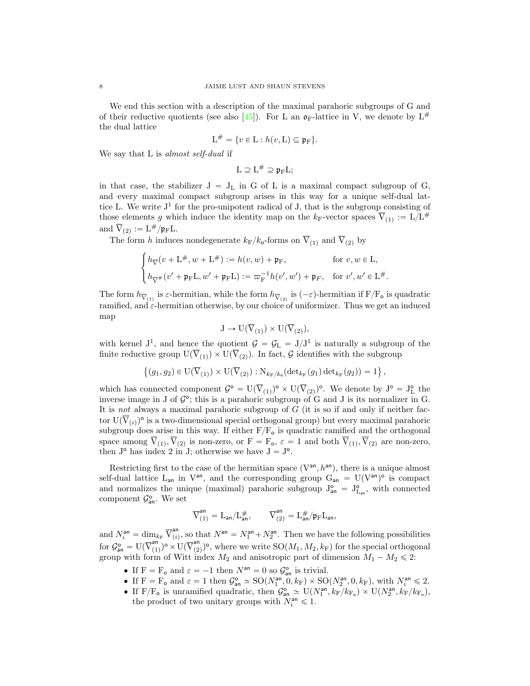We end this section with a description of the maximal parahoric subgroups of G and of their reductive quotients (see also [\[45\]](#page-38-7)). For L an  $\mathfrak{o}_F$ -lattice in V, we denote by  $L^{\#}$ the dual lattice

$$
L^{\#} = \{v \in L : h(v, L) \subseteq \mathfrak{p}_F\}.
$$

We say that L is *almost self-dual* if

 $\mathrm{L} \supseteq \mathrm{L}^{\#} \supseteq \mathfrak{p}_{\mathrm{F}}\mathrm{L};$ 

in that case, the stabilizer  $J = J_L$  in G of L is a maximal compact subgroup of G, and every maximal compact subgroup arises in this way for a unique self-dual lattice L. We write  $J^1$  for the pro-unipotent radical of J, that is the subgroup consisting of those elements g which induce the identity map on the  $k_{\text{F}}$ -vector spaces  $\overline{V}_{(1)} := L/L^{\#}$ and  $\overline{V}_{(2)} := L^{\#}/\mathfrak{p}_{F}L$ .

The form h induces nondegenerate  $k_F/k_o$ -forms on  $\overline{V}_{(1)}$  and  $\overline{V}_{(2)}$  by

$$
\begin{cases} h_{\nabla}(v+{\rm L}^{\#},w+{\rm L}^{\#}) := h(v,w)+\mathfrak{p}_{\rm F}, &\text{for $v,w\in {\rm L}$,}\\[1mm] h_{\nabla^{\#}}(v'+\mathfrak{p}_{\rm F}{\rm L},w'+\mathfrak{p}_{\rm F}{\rm L}):=\varpi_{\rm F}^{-1}h(v',w')+\mathfrak{p}_{\rm F}, &\text{for $v',w'\in {\rm L}^{\#}$.}\end{cases}
$$

The form  $h_{\overline{V}_{(1)}}$  is  $\varepsilon$ -hermitian, while the form  $h_{\overline{V}_{(2)}}$  is  $(-\varepsilon)$ -hermitian if  $F/F_o$  is quadratic ramified, and  $\varepsilon$ -hermitian otherwise, by our choice of uniformizer. Thus we get an induced map

$$
J \to U(\overline{V}_{(1)}) \times U(\overline{V}_{(2)}),
$$

with kernel  $J^1$ , and hence the quotient  $\mathcal{G} = \mathcal{G}_L = J/J^1$  is naturally a subgroup of the finite reductive group  $U(\overline{V}_{(1)}) \times U(\overline{V}_{(2)})$ . In fact, G identifies with the subgroup

$$
\{(g_1, g_2) \in \mathrm{U}(\overline{\mathrm{V}}_{(1)}) \times \mathrm{U}(\overline{\mathrm{V}}_{(2)}) : \mathrm{N}_{k_{\mathrm{F}}/k_o}(\mathrm{det}_{k_{\mathrm{F}}}(g_1) \, \mathrm{det}_{k_{\mathrm{F}}}(g_2)) = 1\},\,
$$

which has connected component  $\mathcal{G}^{\circ} = U(\overline{V}_{(1)})^{\circ} \times U(\overline{V}_{(2)})^{\circ}$ . We denote by  $J^{\circ} = J_{L}^{\circ}$  the inverse image in J of  $\mathcal{G}^{\circ}$ ; this is a parahoric subgroup of G and J is its normalizer in G. It is not always a maximal parahoric subgroup of  $G$  (it is so if and only if neither factor  $U(\overline{V}_{(i)})^{\circ}$  is a two-dimensional special orthogonal group) but every maximal parahoric subgroup does arise in this way. If either  $F/F<sub>o</sub>$  is quadratic ramified and the orthogonal space among  $V_{(1)}, V_{(2)}$  is non-zero, or  $F = F_o$ ,  $\varepsilon = 1$  and both  $V_{(1)}, V_{(2)}$  are non-zero, then  $J^{\circ}$  has index 2 in J; otherwise we have  $J = J^{\circ}$ .

Restricting first to the case of the hermitian space  $(V^{an}, h^{an})$ , there is a unique almost self-dual lattice  $L_{an}$  in  $V^{an}$ , and the corresponding group  $G_{an} = U(V^{an})^{\circ}$  is compact and normalizes the unique (maximal) parahoric subgroup  $J_{an}^{\circ} = J_{L_{an}}^{\circ}$ , with connected component  $\mathcal{G}_{\mathsf{an}}^{\mathsf{o}}$ . We set

$$
\overline{V}_{(1)}^{\text{an}}=L_{\text{an}}/L_{\text{an}}^{\#},\qquad \overline{V}_{(2)}^{\text{an}}=L_{\text{an}}^{\#}/\mathfrak{p}_{\mathrm{F}}L_{\text{an}},
$$

and  $N_i^{\text{an}} = \dim_{k_{\text{F}}} \overline{\mathbf{V}}_{(i)}^{\text{an}}$  $p_{(i)}^{an}$ , so that  $N^{an} = N_1^{an} + N_2^{an}$ . Then we have the following possibilities for  $\mathcal{G}_{\mathsf{an}}^{\mathsf{o}} = \mathrm{U}(\overline{\mathrm{V}}_{(1)}^{\mathsf{an}})$ an  $\binom{1}{1}$ <sup>o</sup> ×  $\mathrm{U}(\overline{\mathrm{V}}_{(2)}^{\mathrm{an}})$  $\binom{3n}{(2)}$ <sup>o</sup>, where we write SO $(M_1, M_2, k_F)$  for the special orthogonal group with form of Witt index  $M_2$  and anisotropic part of dimension  $M_1 - M_2 \leq 2$ :

- If  $F = F_o$  and  $\varepsilon = -1$  then  $N^{an} = 0$  so  $\mathcal{G}_{an}^o$  is trivial.
- If  $F = F_o$  and  $\varepsilon = 1$  then  $\mathcal{G}_{\text{an}}^{\circ} \simeq SO(N_1^{\text{an}}, 0, k_F) \times SO(N_2^{\text{an}}, 0, k_F)$ , with  $N_i^{\text{an}} \leq 2$ .
- If F/F<sub>o</sub> is unramified quadratic, then  $\mathcal{G}_{\text{an}}^{\circ} \simeq \mathrm{U}(N_1^{\text{an}}, k_F/k_{F_0}) \times \mathrm{U}(N_2^{\text{an}}, k_F/k_{F_0}),$ the product of two unitary groups with  $N_i^{\text{an}} \leq 1$ .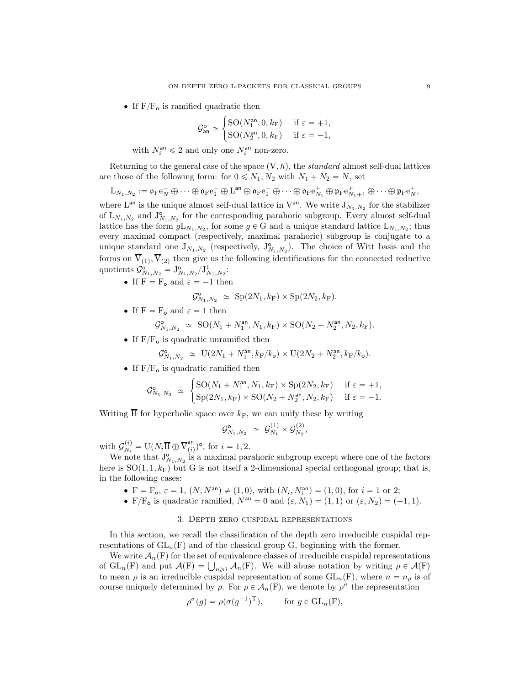• If  $F/F<sub>o</sub>$  is ramified quadratic then

$$
\mathcal{G}^{\circ}_{\mathsf{an}} \simeq \begin{cases} \mathrm{SO}(N_1^{\mathsf{an}}, 0, k_{\mathrm{F}}) & \text{if } \varepsilon = +1, \\ \mathrm{SO}(N_2^{\mathsf{an}}, 0, k_{\mathrm{F}}) & \text{if } \varepsilon = -1, \end{cases}
$$

with  $N_i^{\text{an}} \leq 2$  and only one  $N_i^{\text{an}}$  non-zero.

Returning to the general case of the space  $(V, h)$ , the standard almost self-dual lattices are those of the following form: for  $0 \le N_1, N_2$  with  $N_1 + N_2 = N$ , set

 ${\rm L}_{N_1,N_2}:=\mathfrak{o}_{{\rm F}}{\rm e}_N^-\oplus\cdots\oplus\mathfrak{o}_{{\rm F}}{\rm e}_1^-\oplus{\rm L}^{\rm an}\oplus\mathfrak{o}_{{\rm F}}{\rm e}_1^+\oplus\cdots\oplus\mathfrak{o}_{{\rm F}}{\rm e}_{N_1}^+\oplus\mathfrak{p}_{{\rm F}}{\rm e}_{N_1+1}^+\oplus\cdots\oplus\mathfrak{p}_{{\rm F}}{\rm e}_N^+,$ 

where  $L^{an}$  is the unique almost self-dual lattice in  $V^{an}$ . We write  $J_{N_1,N_2}$  for the stabilizer of  $L_{N_1,N_2}$  and  $J^{\circ}_{N_1,N_2}$  for the corresponding parahoric subgroup. Every almost self-dual lattice has the form  $gL_{N_1,N_2}$ , for some  $g \in G$  and a unique standard lattice  $L_{N_1,N_2}$ ; thus every maximal compact (respectively, maximal parahoric) subgroup is conjugate to a unique standard one  $J_{N_1,N_2}$  (respectively,  $J_{N_1,N_2}^{\circ}$ ). The choice of Witt basis and the forms on  $V_{(1)}$ ,  $V_{(2)}$  then give us the following identifications for the connected reductive quotients  $\mathcal{G}_{N_1,N_2}^{\mathsf{o}} = \mathbf{J}_{N_1,N_2}^{\mathsf{o}} / \mathbf{J}_{N_1,N_2}^1$ :

• If  $F = F_o$  and  $\varepsilon = -1$  then

 $\mathcal{G}_{N_1,N_2}^{\circ} \simeq \text{Sp}(2N_1,k_{\text{F}}) \times \text{Sp}(2N_2,k_{\text{F}}).$ 

• If  $F = F_o$  and  $\varepsilon = 1$  then

$$
\mathcal{G}^{\mathsf{o}}_{N_1,N_2} \simeq \text{SO}(N_1 + N_1^{\mathsf{an}}, N_1, k_{\text{F}}) \times \text{SO}(N_2 + N_2^{\mathsf{an}}, N_2, k_{\text{F}}).
$$

• If  $F/F<sub>o</sub>$  is quadratic unramified then

$$
\mathcal{G}^{\mathsf{o}}_{N_1,N_2} \simeq \mathcal{U}(2N_1 + N_1^{\mathsf{an}}, k_{\mathcal{F}}/k_{\mathsf{o}}) \times \mathcal{U}(2N_2 + N_2^{\mathsf{an}}, k_{\mathcal{F}}/k_{\mathsf{o}}).
$$

• If  $F/F_o$  is quadratic ramified then

$$
\mathcal{G}_{N_1,N_2}^{\circ} \simeq \begin{cases} \text{SO}(N_1 + N_1^{\text{an}}, N_1, k_{\text{F}}) \times \text{Sp}(2N_2, k_{\text{F}}) & \text{if } \varepsilon = +1, \\ \text{Sp}(2N_1, k_{\text{F}}) \times \text{SO}(N_2 + N_2^{\text{an}}, N_2, k_{\text{F}}) & \text{if } \varepsilon = -1. \end{cases}
$$

Writing  $\overline{H}$  for hyperbolic space over  $k_F$ , we can unify these by writing

$$
\mathcal{G}_{N_1,N_2}^{\mathbf{o}} \simeq \mathcal{G}_{N_1}^{(1)} \times \mathcal{G}_{N_2}^{(2)},
$$

with  $\mathcal{G}_{N_i}^{(i)}$  $N_i^{(i)} = \mathrm{U}(N_i \overline{\mathrm{H}} \oplus \overline{\mathrm{V}}_{(i)}^{\mathrm{an}})$  $\binom{an}{i}$ <sup>o</sup>, for  $i = 1, 2$ .

We note that  $J^{\circ}_{N_1,N_2}$  is a maximal parahoric subgroup except where one of the factors here is  $SO(1, 1, k_F)$  but G is not itself a 2-dimensional special orthogonal group; that is, in the following cases:

- $F = F_o, \varepsilon = 1, (N, N^{\text{an}}) \neq (1, 0), \text{ with } (N_i, N_i^{\text{an}}) = (1, 0), \text{ for } i = 1 \text{ or } 2;$
- F/F<sub>o</sub> is quadratic ramified,  $N^{an} = 0$  and  $(\varepsilon, N_1) = (1, 1)$  or  $(\varepsilon, N_2) = (-1, 1)$ .

## 3. Depth zero cuspidal representations

<span id="page-8-0"></span>In this section, we recall the classification of the depth zero irreducible cuspidal representations of  $GL_n(F)$  and of the classical group G, beginning with the former.

We write  $A_n(F)$  for the set of equivalence classes of irreducible cuspidal representations We write  $\mathcal{A}_n(F)$  for the set of equivalence classes of irreducible cuspidal representations<br>of  $GL_n(F)$  and put  $\mathcal{A}(F) = \bigcup_{n \geq 1} \mathcal{A}_n(F)$ . We will abuse notation by writing  $\rho \in \mathcal{A}(F)$ to mean  $\rho$  is an irreducible cuspidal representation of some  $GL_n(F)$ , where  $n = n_\rho$  is of course uniquely determined by  $\rho$ . For  $\rho \in \mathcal{A}_n(F)$ , we denote by  $\rho^{\sigma}$  the representation

$$
\rho^{\sigma}(g) = \rho(\sigma(g^{-1})^{\mathrm{T}}), \quad \text{for } g \in \mathrm{GL}_n(\mathrm{F}),
$$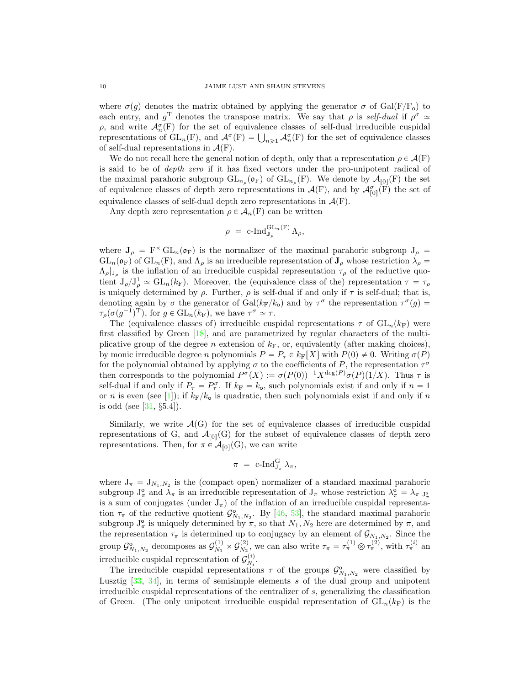where  $\sigma(g)$  denotes the matrix obtained by applying the generator  $\sigma$  of Gal(F/F<sub>o</sub>) to each entry, and  $g^T$  denotes the transpose matrix. We say that  $\rho$  is self-dual if  $\rho^{\sigma} \simeq$  $\rho$ , and write  $\mathcal{A}_{n}^{\sigma}(\mathbf{F})$  for the set of equivalence classes of self-dual irreducible cuspidal  $ρ$ , and write  $A_n^{\sigma}(\mathbf{F})$  for the set of equivalence classes of self-dual irreducible cuspidal representations of GL<sub>n</sub>(F), and  $A^{\sigma}(\mathbf{F}) = \bigcup_{n \geq 1} A_n^{\sigma}(\mathbf{F})$  for the set of equivalence classes of self-dual representations in  $\mathcal{A}(F)$ .

We do not recall here the general notion of depth, only that a representation  $\rho \in \mathcal{A}(F)$ is said to be of depth zero if it has fixed vectors under the pro-unipotent radical of the maximal parahoric subgroup  $GL_{n_{\rho}}(\mathfrak{o}_F)$  of  $GL_{n_{\rho}}(F)$ . We denote by  $\mathcal{A}_{[0]}(F)$  the set of equivalence classes of depth zero representations in  $\mathcal{A}(F)$ , and by  $\mathcal{A}_{[0]}^{\sigma}(\overline{F})$  the set of equivalence classes of self-dual depth zero representations in  $\mathcal{A}(F)$ .

Any depth zero representation  $\rho \in \mathcal{A}_n(F)$  can be written

$$
\rho\,\,=\,\, \textrm{c-}\mathrm{Ind}^{\mathrm{GL}_n(\mathrm{F})}_{\mathbf{J}_{\rho}}\,\Lambda_{\rho},
$$

where  $J_\rho = F^\times GL_n(\mathfrak{o}_F)$  is the normalizer of the maximal parahoric subgroup  $J_\rho =$  $GL_n(\mathfrak{o}_F)$  of  $GL_n(F)$ , and  $\Lambda_\rho$  is an irreducible representation of  $J_\rho$  whose restriction  $\lambda_\rho =$  $\Lambda_{\rho}|_{J_{\rho}}$  is the inflation of an irreducible cuspidal representation  $\tau_{\rho}$  of the reductive quotient  $J_{\rho}/J_{\rho}^1 \simeq GL_n(k_F)$ . Moreover, the (equivalence class of the) representation  $\tau = \tau_{\rho}$ is uniquely determined by  $\rho$ . Further,  $\rho$  is self-dual if and only if  $\tau$  is self-dual; that is, denoting again by  $\sigma$  the generator of Gal $(k_F/k_o)$  and by  $\tau^{\sigma}$  the representation  $\tau^{\sigma}(g)$  $\tau_\rho(\sigma(g^{-1})^T)$ , for  $g \in GL_n(k_F)$ , we have  $\tau^\sigma \simeq \tau$ .

The (equivalence classes of) irreducible cuspidal representations  $\tau$  of  $GL_n(k_F)$  were first classified by Green  $[18]$ , and are parametrized by regular characters of the multiplicative group of the degree n extension of  $k_F$ , or, equivalently (after making choices), by monic irreducible degree n polynomials  $P = P_\tau \in k_F[X]$  with  $P(0) \neq 0$ . Writing  $\sigma(P)$ for the polynomial obtained by applying  $\sigma$  to the coefficients of P, the representation  $\tau^{\sigma}$ then corresponds to the polynomial  $P^{\sigma}(X) := \sigma(P(0))^{-1} X^{\deg(P)} \sigma(P)(1/X)$ . Thus  $\tau$  is self-dual if and only if  $P_{\tau} = P_{\tau}^{\sigma}$ . If  $k_F = k_o$ , such polynomials exist if and only if  $n = 1$ or n is even (see [\[1\]](#page-36-9)); if  $k_F/k_o$  is quadratic, then such polynomials exist if and only if n is odd (see  $[31, §5.4]$  $[31, §5.4]$ ).

Similarly, we write  $\mathcal{A}(G)$  for the set of equivalence classes of irreducible cuspidal representations of G, and  $\mathcal{A}_{[0]}(G)$  for the subset of equivalence classes of depth zero representations. Then, for  $\pi \in \mathcal{A}_{[0]}(G)$ , we can write

$$
\pi = \operatorname{c-Ind}_{J_{\pi}}^{G} \lambda_{\pi},
$$

where  $J_{\pi} = J_{N_1,N_2}$  is the (compact open) normalizer of a standard maximal parahoric subgroup  $J_{\pi}^{\circ}$  and  $\lambda_{\pi}$  is an irreducible representation of  $J_{\pi}$  whose restriction  $\lambda_{\pi}^{\circ} = \lambda_{\pi}|_{J_{\pi}^{\circ}}$ is a sum of conjugates (under  $J_{\pi}$ ) of the inflation of an irreducible cuspidal representation  $\tau_{\pi}$  of the reductive quotient  $\mathcal{G}_{N_1,N_2}^{\circ}$ . By [\[46,](#page-38-8) [53\]](#page-38-9), the standard maximal parahoric subgroup  $J_{\pi}^{\circ}$  is uniquely determined by  $\pi$ , so that  $N_1, N_2$  here are determined by  $\pi$ , and the representation  $\tau_{\pi}$  is determined up to conjugacy by an element of  $\mathcal{G}_{N_1,N_2}$ . Since the group $\mathcal{G}_{N_1,N_2}^{\mathsf{o}}$  decomposes as  $\mathcal{G}_{N_1}^{(1)}$  $S_{N_1}^{(1)} \times G_{N_2}^{(2)}$ (2), we can also write  $\tau_{\pi} = \tau_{\pi}^{(1)} \otimes \tau_{\pi}^{(2)}$ , with  $\tau_{\pi}^{(i)}$  and irreducible cuspidal representation of  $\mathcal{G}_{N}^{(i)}$  $\frac{(i)}{N_i}$ .

The irreducible cuspidal representations  $\tau$  of the groups  $\mathcal{G}_{N_1,N_2}^{\circ}$  were classified by Lusztig  $[33, 34]$  $[33, 34]$  $[33, 34]$ , in terms of semisimple elements s of the dual group and unipotent irreducible cuspidal representations of the centralizer of s, generalizing the classification of Green. (The only unipotent irreducible cuspidal representation of  $GL_n(k_F)$  is the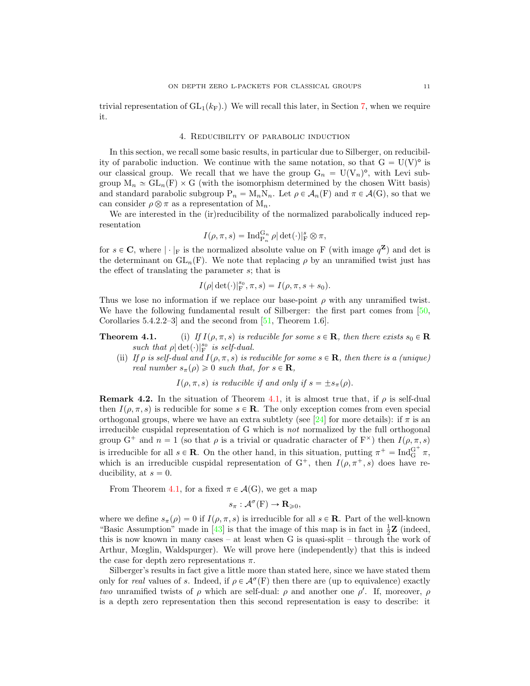trivial representation of  $GL_1(k_F)$ .) We will recall this later, in Section [7,](#page-14-0) when we require it.

## 4. Reducibility of parabolic induction

<span id="page-10-1"></span>In this section, we recall some basic results, in particular due to Silberger, on reducibility of parabolic induction. We continue with the same notation, so that  $G = U(V)^{\circ}$  is our classical group. We recall that we have the group  $G_n = U(V_n)^\circ$ , with Levi subgroup  $M_n \simeq GL_n(F) \times G$  (with the isomorphism determined by the chosen Witt basis) and standard parabolic subgroup  $P_n = M_nN_n$ . Let  $\rho \in \mathcal{A}_n(F)$  and  $\pi \in \mathcal{A}(G)$ , so that we can consider  $\rho \otimes \pi$  as a representation of  $M_n$ .

We are interested in the (ir)reducibility of the normalized parabolically induced representation

$$
I(\rho, \pi, s) = \operatorname{Ind}_{P_n}^{G_n} \rho |\det(\cdot)|_F^s \otimes \pi,
$$

for  $s \in \mathbb{C}$ , where  $|\cdot|_F$  is the normalized absolute value on F (with image  $q^{\mathbb{Z}}$ ) and det is the determinant on  $GL_n(F)$ . We note that replacing  $\rho$  by an unramified twist just has the effect of translating the parameter s; that is

$$
I(\rho|\det(\cdot)|_{\mathcal{F}}^{s_0}, \pi, s)=I(\rho, \pi, s+s_0).
$$

Thus we lose no information if we replace our base-point  $\rho$  with any unramified twist. We have the following fundamental result of Silberger: the first part comes from [\[50,](#page-38-10) Corollaries 5.4.2.2–3] and the second from [\[51,](#page-38-11) Theorem 1.6].

- **Theorem 4.1.** (i) If  $I(\rho, \pi, s)$  is reducible for some  $s \in \mathbf{R}$ , then there exists  $s_0 \in \mathbf{R}$ such that  $\rho | \det(\cdot)|_{\text{F}}^{s_0}$  is self-dual.
	- (ii) If  $\rho$  is self-dual and  $I(\rho, \pi, s)$  is reducible for some  $s \in \mathbf{R}$ , then there is a (unique) real number  $s_{\pi}(\rho) \geq 0$  such that, for  $s \in \mathbf{R}$ ,

 $I(\rho, \pi, s)$  is reducible if and only if  $s = \pm s_{\pi}(\rho)$ .

<span id="page-10-0"></span>**Remark 4.2.** In the situation of Theorem [4.1,](#page-0-0) it is almost true that, if  $\rho$  is self-dual then  $I(\rho, \pi, s)$  is reducible for some  $s \in \mathbf{R}$ . The only exception comes from even special orthogonal groups, where we have an extra subtlety (see [\[24\]](#page-37-23) for more details): if  $\pi$  is an irreducible cuspidal representation of G which is not normalized by the full orthogonal group G<sup>+</sup> and  $n = 1$  (so that  $\rho$  is a trivial or quadratic character of F<sup>×</sup>) then  $I(\rho, \pi, s)$ is irreducible for all  $s \in \mathbf{R}$ . On the other hand, in this situation, putting  $\pi^+ = \text{Ind}_{G}^{G^+} \pi$ , which is an irreducible cuspidal representation of  $G^+$ , then  $I(\rho, \pi^+, s)$  does have reducibility, at  $s = 0$ .

From Theorem [4.1,](#page-0-0) for a fixed  $\pi \in \mathcal{A}(G)$ , we get a map

$$
s_{\pi}: \mathcal{A}^{\sigma}(\mathcal{F}) \to \mathbf{R}_{\geqslant 0},
$$

where we define  $s_{\pi}(\rho) = 0$  if  $I(\rho, \pi, s)$  is irreducible for all  $s \in \mathbf{R}$ . Part of the well-known "Basic Assumption" made in [\[43\]](#page-38-5) is that the image of this map is in fact in  $\frac{1}{2}\mathbf{Z}$  (indeed, this is now known in many cases – at least when G is quasi-split – through the work of Arthur, Mœglin, Waldspurger). We will prove here (independently) that this is indeed the case for depth zero representations  $\pi$ .

Silberger's results in fact give a little more than stated here, since we have stated them only for real values of s. Indeed, if  $\rho \in \mathcal{A}^{\sigma}(F)$  then there are (up to equivalence) exactly two unramified twists of  $\rho$  which are self-dual:  $\rho$  and another one  $\rho'$ . If, moreover,  $\rho$ is a depth zero representation then this second representation is easy to describe: it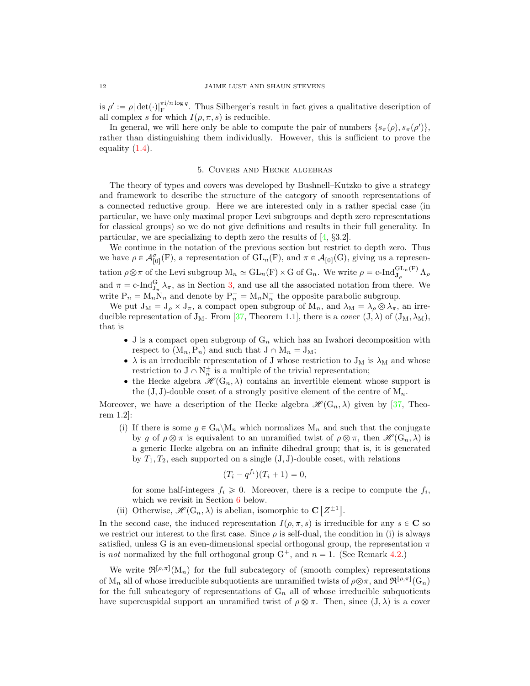is  $\rho' := \rho |\det(\cdot)|_F^{\pi i/n \log q}$ . Thus Silberger's result in fact gives a qualitative description of all complex s for which  $I(\rho, \pi, s)$  is reducible.

In general, we will here only be able to compute the pair of numbers  $\{s_{\pi}(\rho), s_{\pi}(\rho')\},\$ rather than distinguishing them individually. However, this is sufficient to prove the equality  $(1.4)$ .

# 5. Covers and Hecke algebras

<span id="page-11-0"></span>The theory of types and covers was developed by Bushnell–Kutzko to give a strategy and framework to describe the structure of the category of smooth representations of a connected reductive group. Here we are interested only in a rather special case (in particular, we have only maximal proper Levi subgroups and depth zero representations for classical groups) so we do not give definitions and results in their full generality. In particular, we are specializing to depth zero the results of [\[4,](#page-36-8) §3.2].

We continue in the notation of the previous section but restrict to depth zero. Thus we have  $\rho \in \mathcal{A}_{[0]}^{\sigma}(F)$ , a representation of  $GL_n(F)$ , and  $\pi \in \mathcal{A}_{[0]}(G)$ , giving us a representation  $\rho \otimes \pi$  of the Levi subgroup  $M_n \simeq GL_n(F) \times G$  of  $G_n$ . We write  $\rho = c$ -Ind $\mathcal{G}_{\mathbf{J}_{\rho}}^{GL_n(F)} \Lambda_{\rho}$ and  $\pi = c$ -Ind $_{J_{\pi}}^G \lambda_{\pi}$ , as in Section [3,](#page-8-0) and use all the associated notation from there. We write  $P_n = M_n N_n$  and denote by  $P_n^- = M_n N_n^-$  the opposite parabolic subgroup.

We put  $J_M = J_\rho \times J_\pi$ , a compact open subgroup of  $M_n$ , and  $\lambda_M = \lambda_\rho \otimes \lambda_\pi$ , an irreducible representation of  $J_M$ . From [\[37,](#page-37-16) Theorem 1.1], there is a cover  $(J, \lambda)$  of  $(J_M, \lambda_M)$ , that is

- $\bullet$  J is a compact open subgroup of  $G_n$  which has an Iwahori decomposition with respect to  $(M_n, P_n)$  and such that  $J \cap M_n = J_M;$
- $\bullet$   $\lambda$  is an irreducible representation of J whose restriction to J<sub>M</sub> is  $\lambda_M$  and whose restriction to  $J \cap N_n^{\pm}$  is a multiple of the trivial representation;
- the Hecke algebra  $\mathscr{H}(\mathbb{G}_n, \lambda)$  contains an invertible element whose support is the  $(J, J)$ -double coset of a strongly positive element of the centre of  $M_n$ .

Moreover, we have a description of the Hecke algebra  $\mathscr{H}(G_n, \lambda)$  given by [\[37,](#page-37-16) Theorem 1.2]:

(i) If there is some  $g \in G_n \backslash M_n$  which normalizes  $M_n$  and such that the conjugate by g of  $\rho \otimes \pi$  is equivalent to an unramified twist of  $\rho \otimes \pi$ , then  $\mathscr{H}(\mathbb{G}_n, \lambda)$  is a generic Hecke algebra on an infinite dihedral group; that is, it is generated by  $T_1, T_2$ , each supported on a single  $(J, J)$ -double coset, with relations

$$
(T_i - q^{f_i})(T_i + 1) = 0,
$$

for some half-integers  $f_i \geq 0$ . Moreover, there is a recipe to compute the  $f_i$ , which we revisit in Section [6](#page-12-0) below. "

(ii) Otherwise,  $\mathscr{H}(\mathbb{G}_n, \lambda)$  is abelian, isomorphic to C  $Z^{\pm 1}$ .

In the second case, the induced representation  $I(\rho, \pi, s)$  is irreducible for any  $s \in \mathbb{C}$  so we restrict our interest to the first case. Since  $\rho$  is self-dual, the condition in (i) is always satisfied, unless G is an even-dimensional special orthogonal group, the representation  $\pi$ is not normalized by the full orthogonal group  $G^+$ , and  $n = 1$ . (See Remark [4.2.](#page-10-0))

We write  $\mathfrak{R}^{[\rho,\pi]}(M_n)$  for the full subcategory of (smooth complex) representations of  $M_n$  all of whose irreducible subquotients are unramified twists of  $\rho \otimes \pi$ , and  $\mathfrak{R}^{[\rho,\pi]}(G_n)$ for the full subcategory of representations of  $G_n$  all of whose irreducible subquotients have supercuspidal support an unramified twist of  $\rho \otimes \pi$ . Then, since  $(J, \lambda)$  is a cover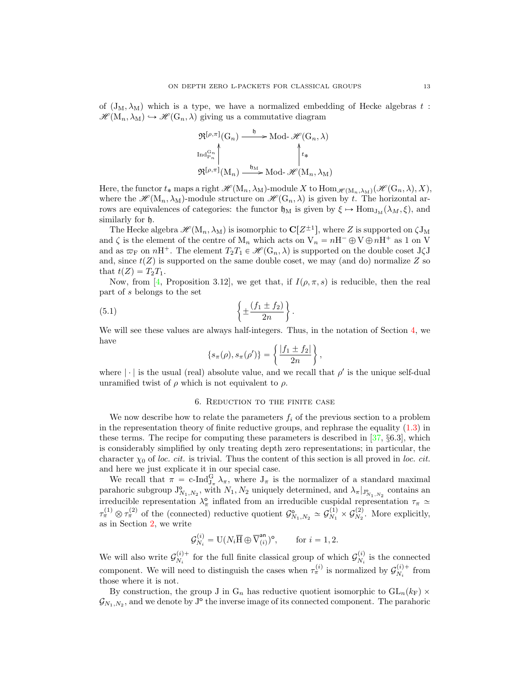of  $(J_M, \lambda_M)$  which is a type, we have a normalized embedding of Hecke algebras t:  $\mathscr{H}(\mathrm{M}_n, \lambda_M) \hookrightarrow \mathscr{H}(\mathrm{G}_n, \lambda)$  giving us a commutative diagram

$$
\mathfrak{R}^{\lceil\rho,\pi\rceil}(G_n) \xrightarrow{\mathfrak{h}} \text{Mod-}\mathcal{H}(G_n,\lambda)
$$
  

$$
\text{Ind}_{P_n}^{G_n} \downarrow^{\mathfrak{h}} \downarrow^{\mathfrak{h}}_{\mathfrak{k}}
$$
  

$$
\mathfrak{R}^{\lceil\rho,\pi\rceil}(M_n) \xrightarrow{\mathfrak{h}_M} \text{Mod-}\mathcal{H}(M_n,\lambda_M)
$$

Here, the functor  $t_*$  maps a right  $\mathscr{H}(M_n, \lambda_M)$ -module X to  $\text{Hom}_{\mathscr{H}(M_n, \lambda_M)}(\mathscr{H}(G_n, \lambda), X)$ , where the  $\mathscr{H}(M_n, \lambda_M)$ -module structure on  $\mathscr{H}(G_n, \lambda)$  is given by t. The horizontal arrows are equivalences of categories: the functor  $\mathfrak{h}_M$  is given by  $\xi \mapsto \text{Hom}_{J_M}(\lambda_M, \xi)$ , and similarly for h.

The Hecke algebra  $\mathscr{H}(\mathrm{M}_n,\lambda_{\mathrm{M}})$  is isomorphic to  $\mathbf{C}[Z^{\pm 1}]$ , where Z is supported on  $\zeta \mathrm{J}_\mathrm{M}$ and  $\zeta$  is the element of the centre of  $M_n$  which acts on  $V_n = nH^- \oplus V \oplus nH^+$  as 1 on V and as  $\varpi_F$  on  $nH^+$ . The element  $T_2T_1 \in \mathcal{H}(\mathbb{G}_n, \lambda)$  is supported on the double coset J $\zeta$ J and, since  $t(Z)$  is supported on the same double coset, we may (and do) normalize Z so that  $t(Z) = T_2T_1$ .

Now, from [\[4,](#page-36-8) Proposition 3.12], we get that, if  $I(\rho, \pi, s)$  is reducible, then the real part of s belongs to the set

(5.1) 
$$
\left\{\pm \frac{(f_1 \pm f_2)}{2n}\right\}.
$$

We will see these values are always half-integers. Thus, in the notation of Section [4,](#page-10-1) we have \*

<span id="page-12-1"></span>
$$
\{s_{\pi}(\rho), s_{\pi}(\rho')\} = \left\{\frac{|f_1 \pm f_2|}{2n}\right\},\,
$$

where  $|\cdot|$  is the usual (real) absolute value, and we recall that  $\rho'$  is the unique self-dual unramified twist of  $\rho$  which is not equivalent to  $\rho$ .

#### 6. Reduction to the finite case

<span id="page-12-0"></span>We now describe how to relate the parameters  $f_i$  of the previous section to a problem in the representation theory of finite reductive groups, and rephrase the equality [\(1.3\)](#page-2-1) in these terms. The recipe for computing these parameters is described in [\[37,](#page-37-16) §6.3], which is considerably simplified by only treating depth zero representations; in particular, the character  $\chi_0$  of loc. cit. is trivial. Thus the content of this section is all proved in loc. cit. and here we just explicate it in our special case.

We recall that  $\pi = c$ -Ind $_{J_{\pi}}^G \lambda_{\pi}$ , where  $J_{\pi}$  is the normalizer of a standard maximal we recan that  $n = c$ -ind<sub> $J_{\pi} \wedge \pi$ </sub>, where  $J_{\pi}$  is the normalizer or a standard maximal parahoric subgroup  $J_{N_1,N_2}^{\circ}$ , with  $N_1, N_2$  uniquely determined, and  $\lambda_{\pi}|_{J_{N_1,N_2}^{\circ}}$  contains an irreducible representation  $\lambda_{\pi}^{\circ}$  inflated from an irreducible cuspidal representation  $\tau_{\pi} \simeq$  $\tau_{\pi}^{(1)} \otimes \tau_{\pi}^{(2)}$  of the (connected) reductive quotient  $\mathcal{G}_{N_1,N_2}^{\mathfrak{0}} \simeq \mathcal{G}_{N_1}^{(1)}$  $\overset{(1)}{N_1}\times \mathcal{G}_{N_2}^{(2)}$  $N_2^{(2)}$ . More explicitly, as in Section [2,](#page-5-0) we write

$$
\mathcal{G}_{N_i}^{(i)} = \mathrm{U}(N_i \overline{\mathrm{H}} \oplus \overline{\mathrm{V}}_{(i)}^{\mathrm{an}})^{\mathrm{o}}, \qquad \text{for } i = 1, 2.
$$

We will also write  $\mathcal{G}_{N_i}^{(i)+}$  $\mathcal{G}_{N_i}^{(i)+}$  for the full finite classical group of which  $\mathcal{G}_{N_i}^{(i)}$  $\chi_i^{(i)}$  is the connected component. We will need to distinguish the cases when  $\tau_{\pi}^{(i)}$  is normalized by  $\mathcal{G}_{N_i}^{(i)+}$  $\mathcal{N}_i^{(i)+}$  from those where it is not.

By construction, the group J in  $G_n$  has reductive quotient isomorphic to  $GL_n(k_F)$   $\times$  $\mathcal{G}_{N_1,N_2}$ , and we denote by  $J^{\circ}$  the inverse image of its connected component. The parahoric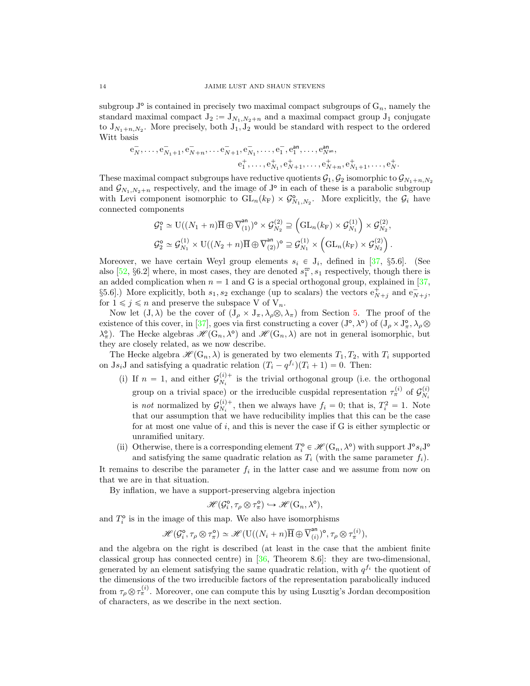subgroup  $J^{\circ}$  is contained in precisely two maximal compact subgroups of  $G_n$ , namely the standard maximal compact  $J_2 := J_{N_1,N_2+n}$  and a maximal compact group  $J_1$  conjugate to  $J_{N_1+n,N_2}$ . More precisely, both  $J_1, J_2$  would be standard with respect to the ordered Witt basis

$$
\begin{aligned} {\rm e}_{N}^{-},\ldots,{\rm e}_{N_1+1}^{-}, {\rm e}_{N+n}^{-},\ldots {\rm e}_{N+1}^{-}, {\rm e}_{N_1}^{-},\ldots, {\rm e}_{1}^{-}, {\rm e}_{1}^{an},\ldots, {\rm e}_{N^an}^{an},\\ {\rm e}_{1}^{+},\ldots, {\rm e}_{N_1}^{+}, {\rm e}_{N+1}^{+},\ldots, {\rm e}_{N+n}^{+}, {\rm e}_{N_1+1}^{+},\ldots, {\rm e}_{N}^{+}.\end{aligned}
$$

These maximal compact subgroups have reductive quotients  $\mathcal{G}_1, \mathcal{G}_2$  isomorphic to  $\mathcal{G}_{N_1+n,N_2}$ and  $\mathcal{G}_{N_1,N_2+n}$  respectively, and the image of J<sup>o</sup> in each of these is a parabolic subgroup with Levi component isomorphic to  $GL_n(k_F) \times \mathcal{G}_{N_1,N_2}^{\circ}$ . More explicitly, the  $\mathcal{G}_i$  have connected components

$$
\mathcal{G}_1^{\mathsf{o}} \simeq \mathrm{U}((N_1+n)\overline{\mathrm{H}} \oplus \overline{\mathrm{V}}_{(1)}^{\mathrm{an}})^{\mathsf{o}} \times \mathcal{G}_{N_2}^{(2)} \supseteq \left(\mathrm{GL}_n(k_{\mathrm{F}}) \times \mathcal{G}_{N_1}^{(1)}\right) \times \mathcal{G}_{N_2}^{(2)},
$$
  

$$
\mathcal{G}_2^{\mathsf{o}} \simeq \mathcal{G}_{N_1}^{(1)} \times \mathrm{U}((N_2+n)\overline{\mathrm{H}} \oplus \overline{\mathrm{V}}_{(2)}^{\mathrm{an}})^{\mathsf{o}} \supseteq \mathcal{G}_{N_1}^{(1)} \times \left(\mathrm{GL}_n(k_{\mathrm{F}}) \times \mathcal{G}_{N_2}^{(2)}\right).
$$

Moreover, we have certain Weyl group elements  $s_i \in J_i$ , defined in [\[37,](#page-37-16) §5.6]. (See also [\[52,](#page-38-4) §6.2] where, in most cases, they are denoted  $s_1^{\varpi}, s_1$  respectively, though there is an added complication when  $n = 1$  and G is a special orthogonal group, explained in [\[37,](#page-37-16) §5.6.]) More explicitly, both  $s_1, s_2$  exchange (up to scalars) the vectors  $e^+_{N+j}$  and  $e^-_{N+j}$ , for  $1 \leq j \leq n$  and preserve the subspace V of  $V_n$ .

Now let  $(J, \lambda)$  be the cover of  $(J_\rho \times J_\pi, \lambda_\rho \otimes, \lambda_\pi)$  from Section [5.](#page-11-0) The proof of the existence of this cover, in [\[37\]](#page-37-16), goes via first constructing a cover  $(J^{\circ}, \lambda^{\circ})$  of  $(J_{\rho} \times J^{\circ}_{\pi}, \lambda_{\rho} \otimes$  $\lambda_{\pi}^{\circ}$ ). The Hecke algebras  $\mathscr{H}(\mathbb{G}_n, \lambda^{\circ})$  and  $\mathscr{H}(\mathbb{G}_n, \lambda)$  are not in general isomorphic, but they are closely related, as we now describe.

The Hecke algebra  $\mathscr{H}(\mathbb{G}_n, \lambda)$  is generated by two elements  $T_1, T_2$ , with  $T_i$  supported on Js<sub>i</sub>J and satisfying a quadratic relation  $(T_i - q^{f_i})(T_i + 1) = 0$ . Then:

- (i) If  $n = 1$ , and either  $\mathcal{G}_{N_i}^{(i)+}$  $N_i^{(l)+}$  is the trivial orthogonal group (i.e. the orthogonal group on a trivial space) or the irreducible cuspidal representation  $\tau_{\pi}^{(i)}$  of  $\mathcal{G}_{N_i}^{(i)}$  $N_i$ is *not* normalized by  $\mathcal{G}_{N_i}^{(i)+}$  $N_i^{(i)+}$ , then we always have  $f_i = 0$ ; that is,  $T_i^2 = 1$ . Note that our assumption that we have reducibility implies that this can be the case for at most one value of  $i$ , and this is never the case if G is either symplectic or unramified unitary.
- (ii) Otherwise, there is a corresponding element  $T_i^{\circ} \in \mathcal{H}(\mathbb{G}_n, \lambda^{\circ})$  with support  $J^{\circ} s_i J^{\circ}$ and satisfying the same quadratic relation as  $T_i$  (with the same parameter  $f_i$ ).

It remains to describe the parameter  $f_i$  in the latter case and we assume from now on that we are in that situation.

By inflation, we have a support-preserving algebra injection

$$
\mathscr{H}(\mathcal{G}_i^{\mathsf{o}}, \tau_\rho \otimes \tau_\pi^{\mathsf{o}}) \hookrightarrow \mathscr{H}(\mathbf{G}_n, \lambda^{\mathsf{o}}),
$$

and  $T_i^{\circ}$  is in the image of this map. We also have isomorphisms

$$
\mathscr{H}(\mathcal{G}_i^{\text{o}}, \tau_\rho \otimes \tau_\pi^{\text{o}}) \simeq \mathscr{H}(\mathbf{U}((N_i + n)\overline{\mathbf{H}} \oplus \overline{\mathbf{V}}_{(i)}^{\text{an}})^{\text{o}}, \tau_\rho \otimes \tau_\pi^{(i)}),
$$

and the algebra on the right is described (at least in the case that the ambient finite classical group has connected centre) in [\[36,](#page-37-24) Theorem 8.6]: they are two-dimensional, generated by an element satisfying the same quadratic relation, with  $q^{f_i}$  the quotient of the dimensions of the two irreducible factors of the representation parabolically induced from  $\tau_\rho \otimes \tau_\pi^{(i)}$ . Moreover, one can compute this by using Lusztig's Jordan decomposition of characters, as we describe in the next section.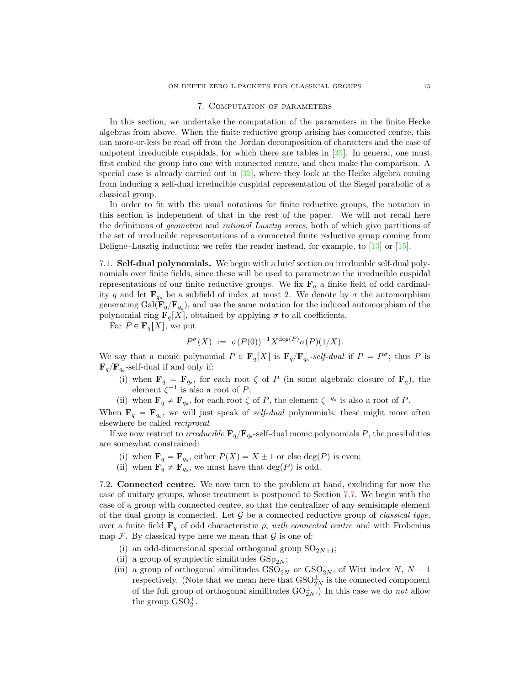## 7. Computation of parameters

<span id="page-14-0"></span>In this section, we undertake the computation of the parameters in the finite Hecke algebras from above. When the finite reductive group arising has connected centre, this can more-or-less be read off from the Jordan decomposition of characters and the case of unipotent irreducible cuspidals, for which there are tables in [\[35\]](#page-37-18). In general, one must first embed the group into one with connected centre, and then make the comparison. A special case is already carried out in  $[32]$ , where they look at the Hecke algebra coming from inducing a self-dual irreducible cuspidal representation of the Siegel parabolic of a classical group.

In order to fit with the usual notations for finite reductive groups, the notation in this section is independent of that in the rest of the paper. We will not recall here the definitions of geometric and rational Lusztig series, both of which give partitions of the set of irreducible representations of a connected finite reductive group coming from Deligne–Lusztig induction; we refer the reader instead, for example, to [\[13\]](#page-37-26) or [\[15\]](#page-37-27).

<span id="page-14-2"></span>7.1. Self-dual polynomials. We begin with a brief section on irreducible self-dual polynomials over finite fields, since these will be used to parametrize the irreducible cuspidal representations of our finite reductive groups. We fix  $\mathbf{F}_q$  a finite field of odd cardinality q and let  $\mathbf{F}_{q_0}$  be a subfield of index at most 2. We denote by  $\sigma$  the automorphism generating Gal $(\mathbf{F}_q/\mathbf{F}_{q_o})$ , and use the same notation for the induced automorphism of the polynomial ring  $\mathbf{F}_q[X]$ , obtained by applying  $\sigma$  to all coefficients.

For  $P \in \mathbf{F}_q[X]$ , we put

 $P^{\sigma}(X) := \sigma(P(0))^{-1} X^{\deg(P)} \sigma(P)(1/X).$ 

We say that a monic polynomial  $P \in \mathbf{F}_q[X]$  is  $\mathbf{F}_q/\mathbf{F}_{q_0}$ -self-dual if  $P = P^{\sigma}$ ; thus P is  $\mathbf{F}_{q}/\mathbf{F}_{q_{o}}$ -self-dual if and only if:

(i) when  $\mathbf{F}_q = \mathbf{F}_{q_0}$ , for each root  $\zeta$  of P (in some algebraic closure of  $\mathbf{F}_q$ ), the element  $\zeta^{-1}$  is also a root of P;

(ii) when  $\mathbf{F}_q \neq \mathbf{F}_{q_o}$ , for each root  $\zeta$  of P, the element  $\zeta^{-q_o}$  is also a root of P.

When  $\mathbf{F}_q = \mathbf{F}_{q_0}$ , we will just speak of *self-dual* polynomials; these might more often elsewhere be called reciprocal.

If we now restrict to *irreducible*  $\mathbf{F}_q/\mathbf{F}_{q_0}$ -self-dual monic polynomials P, the possibilities are somewhat constrained:

- (i) when  $\mathbf{F}_q = \mathbf{F}_{q_0}$ , either  $P(X) = X \pm 1$  or else deg $(P)$  is even;
- (ii) when  $\mathbf{F}_q \neq \mathbf{F}_{q_o}$ , we must have that  $\deg(P)$  is odd.

<span id="page-14-1"></span>7.2. Connected centre. We now turn to the problem at hand, excluding for now the case of unitary groups, whose treatment is postponed to Section [7.7.](#page-25-1) We begin with the case of a group with connected centre, so that the centralizer of any semisimple element of the dual group is connected. Let  $\mathcal G$  be a connected reductive group of *classical type*, over a finite field  $\mathbf{F}_q$  of odd characteristic p, with connected centre and with Frobenius map  $\mathcal F$ . By classical type here we mean that  $\mathcal G$  is one of:

- (i) an odd-dimensional special orthogonal group  $SO_{2N+1};$
- (ii) a group of symplectic similitudes  $GSp_{2N}$ ;
- (iii) a group of orthogonal similitudes  $\mathrm{GSO}^+_{2N}$  or  $\mathrm{GSO}^-_{2N}$ , of Witt index  $N, N-1$ respectively. (Note that we mean here that  $\text{GSO}_{2N}^{\pm}$  is the connected component of the full group of orthogonal similitudes  $\mathrm{GO}^\pm_{2N}$ .) In this case we do *not* allow the group  $GSO_2^+$ .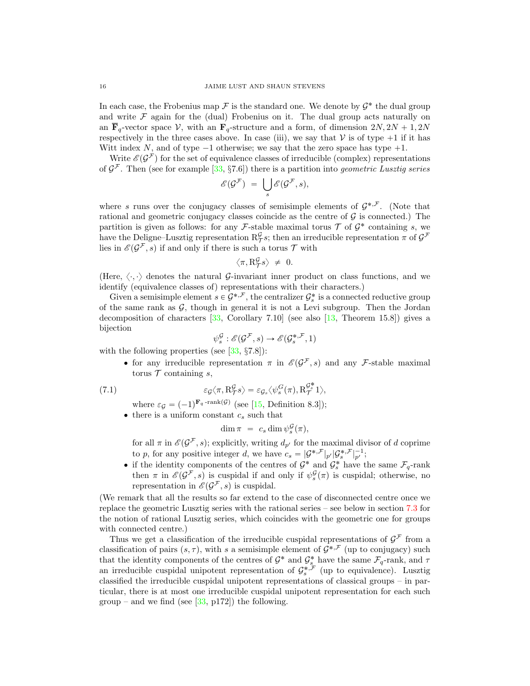In each case, the Frobenius map  $\mathcal F$  is the standard one. We denote by  $\mathcal G^*$  the dual group and write  $\mathcal F$  again for the (dual) Frobenius on it. The dual group acts naturally on an  $\overline{\mathbf{F}}_q$ -vector space V, with an  $\mathbf{F}_q$ -structure and a form, of dimension  $2N, 2N + 1, 2N$ respectively in the three cases above. In case (iii), we say that  $V$  is of type  $+1$  if it has Witt index N, and of type  $-1$  otherwise; we say that the zero space has type  $+1$ .

Write  $\mathscr{E}(\mathcal{G}^{\mathcal{F}})$  for the set of equivalence classes of irreducible (complex) representations of  $\mathcal{G}^{\mathcal{F}}$ . Then (see for example [\[33,](#page-37-21) §7.6]) there is a partition into *geometric Lusztig series*<br> $\mathscr{E}(\mathcal{G}^{\mathcal{F}}) = \bigcup \mathscr{E}(\mathcal{G}^{\mathcal{F}}, s),$ 

$$
\mathscr{E}(\mathcal{G}^{\mathcal{F}}) = \bigcup_{s} \mathscr{E}(\mathcal{G}^{\mathcal{F}}, s),
$$

where s runs over the conjugacy classes of semisimple elements of  $\mathcal{G}^{*,\mathcal{F}}$ . (Note that rational and geometric conjugacy classes coincide as the centre of  $\mathcal G$  is connected.) The partition is given as follows: for any F-stable maximal torus  $\mathcal T$  of  $\mathcal G^*$  containing s, we have the Deligne–Lusztig representation  $\mathcal{R}_{\mathcal{T}}^{\mathcal{G}}$ ; then an irreducible representation  $\pi$  of  $\mathcal{G}^{\mathcal{F}}$ lies in  $\mathscr{E}(\mathcal{G}^{\mathcal{F}}, s)$  if and only if there is such a torus  $\mathcal{T}$  with

$$
\left\langle \pi, \mathcal{R}_{\mathcal{T}}^{\mathcal{G}}s\right\rangle \ \neq \ 0.
$$

(Here,  $\langle \cdot, \cdot \rangle$  denotes the natural G-invariant inner product on class functions, and we identify (equivalence classes of) representations with their characters.)

Given a semisimple element  $s \in \mathcal{G}^{*,\mathcal{F}}$ , the centralizer  $\mathcal{G}_s^*$  is a connected reductive group of the same rank as  $G$ , though in general it is not a Levi subgroup. Then the Jordan decomposition of characters  $\left[33, \text{ Corollary } 7.10\right]$  $\left[33, \text{ Corollary } 7.10\right]$  $\left[33, \text{ Corollary } 7.10\right]$  (see also  $\left[13, \text{ Theorem } 15.8\right]$  $\left[13, \text{ Theorem } 15.8\right]$  $\left[13, \text{ Theorem } 15.8\right]$ ) gives a bijection

$$
\psi_s^{\mathcal{G}} : \mathscr{E}(\mathcal{G}^{\mathcal{F}}, s) \to \mathscr{E}(\mathcal{G}_s^{*, \mathcal{F}}, 1)
$$

with the following properties (see  $[33, 87.8]$  $[33, 87.8]$ ):

• for any irreducible representation  $\pi$  in  $\mathscr{E}(\mathcal{G}^{\mathcal{F}}, s)$  and any F-stable maximal torus  $\mathcal T$  containing s,

(7.1) 
$$
\varepsilon_{\mathcal{G}} \langle \pi, R_{\mathcal{T}}^{\mathcal{G}} s \rangle = \varepsilon_{\mathcal{G}_s} \langle \psi_s^{\mathcal{G}}(\pi), R_{\mathcal{T}}^{\mathcal{G}^*} 1 \rangle,
$$

where  $\varepsilon_{\mathcal{G}} = (-1)^{\mathbf{F}_q \text{-rank}(\mathcal{G})}$  (see [\[15,](#page-37-27) Definition 8.3]);

 $\bullet$  there is a uniform constant  $c_s$  such that

<span id="page-15-0"></span>
$$
\dim \pi = c_s \dim \psi_s^{\mathcal{G}}(\pi),
$$

for all  $\pi$  in  $\mathscr{E}(\mathcal{G}^{\mathcal{F}}, s)$ ; explicitly, writing  $d_{p'}$  for the maximal divisor of d coprime to p, for any positive integer d, we have  $c_s = |\mathcal{G}^{*,\mathcal{F}}|_{p'} |\mathcal{G}_s^{*,\mathcal{F}}|_{p'}^{-1};$ 

• if the identity components of the centres of  $\mathcal{G}^*$  and  $\mathcal{G}_s^*$  have the same  $\mathcal{F}_q$ -rank then  $\pi$  in  $\mathscr{E}(\mathcal{G}^{\mathcal{F}},s)$  is cuspidal if and only if  $\psi_s^{\mathcal{G}}(\pi)$  is cuspidal; otherwise, no representation in  $\mathscr{E}(\mathcal{G}^{\mathcal{F}}, s)$  is cuspidal.

(We remark that all the results so far extend to the case of disconnected centre once we replace the geometric Lusztig series with the rational series – see below in section [7.3](#page-17-0) for the notion of rational Lusztig series, which coincides with the geometric one for groups with connected centre.)

Thus we get a classification of the irreducible cuspidal representations of  $\mathcal{G}^{\mathcal{F}}$  from a classification of pairs  $(s, \tau)$ , with s a semisimple element of  $\mathcal{G}^{*,\mathcal{F}}$  (up to conjugacy) such that the identity components of the centres of  $\mathcal{G}^*$  and  $\mathcal{G}_s^*$  have the same  $\mathcal{F}_q$ -rank, and  $\tau$ an irreducible cuspidal unipotent representation of  $\mathcal{G}_{s}^{*,\mathcal{F}}$  (up to equivalence). Lusztig classified the irreducible cuspidal unipotent representations of classical groups – in particular, there is at most one irreducible cuspidal unipotent representation for each such group – and we find (see  $[33, p172]$  $[33, p172]$ ) the following.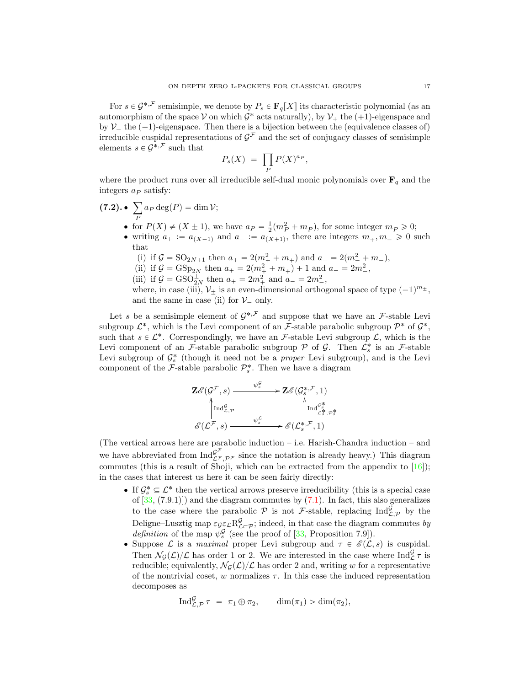For  $s \in \mathcal{G}^{*,\mathcal{F}}$  semisimple, we denote by  $P_s \in \mathbf{F}_q[X]$  its characteristic polynomial (as an automorphism of the space  $V$  on which  $\mathcal{G}^*$  acts naturally), by  $\mathcal{V}_+$  the  $(+1)$ -eigenspace and by  $\mathcal{V}_-$  the  $(-1)$ -eigenspace. Then there is a bijection between the (equivalence classes of) irreducible cuspidal representations of  $\mathcal{G}^{\mathcal{F}}$  and the set of conjugacy classes of semisimple elements  $s \in \mathcal{G}^{*,\mathcal{F}}$  such that

$$
P_s(X) = \prod_P P(X)^{a_P},
$$

where the product runs over all irreducible self-dual monic polynomials over  $\mathbf{F}_q$  and the integers  $a_P$  satisfy: ÿ

- $(7.2)$ . P  $a_P \deg(P) = \dim \mathcal{V};$ • for  $P(X) \neq (X \pm 1)$ , we have  $a_P = \frac{1}{2}(m_P^2 + m_P)$ , for some integer  $m_P \geq 0$ ;
	- writing  $a_+ := a_{(X-1)}$  and  $a_- := a_{(X+1)}$ , there are integers  $m_+, m_- \geq 0$  such that
		- (i) if  $G = SO_{2N+1}$  then  $a_+ = 2(m_+^2 + m_+)$  and  $a_- = 2(m_-^2 + m_-)$ ,
		- (ii) if  $G = \text{GSp}_{2N}$  then  $a_+ = 2(m_+^2 + m_+) + 1$  and  $a_- = 2m_-^2$ ,
		- (iii) if  $G = GSO_{2N}^{\pm}$  then  $a_{+} = 2m_{+}^{2}$  and  $a_{-} = 2m_{-}^{2}$ ,

where, in case (iii),  $V_{\pm}$  is an even-dimensional orthogonal space of type  $(-1)^{m_{\pm}}$ , and the same in case (ii) for  $\mathcal{V}_-$  only.

Let s be a semisimple element of  $\mathcal{G}^{*,\mathcal{F}}$  and suppose that we have an  $\mathcal{F}$ -stable Levi subgroup  $\mathcal{L}^*$ , which is the Levi component of an  $\mathcal{F}$ -stable parabolic subgroup  $\mathcal{P}^*$  of  $\mathcal{G}^*$ , such that  $s \in \mathcal{L}^*$ . Correspondingly, we have an F-stable Levi subgroup  $\mathcal{L}$ , which is the Levi component of an F-stable parabolic subgroup  $P$  of  $G$ . Then  $\mathcal{L}_s^*$  is an F-stable Levi subgroup of  $\mathcal{G}_{s}^{*}$  (though it need not be a *proper* Levi subgroup), and is the Levi component of the  $\mathcal{F}\text{-stable parabolic }\mathcal{P}_s^*$ . Then we have a diagram

$$
\mathbf{Z}\mathscr{E}(\mathcal{G}^{\mathcal{F}},s) \xrightarrow{\psi_s^{\mathcal{G}}} \mathbf{Z}\mathscr{E}(\mathcal{G}_s^{*,\mathcal{F}},1)
$$
\n
$$
\uparrow \text{Ind}_{\mathcal{L},\mathcal{P}}^{\mathcal{G}^{\mathcal{G}}} \qquad \qquad \uparrow \text{Ind}_{\mathcal{L}_s^*,\mathcal{P}_s^*}^{\mathcal{G}_s^*}
$$
\n
$$
\mathscr{E}(\mathcal{L}^{\mathcal{F}},s) \xrightarrow{\psi_s^{\mathcal{L}}} \mathscr{E}(\mathcal{L}_s^{*,\mathcal{F}},1)
$$

(The vertical arrows here are parabolic induction – i.e. Harish-Chandra induction – and we have abbreviated from  $\text{Ind}_{\mathcal{L}^{\mathcal{F}},\mathcal{P}^{\mathcal{F}}}^{\mathcal{G}^{\mathcal{F}}}$  since the notation is already heavy.) This diagram commutes (this is a result of Shoji, which can be extracted from the appendix to  $[16]$ ); in the cases that interest us here it can be seen fairly directly:

- If  $\mathcal{G}_s^* \subseteq \mathcal{L}^*$  then the vertical arrows preserve irreducibility (this is a special case of  $[33, (7.9.1)]$  $[33, (7.9.1)]$  and the diagram commutes by  $(7.1)$ . In fact, this also generalizes to the case where the parabolic  $P$  is not F-stable, replacing  $\text{Ind}_{\mathcal{L},\mathcal{P}}^{\mathcal{G}}$  by the Deligne–Lusztig map  $\varepsilon_{\mathcal{G}_{\mathcal{L}}^{\mathcal{L}}} R_{\mathcal{L}_{\mathcal{L}}^{\mathcal{L}}\mathcal{P}}^{\mathcal{G}}$ ; indeed, in that case the diagram commutes by *definition* of the map  $\psi_s^{\mathcal{G}}$  (see the proof of [\[33,](#page-37-21) Proposition 7.9]).
- Suppose  $\mathcal L$  is a maximal proper Levi subgroup and  $\tau \in \mathscr{E}(\mathcal L, s)$  is cuspidal. Then  $\mathcal{N}_{\mathcal{G}}(\mathcal{L})/\mathcal{L}$  has order 1 or 2. We are interested in the case where  $\text{Ind}_{\mathcal{L}}^{\mathcal{G}} \tau$  is reducible; equivalently,  $\mathcal{N}_{\mathcal{G}}(\mathcal{L})/\mathcal{L}$  has order 2 and, writing w for a representative of the nontrivial coset, w normalizes  $\tau$ . In this case the induced representation decomposes as

$$
\operatorname{Ind}_{\mathcal{L},\mathcal{P}}^{\mathcal{G}} \tau = \pi_1 \oplus \pi_2, \qquad \dim(\pi_1) > \dim(\pi_2),
$$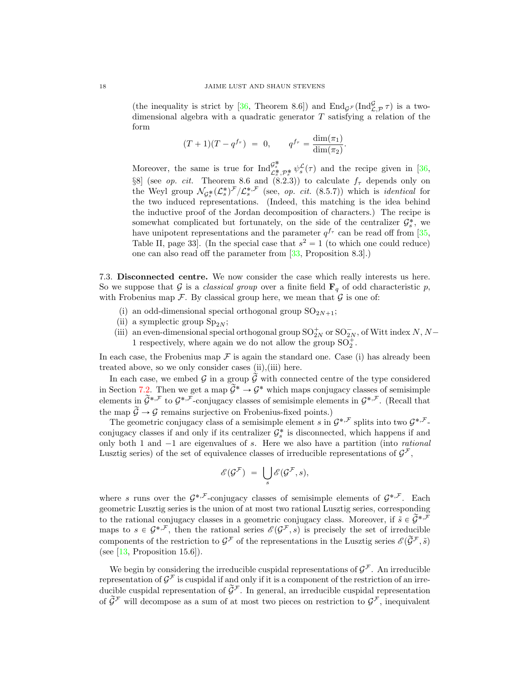(the inequality is strict by [\[36,](#page-37-24) Theorem 8.6]) and  $\text{End}_{\mathcal{G}^{\mathcal{F}}}(\text{Ind}_{\mathcal{L},\mathcal{P}}^{\mathcal{G}}\tau)$  is a twodimensional algebra with a quadratic generator  $T$  satisfying a relation of the form

$$
(T+1)(T-q^{f_{\tau}}) = 0, \qquad q^{f_{\tau}} = \frac{\dim(\pi_1)}{\dim(\pi_2)}.
$$

Moreover, the same is true for  $\text{Ind}_{\mathcal{L}_{\sigma}^{*},\mathcal{P}_{\sigma}^{*}}^{\mathcal{G}_{\sigma}^{*}} \psi_{s}^{\mathcal{L}}(\tau)$  and the recipe given in [\[36,](#page-37-24) §8] (see *op. cit.* Theorem 8.6 and (8.2.3)) to calculate  $f_{\tau}$  depends only on the Weyl group  $\mathcal{N}_{\mathcal{G}_s^*}(\mathcal{L}_s^*)^{\mathcal{F}}/\mathcal{L}_s^{*,\mathcal{F}}$  (see, *op. cit.* (8.5.7)) which is *identical* for the two induced representations. (Indeed, this matching is the idea behind the inductive proof of the Jordan decomposition of characters.) The recipe is somewhat complicated but fortunately, on the side of the centralizer  $\mathcal{G}_s^*$ , we have unipotent representations and the parameter  $q^{f_{\tau}}$  can be read off from [\[35,](#page-37-18) Table II, page 33. (In the special case that  $s^2 = 1$  (to which one could reduce) one can also read off the parameter from [\[33,](#page-37-21) Proposition 8.3].)

<span id="page-17-0"></span>7.3. Disconnected centre. We now consider the case which really interests us here. So we suppose that G is a classical group over a finite field  $\mathbf{F}_q$  of odd characteristic p, with Frobenius map  $\mathcal F.$  By classical group here, we mean that  $\mathcal G$  is one of:

- (i) an odd-dimensional special orthogonal group  $SO_{2N+1}$ ;
- (ii) a symplectic group  $Sp_{2N}$ ;
- (iii) an even-dimensional special orthogonal group  $\mathrm{SO}^+_{2N}$  or  $\mathrm{SO}^-_{2N},$  of Witt index  $N,N-$ 1 respectively, where again we do not allow the group  $\mathrm{SO}_2^+ .$

In each case, the Frobenius map  $\mathcal F$  is again the standard one. Case (i) has already been treated above, so we only consider cases (ii),(iii) here.

In each case, we embed  $\mathcal G$  in a group  $\widetilde{\mathcal G}$  with connected centre of the type considered in Section [7.2.](#page-14-1) Then we get a map  $\widetilde{\mathcal{G}}^* \to \mathcal{G}^*$  which maps conjugacy classes of semisimple elements in  $\widetilde{\mathcal{G}}^{*,\mathcal{F}}$  to  $\mathcal{G}^{*,\mathcal{F}}$ -conjugacy classes of semisimple elements in  $\mathcal{G}^{*,\mathcal{F}}$ . (Recall that the map  $\widetilde{\mathcal{G}}\to \mathcal{G}$  remains surjective on Frobenius-fixed points.)

The geometric conjugacy class of a semisimple element s in  $\mathcal{G}^{*,\mathcal{F}}$  splits into two  $\mathcal{G}^{*,\mathcal{F}}$ conjugacy classes if and only if its centralizer  $\mathcal{G}_{s}^{*}$  is disconnected, which happens if and only both 1 and  $-1$  are eigenvalues of s. Here we also have a partition (into *rational* Lusztig series) of the set of equivalence classes of irreducible representations of  $\mathcal{G}^{\mathcal{F}},$ 

$$
\mathscr{E}(\mathcal{G}^{\mathcal{F}}) = \bigcup_{s} \mathscr{E}(\mathcal{G}^{\mathcal{F}}, s),
$$

where s runs over the  $\mathcal{G}^{*,\mathcal{F}}$ -conjugacy classes of semisimple elements of  $\mathcal{G}^{*,\mathcal{F}}$ . Each geometric Lusztig series is the union of at most two rational Lusztig series, corresponding to the rational conjugacy classes in a geometric conjugacy class. Moreover, if  $\tilde{s} \in \tilde{\mathcal{G}}^{*,\bar{\mathcal{F}}}$ maps to  $s \in \mathcal{G}^{*,\mathcal{F}}$ , then the rational series  $\mathscr{E}(\mathcal{G}^{\mathcal{F}},s)$  is precisely the set of irreducible components of the restriction to  $\mathcal{G}^{\mathcal{F}}$  of the representations in the Lusztig series  $\mathscr{E}(\widetilde{\mathcal{G}}^{\mathcal{F}}, \tilde{s})$ (see  $[13,$  Proposition 15.6]).

We begin by considering the irreducible cuspidal representations of  $\mathcal{G}^{\mathcal{F}}$ . An irreducible representation of  $\mathcal{G}^{\mathcal{F}}$  is cuspidal if and only if it is a component of the restriction of an irreducible cuspidal representation of  $\tilde{\mathcal{G}}^{\mathcal{F}}$ . In general, an irreducible cuspidal representation of  $\widetilde{\mathcal{G}}^{\mathcal{F}}$  will decompose as a sum of at most two pieces on restriction to  $\mathcal{G}^{\mathcal{F}}$ , inequivalent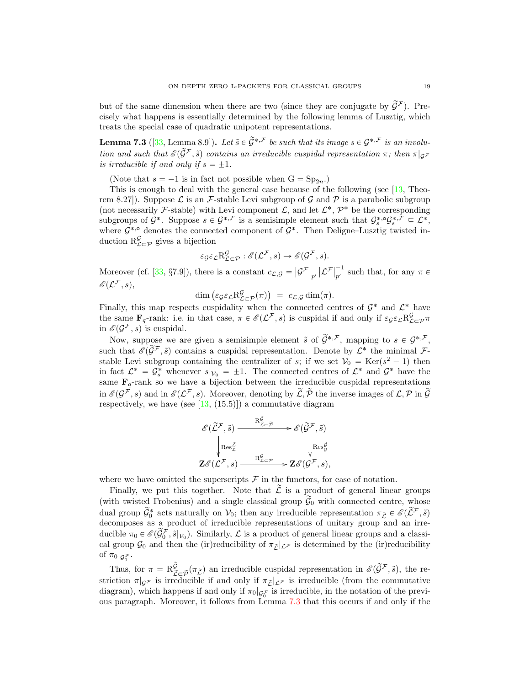but of the same dimension when there are two (since they are conjugate by  $\tilde{\mathcal{G}}^{\mathcal{F}}$ ). Precisely what happens is essentially determined by the following lemma of Lusztig, which treats the special case of quadratic unipotent representations.

<span id="page-18-0"></span>**Lemma 7.3** ([\[33,](#page-37-21) Lemma 8.9]). Let  $\tilde{s} \in \tilde{\mathcal{G}}^{*,\mathcal{F}}$  be such that its image  $s \in \mathcal{G}^{*,\mathcal{F}}$  is an involution and such that  $\mathscr{E}(\widetilde{\mathcal{G}}^{\mathcal{F}}, \widetilde{s})$  contains an irreducible cuspidal representation  $\pi$ ; then  $\pi|_{\mathcal{G}^{\mathcal{F}}}$ is irreducible if and only if  $s = \pm 1$ .

(Note that  $s = -1$  is in fact not possible when  $G = Sp_{2n}$ .)

This is enough to deal with the general case because of the following (see [\[13,](#page-37-26) Theorem 8.27). Suppose  $\mathcal L$  is an  $\mathcal F$ -stable Levi subgroup of  $\mathcal G$  and  $\mathcal P$  is a parabolic subgroup (not necessarily F-stable) with Levi component  $\mathcal{L}$ , and let  $\mathcal{L}^*, \mathcal{P}^*$  be the corresponding subgroups of  $\mathcal{G}^*$ . Suppose  $s \in \mathcal{G}^{*,\mathcal{F}}$  is a semisimple element such that  $\mathcal{G}_s^{*,\mathcal{G}}\mathcal{G}_s^{*,\mathcal{F}} \subseteq \mathcal{L}^*,$ where  $G^{*,\circ}$  denotes the connected component of  $G^*$ . Then Deligne–Lusztig twisted induction  $R^{\mathcal{G}}_{\mathcal{L}\subset\mathcal{P}}$  gives a bijection

$$
\varepsilon_{\mathcal{G}} \varepsilon_{\mathcal{L}} \mathcal{R}^{\mathcal{G}}_{\mathcal{L}\subset \mathcal{P}} : \mathscr{E}(\mathcal{L}^{\mathcal{F}}, s) \to \mathscr{E}(\mathcal{G}^{\mathcal{F}}, s).
$$

Moreover (cf. [\[33,](#page-37-21) §7.9]), there is a constant  $c_{\mathcal{L},\mathcal{G}} =$  $\left|\mathcal{G}^{\mathcal{F}}\right|_{p'}$  $\left|\mathcal{L}^{\mathcal{F}}\right|^{-1}_{\mathfrak{m}^{\prime}}$  $p^{\prime}$  such that, for any  $\pi \in$  $\mathscr{E}({\mathcal{L}}^{\mathcal{F}},s),$ 

 $\dim \big(\varepsilon_{\mathcal{G}} \varepsilon_{\mathcal{L}} \mathbf{R}_{\mathcal{L}\subset \mathcal{P}}^{\mathcal{G}}(\pi)$  $= c_{\mathcal{L},\mathcal{G}} \dim(\pi).$ 

Finally, this map respects cuspidality when the connected centres of  $\mathcal{G}^*$  and  $\mathcal{L}^*$  have the same  $\mathbf{F}_q$ -rank: i.e. in that case,  $\pi \in \mathscr{E}(\mathcal{L}^{\mathcal{F}}, s)$  is cuspidal if and only if  $\varepsilon_g \varepsilon_{\mathcal{L}} R_{\mathcal{L}\subset \mathcal{P}}^{\mathcal{G}} \pi$ in  $\mathscr{E}(\mathcal{G}^{\mathcal{F}}, s)$  is cuspidal.

Now, suppose we are given a semisimple element  $\tilde{s}$  of  $\tilde{\mathcal{G}}^{*,\mathcal{F}},$  mapping to  $s \in \mathcal{G}^{*,\mathcal{F}},$ such that  $\mathscr{E}(\widetilde{\mathcal{G}}^{\mathcal{F}},\tilde{s})$  contains a cuspidal representation. Denote by  $\mathcal{L}^*$  the minimal  $\mathcal{F}$ stable Levi subgroup containing the centralizer of s; if we set  $V_0 = \text{Ker}(s^2 - 1)$  then in fact  $\mathcal{L}^* = \mathcal{G}_s^*$  whenever  $s|_{\mathcal{V}_0} = \pm 1$ . The connected centres of  $\mathcal{L}^*$  and  $\mathcal{G}^*$  have the same  $\mathbf{F}_q$ -rank so we have a bijection between the irreducible cuspidal representations in  $\mathscr{E}(\mathcal{G}^{\vec{\mathcal{F}}},s)$  and in  $\mathscr{E}(\mathcal{L}^{\mathcal{F}},s)$ . Moreover, denoting by  $\widetilde{\mathcal{L}},\widetilde{\mathcal{P}}$  the inverse images of  $\mathcal{L},\mathcal{P}$  in  $\widetilde{\mathcal{G}}$ respectively, we have (see  $[13, (15.5)]$  $[13, (15.5)]$ ) a commutative diagram

$$
\begin{array}{ccc}\n\mathscr{E}(\widetilde{\mathcal{L}}^{\mathcal{F}},\widetilde{s}) & \xrightarrow{\mathrm{R}_{\mathcal{L}\subset\widetilde{\mathcal{P}}}^{\widetilde{\mathcal{G}}}} & \mathscr{E}(\widetilde{\mathcal{G}}^{\mathcal{F}},\widetilde{s}) \\
& \downarrow\n\end{array}
$$
\n
$$
\mathbf{Z}\mathscr{E}(\mathcal{L}^{\mathcal{F}},s) \xrightarrow{\mathrm{R}_{\mathcal{L}\subset\mathcal{P}}^{\mathcal{G}}} \mathbf{Z}\mathscr{E}(\mathcal{G}^{\mathcal{F}},s),
$$

where we have omitted the superscripts  $\mathcal F$  in the functors, for ease of notation.

Finally, we put this together. Note that  $\tilde{\mathcal{L}}$  is a product of general linear groups (with twisted Frobenius) and a single classical group  $\tilde{G}_0$  with connected centre, whose dual group  $\widetilde{\mathcal{G}}_0^*$  acts naturally on  $\mathcal{V}_0$ ; then any irreducible representation  $\pi_{\widetilde{\mathcal{L}}} \in \mathscr{E}(\widetilde{\mathcal{L}}^{\mathcal{F}}, \widetilde{s})$ decomposes as a product of irreducible representations of unitary group and an irreducible  $\pi_0 \in \mathscr{E}(\widetilde{\mathcal{G}}_0^{\mathcal{F}}, \widetilde{s}|_{\mathcal{V}_0})$ . Similarly,  $\mathcal{L}$  is a product of general linear groups and a classical group  $\mathcal{G}_0$  and then the (ir)reducibility of  $\pi_{\tilde{L}}|_{\mathcal{L}^{\mathcal{F}}}$  is determined by the (ir)reducibility of  $\pi_0|_{\mathcal{G}_0^{\mathcal{F}}}$ .

Thus, for  $\pi = \mathrm{R}^{\widetilde{\mathcal{G}}}_{\widetilde{\mathcal{E}}}$  $\tilde{G}(\tilde{G}^{\mathcal{F}},\tilde{s})$ , an irreducible cuspidal representation in  $\mathscr{E}(\tilde{G}^{\mathcal{F}},\tilde{s})$ , the restriction  $\pi|_{\mathcal{G}^F}$  is irreducible if and only if  $\pi_{\tilde{L}}|_{\mathcal{L}^F}$  is irreducible (from the commutative diagram), which happens if and only if  $\pi_0|_{\mathcal{G}_0^{\mathcal{F}}}$  is irreducible, in the notation of the previ-ous paragraph. Moreover, it follows from Lemma [7.3](#page-18-0) that this occurs if and only if the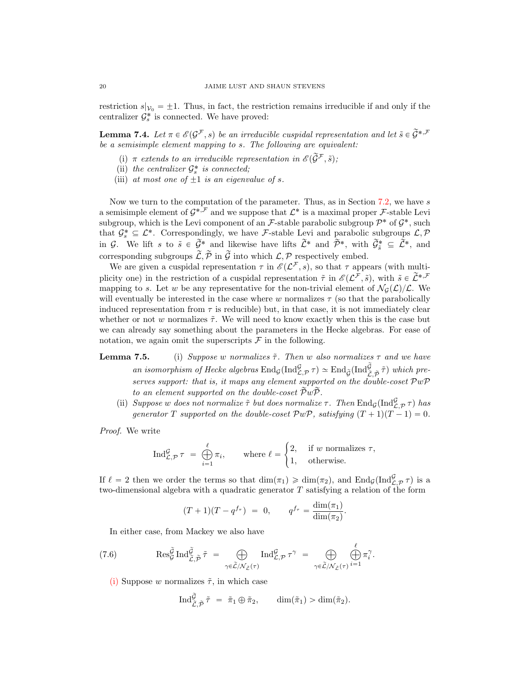restriction  $s|_{\mathcal{V}_0} = \pm 1$ . Thus, in fact, the restriction remains irreducible if and only if the centralizer  $\mathcal{G}_{s}^{*}$  is connected. We have proved:

<span id="page-19-3"></span>**Lemma 7.4.** Let  $\pi \in \mathcal{E}(\mathcal{G}^{\mathcal{F}}, s)$  be an irreducible cuspidal representation and let  $\tilde{s} \in \tilde{\mathcal{G}}^{*, \mathcal{F}}$ be a semisimple element mapping to s. The following are equivalent:

- (i)  $\pi$  extends to an irreducible representation in  $\mathscr{E}(\widetilde{\mathcal{G}}^{\mathcal{F}}, \widetilde{s});$
- (ii) the centralizer  $\mathcal{G}_{s}^{*}$  is connected;
- (iii) at most one of  $\pm 1$  is an eigenvalue of s.

Now we turn to the computation of the parameter. Thus, as in Section [7.2,](#page-14-1) we have  $s$ a semisimple element of  $\mathcal{G}^{*,\mathcal{F}}$  and we suppose that  $\mathcal{L}^*$  is a maximal proper  $\mathcal{F}$ -stable Levi subgroup, which is the Levi component of an F-stable parabolic subgroup  $\mathcal{P}^*$  of  $\mathcal{G}^*$ , such that  $\mathcal{G}_{s}^{*} \subseteq \mathcal{L}^{*}$ . Correspondingly, we have F-stable Levi and parabolic subgroups  $\mathcal{L}, \mathcal{P}$ in G. We lift s to  $\tilde{s} \in \tilde{\mathcal{G}}^*$  and likewise have lifts  $\tilde{\mathcal{L}}^*$  and  $\tilde{\mathcal{P}}^*$ , with  $\tilde{\mathcal{G}}^*_{\tilde{s}} \subseteq \tilde{\mathcal{L}}^*$ , and corresponding subgroups  $\widetilde{\mathcal{L}}, \widetilde{\mathcal{P}}$  in  $\widetilde{\mathcal{G}}$  into which  $\mathcal{L}, \mathcal{P}$  respectively embed.

We are given a cuspidal representation  $\tau$  in  $\mathscr{E}(\mathcal{L}^{\mathcal{F}}, s)$ , so that  $\tau$  appears (with multiplicity one) in the restriction of a cuspidal representation  $\tilde{\tau}$  in  $\mathscr{E}(\mathcal{L}^{\mathcal{F}},\tilde{s})$ , with  $\tilde{s} \in \tilde{\mathcal{L}}^{*,\mathcal{F}}$ mapping to s. Let w be any representative for the non-trivial element of  $\mathcal{N}_G(\mathcal{L})/\mathcal{L}$ . We will eventually be interested in the case where w normalizes  $\tau$  (so that the parabolically induced representation from  $\tau$  is reducible) but, in that case, it is not immediately clear whether or not w normalizes  $\tilde{\tau}$ . We will need to know exactly when this is the case but we can already say something about the parameters in the Hecke algebras. For ease of notation, we again omit the superscripts  $\mathcal F$  in the following.

<span id="page-19-0"></span>**Lemma 7.5.** (i) Suppose w normalizes  $\tilde{\tau}$ . Then w also normalizes  $\tau$  and we have an isomorphism of Hecke algebras  $\text{End}_{\mathcal{G}}(\text{Ind}_{\mathcal{L},\mathcal{P}}^{\mathcal{G}} \tau) \simeq \text{End}_{\widetilde{\mathcal{G}}}(\text{Ind}_{\widetilde{\mathcal{L}},\widetilde{\mathcal{P}}}^{\widetilde{\mathcal{G}}}\widetilde{\tau})$  which preserves support: that is, it maps any element supported on the double-coset  $\mathcal{P}w\mathcal{P}$ to an element supported on the double-coset  $\tilde{\mathcal{P}}w\tilde{\mathcal{P}}$ .

<span id="page-19-2"></span>(ii) Suppose w does not normalize  $\tilde{\tau}$  but does normalize  $\tau$ . Then  $\text{End}_{\mathcal{G}}(\text{Ind}_{\mathcal{L},\mathcal{P}}^{\mathcal{G}}\tau)$  has generator T supported on the double-coset  $\mathcal{P}w\mathcal{P}$ , satisfying  $(T + 1)(T - 1) = 0$ .

Proof. We write

$$
\operatorname{Ind}_{\mathcal{L},\mathcal{P}}^{\mathcal{G}} \tau = \bigoplus_{i=1}^{\ell} \pi_i, \quad \text{where } \ell = \begin{cases} 2, & \text{if } w \text{ normalizes } \tau, \\ 1, & \text{otherwise.} \end{cases}
$$

If  $\ell = 2$  then we order the terms so that  $\dim(\pi_1) \geq \dim(\pi_2)$ , and  $\text{End}_{\mathcal{G}}(\text{Ind}_{\mathcal{L},\mathcal{P}}^{\mathcal{G}} \tau)$  is a two-dimensional algebra with a quadratic generator T satisfying a relation of the form

$$
(T+1)(T-q^{f_{\tau}}) = 0, \qquad q^{f_{\tau}} = \frac{\dim(\pi_1)}{\dim(\pi_2)}.
$$

<span id="page-19-1"></span>In either case, from Mackey we also have

(7.6) 
$$
\operatorname{Res}_{\mathcal{G}}^{\widetilde{\mathcal{G}}} \operatorname{Ind}_{\widetilde{\mathcal{L}},\widetilde{\mathcal{P}}}^{\widetilde{\mathcal{G}}} = \bigoplus_{\gamma \in \widetilde{\mathcal{L}}/\mathcal{N}_{\widetilde{\mathcal{L}}}(\tau)} \operatorname{Ind}_{\mathcal{L},\mathcal{P}}^{\mathcal{G}} \tau^{\gamma} = \bigoplus_{\gamma \in \widetilde{\mathcal{L}}/\mathcal{N}_{\widetilde{\mathcal{L}}}(\tau)} \bigoplus_{i=1}^{\ell} \pi_i^{\gamma}.
$$

[\(i\)](#page-19-0) Suppose w normalizes  $\tilde{\tau}$ , in which case

$$
\operatorname{Ind}_{\widetilde{\mathcal{L}},\widetilde{\mathcal{P}}}^{\widetilde{\mathcal{G}}} = \widetilde{\pi}_1 \oplus \widetilde{\pi}_2, \qquad \dim(\widetilde{\pi}_1) > \dim(\widetilde{\pi}_2).
$$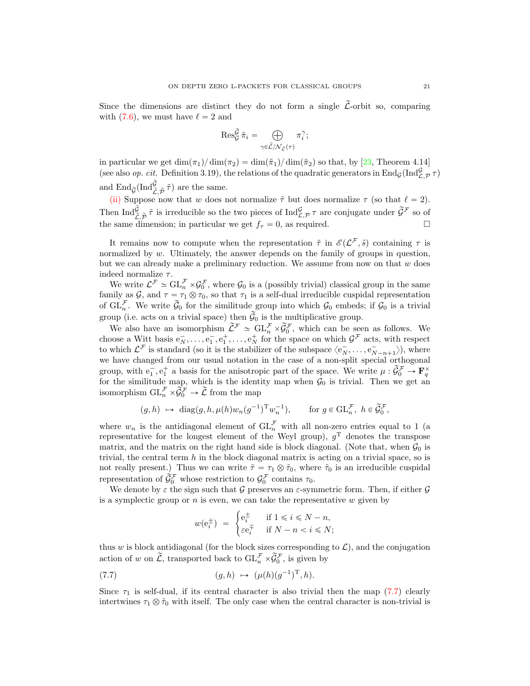Since the dimensions are distinct they do not form a single  $\mathcal{L}$ -orbit so, comparing with [\(7.6\)](#page-19-1), we must have  $\ell = 2$  and

$$
\operatorname{Res}_{\mathcal{G}}^{\widetilde{\mathcal{G}}}\widetilde{\pi}_i=\bigoplus_{\gamma\in\widetilde{\mathcal{L}}/\mathcal{N}_{\widetilde{\mathcal{L}}}(\tau)}\pi_i^{\gamma};
$$

in particular we get  $\dim(\pi_1)/\dim(\pi_2) = \dim(\tilde{\pi}_1)/\dim(\tilde{\pi}_2)$  so that, by [\[23,](#page-37-17) Theorem 4.14] (see also *op. cit.* Definition 3.19), the relations of the quadratic generators in End<sub>G</sub>(Ind<sub>C,P</sub>  $\tau$ ) and  $\operatorname{End}_{\widetilde{\mathcal{G}}}(\operatorname{Ind}_{\widetilde{\mathcal{L}},\widetilde{\mathcal{P}}}^{\widetilde{\mathcal{G}}})$  are the same.

[\(ii\)](#page-19-2) Suppose now that w does not normalize  $\tilde{\tau}$  but does normalize  $\tau$  (so that  $\ell = 2$ ). Then  $\text{Ind}_{\tilde{C},\tilde{\mathcal{P}}}^{\tilde{G}}\tilde{\tau}$  is irreducible so the two pieces of  $\text{Ind}_{\mathcal{L},\mathcal{P}}^{\mathcal{G}}\tau$  are conjugate under  $\tilde{\mathcal{G}}^{\mathcal{F}}$  so of the same dimension; in particular we get  $f_\tau = 0$ , as required.

It remains now to compute when the representation  $\tilde{\tau}$  in  $\mathscr{E}(\mathcal{L}^{\mathcal{F}},\tilde{s})$  containing  $\tau$  is normalized by w. Ultimately, the answer depends on the family of groups in question, but we can already make a preliminary reduction. We assume from now on that  $w$  does indeed normalize  $\tau$ .

We write  $\mathcal{L}^{\mathcal{F}} \simeq \mathrm{GL}_{n}^{\mathcal{F}} \times \mathcal{G}_{0}^{\mathcal{F}}$ , where  $\mathcal{G}_{0}$  is a (possibly trivial) classical group in the same family as  $G$ , and  $\tau = \tau_1 \otimes \tau_0$ , so that  $\tau_1$  is a self-dual irreducible cuspidal representation of  $\widetilde{\mathrm{GL}_n^{\mathcal{F}}}$ . We write  $\widetilde{\mathcal{G}}_0$  for the similitude group into which  $\mathcal{G}_0$  embeds; if  $\mathcal{G}_0$  is a trivial group (i.e. acts on a trivial space) then  $\widetilde{\mathcal{G}}_0$  is the multiplicative group.

We also have an isomorphism  $\tilde{\mathcal{L}}^{\mathcal{F}} \simeq GL_n^{\mathcal{F}} \times \tilde{\mathcal{G}}_0^{\mathcal{F}}$ , which can be seen as follows. We choose a Witt basis  $e_N^-, \ldots, e_1^-, e_1^+, \ldots, e_N^+$  for the space on which  $\mathcal{G}^{\mathcal{F}}$  acts, with respect to which  $\mathcal{L}^{\mathcal{F}}$  is standard (so it is the stabilizer of the subspace  $\langle e_N^-, \ldots, e_{N-n+1}^- \rangle$ ), where we have changed from our usual notation in the case of a non-split special orthogonal group, with  $e_1^-, e_1^+$  a basis for the anisotropic part of the space. We write  $\mu : \widetilde{\mathcal{G}}_0^{\mathcal{F}} \to \mathbf{F}_q^{\times}$ for the similitude map, which is the identity map when  $\mathcal{G}_0$  is trivial. Then we get an isomorphism  $\operatorname{GL}_n^{\mathcal{F}} \times \widetilde{\mathcal{G}}_0^{\mathcal{F}} \to \widetilde{\mathcal{L}}$  from the map

$$
(g,h) \ \mapsto \ \text{diag}(g,h,\mu(h)w_n(g^{-1})^{\mathrm{T}}w_n^{-1}), \qquad \text{for $g\in \mathrm{GL}_n^{\mathcal{F}},$ $h\in \widetilde{\mathcal{G}}_0^{\mathcal{F}}$},
$$

where  $w_n$  is the antidiagonal element of  $GL_n^{\mathcal{F}}$  with all non-zero entries equal to 1 (a representative for the longest element of the Weyl group),  $g<sup>T</sup>$  denotes the transpose matrix, and the matrix on the right hand side is block diagonal. (Note that, when  $\mathcal{G}_0$  is trivial, the central term  $h$  in the block diagonal matrix is acting on a trivial space, so is not really present.) Thus we can write  $\tilde{\tau} = \tau_1 \otimes \tilde{\tau}_0$ , where  $\tilde{\tau}_0$  is an irreducible cuspidal representation of  $\hat{\check{g}}_0^{\mathcal{F}}$  whose restriction to  $\mathcal{G}_0^{\mathcal{F}}$  contains  $\tau_0$ .

We denote by  $\varepsilon$  the sign such that G preserves an  $\varepsilon$ -symmetric form. Then, if either G is a symplectic group or  $n$  is even, we can take the representative  $w$  given by

<span id="page-20-0"></span>
$$
w(e_i^{\pm}) = \begin{cases} e_i^{\pm} & \text{if } 1 \le i \le N - n, \\ \varepsilon e_i^{\mp} & \text{if } N - n < i \le N; \end{cases}
$$

thus w is block antidiagonal (for the block sizes corresponding to  $\mathcal{L}$ ), and the conjugation action of w on  $\widetilde{\mathcal{L}}$ , transported back to  $\mathrm{GL}_n^{\mathcal{F}} \times \widetilde{\mathcal{G}}_0^{\mathcal{F}}$ , is given by

(7.7) 
$$
(g,h) \mapsto (\mu(h)(g^{-1})^T, h).
$$

Since  $\tau_1$  is self-dual, if its central character is also trivial then the map [\(7.7\)](#page-20-0) clearly intertwines  $\tau_1 \otimes \tilde{\tau}_0$  with itself. The only case when the central character is non-trivial is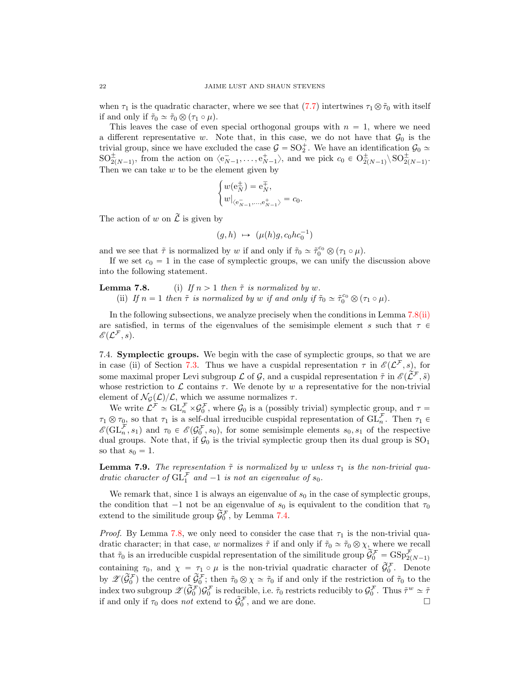when  $\tau_1$  is the quadratic character, where we see that [\(7.7\)](#page-20-0) intertwines  $\tau_1 \otimes \tilde{\tau}_0$  with itself if and only if  $\tilde{\tau}_0 \simeq \tilde{\tau}_0 \otimes (\tau_1 \circ \mu)$ .

This leaves the case of even special orthogonal groups with  $n = 1$ , where we need a different representative w. Note that, in this case, we do not have that  $\mathcal{G}_0$  is the trivial group, since we have excluded the case  $G = SO_2^+$ . We have an identification  $\mathcal{G}_0 \simeq$  $SO_{2(N-1)}^{\pm}$ , from the action on  $\langle e_{N-1}^{\pm}, \ldots, e_{N-1}^{\pm} \rangle$ , and we pick  $c_0 \in O_{2(N-1)}^{\pm} \setminus SO_{2(N-1)}^{\pm}$ . Then we can take  $w$  to be the element given by

$$
\begin{cases} w(\mathbf{e}_N^{\pm}) = \mathbf{e}_N^{\mp}, \\ w|_{\langle \mathbf{e}_{N-1}^-, \dots, \mathbf{e}_{N-1}^+ \rangle} = c_0. \end{cases}
$$

The action of w on  $\widetilde{\mathcal{L}}$  is given by

$$
(g,h)~\mapsto~(\mu(h)g, c_0hc_0^{-1})
$$

and we see that  $\tilde{\tau}$  is normalized by w if and only if  $\tilde{\tau}_0 \simeq \tilde{\tau}_0^{c_0} \otimes (\tau_1 \circ \mu)$ .

If we set  $c_0 = 1$  in the case of symplectic groups, we can unify the discussion above into the following statement.

<span id="page-21-0"></span>**Lemma 7.8.** (i) If  $n > 1$  then  $\tilde{\tau}$  is normalized by w. (ii) If  $n = 1$  then  $\tilde{\tau}$  is normalized by w if and only if  $\tilde{\tau}_0 \simeq \tilde{\tau}_0^{c_0} \otimes (\tau_1 \circ \mu)$ .

In the following subsections, we analyze precisely when the conditions in Lemma [7.8](#page-0-0)[\(ii\)](#page-21-0) are satisfied, in terms of the eigenvalues of the semisimple element s such that  $\tau \in$  $\mathscr{E} (\mathcal{L}^{\mathcal{F}}, s).$ 

<span id="page-21-2"></span>7.4. Symplectic groups. We begin with the case of symplectic groups, so that we are in case (ii) of Section [7.3.](#page-17-0) Thus we have a cuspidal representation  $\tau$  in  $\mathscr{E}(\mathcal{L}^{\mathcal{F}},s)$ , for some maximal proper Levi subgroup  $\mathcal L$  of  $\mathcal G$ , and a cuspidal representation  $\tilde \tau$  in  $\mathscr{E}(\widetilde{\mathcal L}^{\mathcal F}, \tilde s)$ whose restriction to  $\mathcal L$  contains  $\tau$ . We denote by w a representative for the non-trivial element of  $\mathcal{N}_{\mathcal{G}}(\mathcal{L})/\mathcal{L}$ , which we assume normalizes  $\tau$ .

We write  $\mathcal{L}^{\mathcal{F}} \simeq \mathrm{GL}_{n}^{\mathcal{F}} \times \mathcal{G}_{0}^{\mathcal{F}}$ , where  $\mathcal{G}_{0}$  is a (possibly trivial) symplectic group, and  $\tau =$  $\tau_1 \otimes \tau_0$ , so that  $\tau_1$  is a self-dual irreducible cuspidal representation of  $\mathrm{GL}_n^{\mathcal{F}}$ . Then  $\tau_1 \in$  $\mathscr{E}(\mathrm{GL}_n^{\mathcal{F}}, s_1)$  and  $\tau_0 \in \mathscr{E}(\mathcal{G}_0^{\mathcal{F}}, s_0)$ , for some semisimple elements  $s_0, s_1$  of the respective dual groups. Note that, if  $\mathcal{G}_0$  is the trivial symplectic group then its dual group is  $\text{SO}_1$ so that  $s_0 = 1$ .

<span id="page-21-1"></span>**Lemma 7.9.** The representation  $\tilde{\tau}$  is normalized by w unless  $\tau_1$  is the non-trivial quadratic character of  $\overline{GL_1}^F$  and  $-1$  is not an eigenvalue of  $s_0$ .

We remark that, since 1 is always an eigenvalue of  $s_0$  in the case of symplectic groups, the condition that  $-1$  not be an eigenvalue of  $s_0$  is equivalent to the condition that  $\tau_0$ extend to the similitude group  $\widetilde{\mathcal{G}}_0^{\mathcal{F}}$ , by Lemma [7.4.](#page-19-3)

*Proof.* By Lemma [7.8,](#page-0-0) we only need to consider the case that  $\tau_1$  is the non-trivial quadratic character; in that case, w normalizes  $\tilde{\tau}$  if and only if  $\tilde{\tau}_0 \simeq \tilde{\tau}_0 \otimes \chi$ , where we recall that  $\tilde{\tau}_0$  is an irreducible cuspidal representation of the similitude group  $\tilde{G}_0^{\mathcal{F}} = \text{GSp}_{2(N-1)}^{\mathcal{F}}$ containing  $\tau_0$ , and  $\chi = \tau_1 \circ \mu$  is the non-trivial quadratic character of  $\tilde{\mathcal{G}}_0^{\mathcal{F}}$ . Denote by  $\mathscr{Z}(\widetilde{\mathcal{G}}_0^{\mathcal{F}})$  the centre of  $\widetilde{\mathcal{G}}_0^{\mathcal{F}}$ ; then  $\tilde{\tau}_0 \otimes \chi \simeq \tilde{\tau}_0$  if and only if the restriction of  $\tilde{\tau}_0$  to the index two subgroup  $\mathscr{L}(\widetilde{\mathcal{G}}_0^{\mathcal{F}}) \mathcal{G}_0^{\mathcal{F}}$  is reducible, i.e.  $\tilde{\tau}_0$  restricts reducibly to  $\mathcal{G}_0^{\mathcal{F}}$ . Thus  $\tilde{\tau}^w \simeq \tilde{\tau}$ if and only if  $\tau_0$  does not extend to  $\tilde{\mathcal{G}}_0^{\mathcal{F}}$ , and we are done.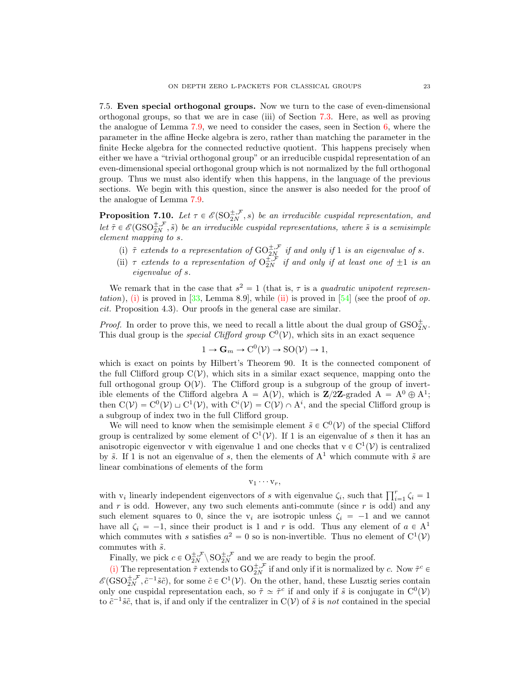<span id="page-22-3"></span>7.5. Even special orthogonal groups. Now we turn to the case of even-dimensional orthogonal groups, so that we are in case (iii) of Section [7.3.](#page-17-0) Here, as well as proving the analogue of Lemma [7.9,](#page-21-1) we need to consider the cases, seen in Section [6,](#page-12-0) where the parameter in the affine Hecke algebra is zero, rather than matching the parameter in the finite Hecke algebra for the connected reductive quotient. This happens precisely when either we have a "trivial orthogonal group" or an irreducible cuspidal representation of an even-dimensional special orthogonal group which is not normalized by the full orthogonal group. Thus we must also identify when this happens, in the language of the previous sections. We begin with this question, since the answer is also needed for the proof of the analogue of Lemma [7.9.](#page-21-1)

<span id="page-22-0"></span>**Proposition 7.10.** Let  $\tau \in \mathscr{E}(\mathrm{SO}_{2N}^{\pm,\mathcal{F}},s)$  be an irreducible cuspidal representation, and let  $\tilde{\tau} \in \mathscr{E}(\text{GSO}_{2N}^{\pm,\mathcal{F}}, \tilde{s})$  be an irreducible cuspidal representations, where  $\tilde{s}$  is a semisimple element mapping to s.

- <span id="page-22-1"></span>(i)  $\tilde{\tau}$  extends to a representation of  $\mathrm{GO}^{\pm,\mathcal{F}}_{2N}$  if and only if 1 is an eigenvalue of s.
- <span id="page-22-2"></span>(ii)  $\tau$  extends to a representation of  $O_{2N}^{\pm,\mathcal{F}}$  if and only if at least one of  $\pm 1$  is an eigenvalue of s.

We remark that in the case that  $s^2 = 1$  (that is,  $\tau$  is a quadratic unipotent represen-tation), [\(i\)](#page-22-1) is proved in [\[33,](#page-37-21) Lemma 8.9], while [\(ii\)](#page-22-2) is proved in [\[54\]](#page-38-12) (see the proof of op. cit. Proposition 4.3). Our proofs in the general case are similar.

*Proof.* In order to prove this, we need to recall a little about the dual group of  $\text{GSO}_{2N}^{\pm}$ . This dual group is the *special Clifford group*  $C^0(\mathcal{V})$ , which sits in an exact sequence

$$
1 \to \mathbf{G}_m \to \mathrm{C}^0(\mathcal{V}) \to \mathrm{SO}(\mathcal{V}) \to 1,
$$

which is exact on points by Hilbert's Theorem 90. It is the connected component of the full Clifford group  $C(\mathcal{V})$ , which sits in a similar exact sequence, mapping onto the full orthogonal group  $O(V)$ . The Clifford group is a subgroup of the group of invertible elements of the Clifford algebra  $A = A(V)$ , which is  $\mathbb{Z}/2\mathbb{Z}$ -graded  $A = A^0 \oplus A^1$ ; then  $C(\mathcal{V}) = C^0(\mathcal{V}) \sqcup C^1(\mathcal{V})$ , with  $C^i(\mathcal{V}) = C(\mathcal{V}) \cap A^i$ , and the special Clifford group is a subgroup of index two in the full Clifford group.

We will need to know when the semisimple element  $\tilde{s} \in C^0(\mathcal{V})$  of the special Clifford group is centralized by some element of  $C^1(V)$ . If 1 is an eigenvalue of s then it has an anisotropic eigenvector v with eigenvalue 1 and one checks that  $v \in C^1(\mathcal{V})$  is centralized by  $\tilde{s}$ . If 1 is not an eigenvalue of s, then the elements of  $A^1$  which commute with  $\tilde{s}$  are linear combinations of elements of the form

$$
v_1 \cdots v_r,
$$

with  $v_i$  linearly independent eigenvectors of s with eigenvalue  $\zeta_i$ , such that  $\prod_{i=1}^r \zeta_i = 1$ and  $r$  is odd. However, any two such elements anti-commute (since  $r$  is odd) and any such element squares to 0, since the  $v_i$  are isotropic unless  $\zeta_i = -1$  and we cannot have all  $\zeta_i = -1$ , since their product is 1 and r is odd. Thus any element of  $a \in A^1$ which commutes with s satisfies  $a^2 = 0$  so is non-invertible. Thus no element of  $C^1(\mathcal{V})$ commutes with  $\tilde{s}$ .

Finally, we pick  $c \in O_{2N}^{\pm,\mathcal{F}} \setminus SO_{2N}^{\pm,\mathcal{F}}$  and we are ready to begin the proof.

[\(i\)](#page-22-1) The representation  $\tilde{\tau}$  extends to  $GO_{2N}^{\pm,\mathcal{F}}$  if and only if it is normalized by c. Now  $\tilde{\tau}^c \in$  $\mathscr{E}(\text{GSO}_{2N}^{\pm,\mathcal{F}}, \tilde{c}^{-1}\tilde{s}\tilde{c})$ , for some  $\tilde{c} \in C^1(\mathcal{V})$ . On the other, hand, these Lusztig series contain only one cuspidal representation each, so  $\tilde{\tau} \simeq \tilde{\tau}^c$  if and only if  $\tilde{s}$  is conjugate in  $C^0(\mathcal{V})$ to  $\tilde{c}^{-1}\tilde{s}\tilde{c}$ , that is, if and only if the centralizer in  $C(\mathcal{V})$  of  $\tilde{s}$  is not contained in the special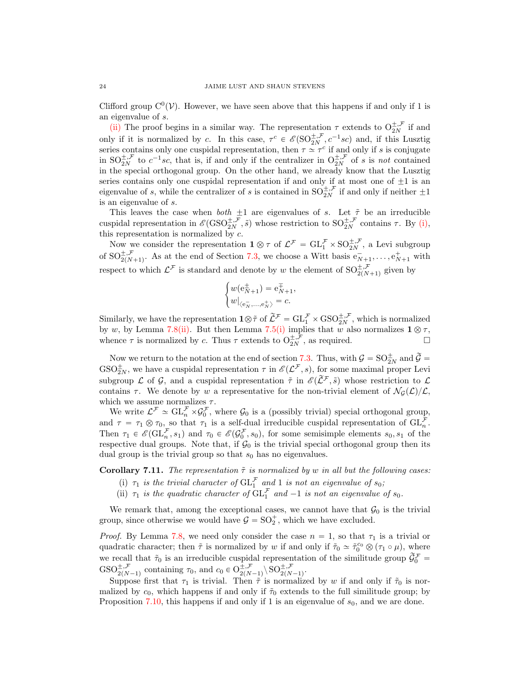Clifford group  $C^0(V)$ . However, we have seen above that this happens if and only if 1 is an eigenvalue of s.

[\(ii\)](#page-22-2) The proof begins in a similar way. The representation  $\tau$  extends to  $O_{2N}^{\pm,\mathcal{F}}$  if and only if it is normalized by c. In this case,  $\tau^c \in \mathscr{E}(\mathrm{SO}_{2N}^{\pm, \mathcal{F}}, c^{-1}sc)$  and, if this Lusztig series contains only one cuspidal representation, then  $\tau \simeq \tau^c$  if and only if s is conjugate in  $SO_{2N}^{\pm,\mathcal{F}}$  to  $c^{-1}sc$ , that is, if and only if the centralizer in  $O_{2N}^{\pm,\mathcal{F}}$  of s is not contained in the special orthogonal group. On the other hand, we already know that the Lusztig series contains only one cuspidal representation if and only if at most one of  $\pm 1$  is an eigenvalue of s, while the centralizer of s is contained in  $SO_{2N}^{\pm,\mathcal{F}}$  if and only if neither  $\pm 1$ is an eigenvalue of s.

This leaves the case when *both*  $\pm 1$  are eigenvalues of s. Let  $\tilde{\tau}$  be an irreducible cuspidal representation in  $\mathscr{E}(\text{GSO}_{2N}^{\pm,\mathcal{F}},\tilde{s})$  whose restriction to  $\text{SO}_{2N}^{\pm,\mathcal{F}}$  contains  $\tau$ . By [\(i\),](#page-22-1) this representation is normalized by  $c$ .

Now we consider the representation  $1 \otimes \tau$  of  $\mathcal{L}^{\mathcal{F}} = GL_1^{\mathcal{F}} \times SO_{2N}^{\pm,\mathcal{F}}$ , a Levi subgroup of  $SO_{2(N+1)}^{\pm,\mathcal{F}}$ . As at the end of Section [7.3,](#page-17-0) we choose a Witt basis  $e_{N+1}^-, \ldots, e_{N+1}^+$  with respect to which  $\mathcal{L}^{\mathcal{F}}$  is standard and denote by w the element of  $SO_{2(N+1)}^{\pm,\mathcal{F}}$  given by

$$
\begin{cases} w(\mathbf{e}_{N+1}^{\pm}) = \mathbf{e}_{N+1}^{\mp}, \\ w|_{\langle \mathbf{e}_N, ..., \mathbf{e}_N^{\pm} \rangle} = c. \end{cases}
$$

Similarly, we have the representation  $1 \otimes \tilde{\tau}$  of  $\tilde{\mathcal{L}}^{\mathcal{F}} = GL_1^{\mathcal{F}} \times GSO_{2N}^{\pm,\mathcal{F}}$ , which is normalized by w, by Lemma [7.8](#page-0-0)[\(ii\).](#page-21-0) But then Lemma [7.5](#page-0-0)[\(i\)](#page-19-0) implies that w also normalizes  $1 \otimes \tau$ , whence  $\tau$  is normalized by c. Thus  $\tau$  extends to  $O_{2N}^{\pm,\mathcal{F}}$ , as required.

Now we return to the notation at the end of section [7.3.](#page-17-0) Thus, with  $\mathcal{G} = SO_{2N}^{\pm}$  and  $\widetilde{\mathcal{G}} =$  $GSO_{2N}^{\pm}$ , we have a cuspidal representation  $\tau$  in  $\mathscr{E}(\mathcal{L}^{\mathcal{F}},s)$ , for some maximal proper Levi subgroup L of G, and a cuspidal representation  $\tilde{\tau}$  in  $\mathscr{E}(\tilde{\mathcal{L}}^{\mathcal{F}}, \tilde{s})$  whose restriction to L contains  $\tau$ . We denote by w a representative for the non-trivial element of  $\mathcal{N}_G(\mathcal{L})/\mathcal{L}$ , which we assume normalizes  $\tau$ .

We write  $\mathcal{L}^{\mathcal{F}} \simeq \mathrm{GL}_{n}^{\mathcal{F}} \times \mathcal{G}_{0}^{\mathcal{F}}$ , where  $\mathcal{G}_{0}$  is a (possibly trivial) special orthogonal group, and  $\tau = \tau_1 \otimes \tau_0$ , so that  $\tau_1$  is a self-dual irreducible cuspidal representation of  $\mathrm{GL}_n^{\mathcal{F}}$ . Then  $\tau_1 \in \mathscr{E}(\mathrm{GL}_n^{\mathcal{F}}, s_1)$  and  $\tau_0 \in \mathscr{E}(\mathcal{G}_0^{\mathcal{F}}, s_0)$ , for some semisimple elements  $s_0, s_1$  of the respective dual groups. Note that, if  $\mathcal{G}_0$  is the trivial special orthogonal group then its dual group is the trivial group so that  $s_0$  has no eigenvalues.

**Corollary 7.11.** The representation  $\tilde{\tau}$  is normalized by w in all but the following cases:

- (i)  $\tau_1$  is the trivial character of  $\mathrm{GL}_1^{\mathcal{F}}$  and 1 is not an eigenvalue of  $s_0$ ;
- (ii)  $\tau_1$  is the quadratic character of  $\mathrm{GL}_1^{\mathcal{F}}$  and  $-1$  is not an eigenvalue of  $s_0$ .

We remark that, among the exceptional cases, we cannot have that  $\mathcal{G}_0$  is the trivial group, since otherwise we would have  $G = SO_2^+$ , which we have excluded.

*Proof.* By Lemma [7.8,](#page-0-0) we need only consider the case  $n = 1$ , so that  $\tau_1$  is a trivial or quadratic character; then  $\tilde{\tau}$  is normalized by w if and only if  $\tilde{\tau}_0 \simeq \tilde{\tau}_0^{c_0} \otimes (\tau_1 \circ \mu)$ , where we recall that  $\tilde{\tau}_0$  is an irreducible cuspidal representation of the similitude group  $\tilde{\mathcal{G}}_0^{\mathcal{F}}$  $\mathrm{GSO}_{2(N-1)}^{\pm,\mathcal{F}}$  containing  $\tau_0$ , and  $c_0 \in \mathrm{O}_{2(N-1)}^{\pm,\mathcal{F}}$  $_{2(N-1)}^{\pm,\mathcal{F}}\backslash\operatorname{SO}_{2(N-1)}^{\pm,\mathcal{F}}.$ 

Suppose first that  $\tau_1$  is trivial. Then  $\tilde{\tau}$  is normalized by w if and only if  $\tilde{\tau}_0$  is normalized by  $c_0$ , which happens if and only if  $\tilde{\tau}_0$  extends to the full similitude group; by Proposition [7.10,](#page-22-0) this happens if and only if 1 is an eigenvalue of  $s_0$ , and we are done.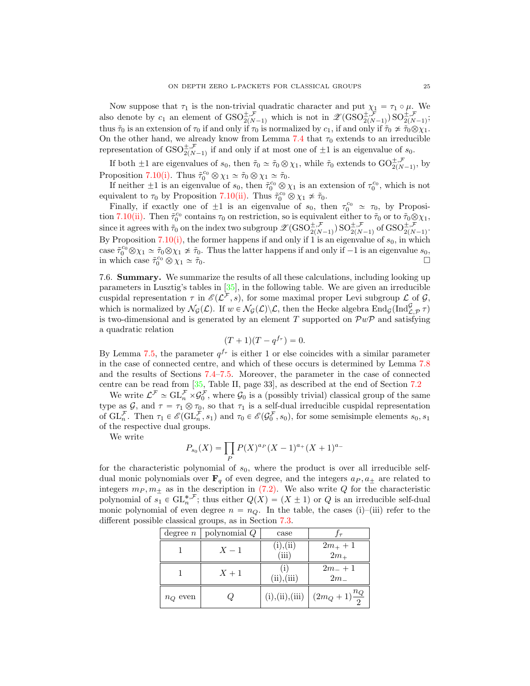Now suppose that  $\tau_1$  is the non-trivial quadratic character and put  $\chi_1 = \tau_1 \circ \mu$ . We also denote by  $c_1$  an element of  $GSO_{2(N-1)}^{\pm,\mathcal{F}}$  which is not in  $\mathscr{Z}(\text{GSO}_{2(N-1)}^{\pm,\mathcal{F}})$   $SO_{2(N-1)}^{\pm,\mathcal{F}}$ ; thus  $\tilde{\tau}_0$  is an extension of  $\tau_0$  if and only if  $\tau_0$  is normalized by  $c_1$ , if and only if  $\tilde{\tau}_0 \nsim \tilde{\tau}_0 \otimes \chi_1$ . On the other hand, we already know from Lemma [7.4](#page-19-3) that  $\tau_0$  extends to an irreducible representation of  $GSO_{2(N-1)}^{\pm,\mathcal{F}}$  if and only if at most one of  $\pm 1$  is an eigenvalue of  $s_0$ .

If both  $\pm 1$  are eigenvalues of  $s_0$ , then  $\tilde{\tau}_0 \simeq \tilde{\tau}_0 \otimes \chi_1$ , while  $\tilde{\tau}_0$  extends to  $\mathrm{GO}_{2(N-1)}^{\pm,\mathcal{F}}$ , by Proposition [7.10](#page-22-0)[\(i\).](#page-22-1) Thus  $\tilde{\tau}_0^{c_0} \otimes \chi_1 \simeq \tilde{\tau}_0 \otimes \chi_1 \simeq \tilde{\tau}_0$ .

If neither  $\pm 1$  is an eigenvalue of  $s_0$ , then  $\tilde{\tau}_0^{c_0} \otimes \chi_1$  is an extension of  $\tau_0^{c_0}$ , which is not equivalent to  $\tau_0$  by Proposition [7.10](#page-22-0)[\(ii\).](#page-22-2) Thus  $\tilde{\tau}_0^{c_0} \otimes \chi_1 \neq \tilde{\tau}_0$ .

Finally, if exactly one of  $\pm 1$  is an eigenvalue of  $s_0$ , then  $\tau_0^{c_0} \simeq \tau_0$ , by Proposi-tion [7.10](#page-22-0)[\(ii\).](#page-22-2) Then  $\tilde{\tau}_0^{\text{c}_0}$  contains  $\tau_0$  on restriction, so is equivalent either to  $\tilde{\tau}_0$  or to  $\tilde{\tau}_0 \otimes \chi_1$ , since it agrees with  $\tilde{\tau}_0$  on the index two subgroup  $\mathscr{Z}(\text{GSO}_{2(N-1)}^{\pm,\mathcal{F}})$  SO $_{2(N-1)}^{\pm,\mathcal{F}}$  of  $\text{GSO}_{2(N-1)}^{\pm,\mathcal{F}}$ . By Proposition [7.10](#page-22-0)[\(i\),](#page-22-1) the former happens if and only if 1 is an eigenvalue of  $s_0$ , in which case  $\tilde{\tau}_0^{c_0} \otimes \chi_1 \simeq \tilde{\tau}_0 \otimes \chi_1 \not\approx \tilde{\tau}_0$ . Thus the latter happens if and only if  $-1$  is an eigenvalue  $s_0$ , in which case  $\tilde{\tau}_0^{c_0} \otimes \chi_1 \simeq \tilde{\tau}_0$ .

<span id="page-24-0"></span>7.6. Summary. We summarize the results of all these calculations, including looking up parameters in Lusztig's tables in [\[35\]](#page-37-18), in the following table. We are given an irreducible cuspidal representation  $\tau$  in  $\mathscr{E}(\mathcal{L}^{\mathcal{F}}, s)$ , for some maximal proper Levi subgroup  $\mathcal L$  of  $\mathcal G$ , which is normalized by  $\mathcal{N}_{\mathcal{G}}(\mathcal{L})$ . If  $w \in \mathcal{N}_{\mathcal{G}}(\mathcal{L})\backslash\mathcal{L}$ , then the Hecke algebra  $\text{End}_{\mathcal{G}}(\text{Ind}_{\mathcal{L},\mathcal{P}}^{\mathcal{G}}\tau)$ is two-dimensional and is generated by an element T supported on  $\mathcal{P}w\mathcal{P}$  and satisfying a quadratic relation

$$
(T+1)(T-q^{f_{\tau}})=0.
$$

By Lemma [7.5,](#page-0-0) the parameter  $q^{f_{\tau}}$  is either 1 or else coincides with a similar parameter in the case of connected centre, and which of these occurs is determined by Lemma [7.8](#page-0-0) and the results of Sections [7.4](#page-21-2)[–7.5.](#page-22-3) Moreover, the parameter in the case of connected centre can be read from [\[35,](#page-37-18) Table II, page 33], as described at the end of Section [7.2](#page-14-1)

We write  $\mathcal{L}^{\mathcal{F}} \simeq \mathrm{GL}_{n}^{\mathcal{F}} \times \mathcal{G}_{0}^{\mathcal{F}}$ , where  $\mathcal{G}_{0}$  is a (possibly trivial) classical group of the same type as  $G$ , and  $\tau = \tau_1 \otimes \tau_0$ , so that  $\tau_1$  is a self-dual irreducible cuspidal representation of  $\mathrm{GL}_n^{\mathcal{F}}$ . Then  $\tau_1 \in \mathscr{E}(\mathrm{GL}_n^{\mathcal{F}}, s_1)$  and  $\tau_0 \in \mathscr{E}(\mathcal{G}_0^{\mathcal{F}}, s_0)$ , for some semisimple elements  $s_0, s_1$ of the respective dual groups.

We write

$$
P_{s_0}(X) = \prod_P P(X)^{a_P}(X-1)^{a_+}(X+1)^{a_-}
$$

for the characteristic polynomial of  $s_0$ , where the product is over all irreducible selfdual monic polynomials over  $\mathbf{F}_q$  of even degree, and the integers  $a_P, a_{\pm}$  are related to integers  $m_P, m_{\pm}$  as in the description in [\(7.2\).](#page-0-0) We also write Q for the characteristic polynomial of  $s_1 \in \mathrm{GL}_n^{*,\mathcal{F}}$ ; thus either  $Q(X) = (X \pm 1)$  or Q is an irreducible self-dual monic polynomial of even degree  $n = n_Q$ . In the table, the cases (i)–(iii) refer to the different possible classical groups, as in Section [7.3.](#page-17-0)

| degree $n$ | polynomial Q | case               |                         |
|------------|--------------|--------------------|-------------------------|
|            | $X-1$        | (i), (ii)<br>(iii) | $2m_{+}+1$<br>$2m+$     |
|            | $X+1$        | (i)<br>(ii), (iii) | $2m_-+1$<br>$2m_{-}$    |
| $n_Q$ even |              | (i), (ii), (iii)   | $(2m_Q+1)\frac{n_Q}{2}$ |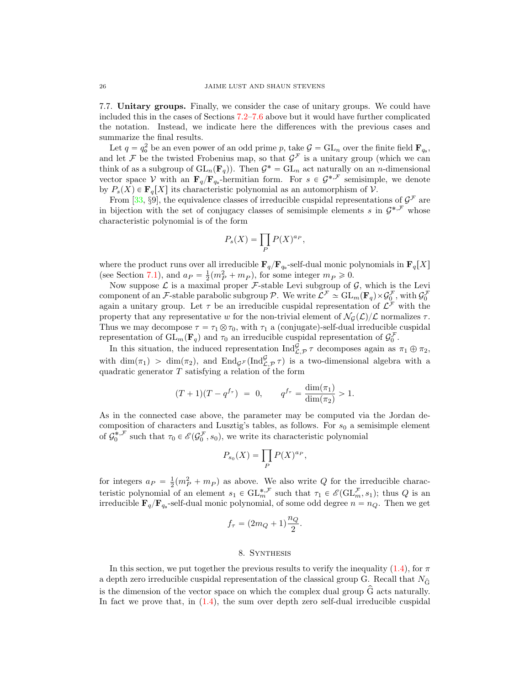<span id="page-25-1"></span>7.7. Unitary groups. Finally, we consider the case of unitary groups. We could have included this in the cases of Sections [7.2](#page-14-1)[–7.6](#page-24-0) above but it would have further complicated the notation. Instead, we indicate here the differences with the previous cases and summarize the final results.

Let  $q = q_o^2$  be an even power of an odd prime p, take  $\mathcal{G} = GL_n$  over the finite field  $\mathbf{F}_{q_o}$ , and let F be the twisted Frobenius map, so that  $\mathcal{G}^{\mathcal{F}}$  is a unitary group (which we can think of as a subgroup of  $\operatorname{GL}_n(\mathbf{F}_q)$ . Then  $\mathcal{G}^* = \operatorname{GL}_n$  act naturally on an n-dimensional vector space V with an  $\mathbf{F}_q/\mathbf{F}_{q_0}$ -hermitian form. For  $s \in \mathcal{G}^{*,\mathcal{F}}$  semisimple, we denote by  $P_s(X) \in \mathbf{F}_q[X]$  its characteristic polynomial as an automorphism of V.

From [\[33,](#page-37-21) §9], the equivalence classes of irreducible cuspidal representations of  $\mathcal{G}^{\mathcal{F}}$  are in bijection with the set of conjugacy classes of semisimple elements s in  $\mathcal{G}^{*,\mathcal{F}}$  whose characteristic polynomial is of the form

$$
P_s(X) = \prod_P P(X)^{a_P},
$$

where the product runs over all irreducible  $\mathbf{F}_q/\mathbf{F}_{q_0}$ -self-dual monic polynomials in  $\mathbf{F}_q[X]$ (see Section [7.1\)](#page-14-2), and  $a_P = \frac{1}{2}(m_P^2 + m_P)$ , for some integer  $m_P \ge 0$ .

Now suppose  $\mathcal L$  is a maximal proper  $\mathcal F$ -stable Levi subgroup of  $\mathcal G$ , which is the Levi component of an F-stable parabolic subgroup P. We write  $\mathcal{L}^{\mathcal{F}} \simeq GL_m(\mathbf{F}_q) \times \mathcal{G}_0^{\mathcal{F}}$ , with  $\mathcal{G}_0^{\mathcal{F}}$ again a unitary group. Let  $\tau$  be an irreducible cuspidal representation of  $\mathcal{L}^{\mathcal{F}}$  with the property that any representative w for the non-trivial element of  $\mathcal{N}_G(\mathcal{L})/\mathcal{L}$  normalizes  $\tau$ . Thus we may decompose  $\tau = \tau_1 \otimes \tau_0$ , with  $\tau_1$  a (conjugate)-self-dual irreducible cuspidal representation of  $GL_m(\mathbf{F}_q)$  and  $\tau_0$  an irreducible cuspidal representation of  $\mathcal{G}_0^{\mathcal{F}}$ .

In this situation, the induced representation  $\text{Ind}_{\mathcal{L},\mathcal{P}}^{\mathcal{G}} \tau$  decomposes again as  $\pi_1 \oplus \pi_2$ , with  $\dim(\pi_1) > \dim(\pi_2)$ , and  $\text{End}_{\mathcal{G}^{\mathcal{F}}}(\text{Ind}_{\mathcal{L},\mathcal{P}}^{\mathcal{G}} \tau)$  is a two-dimensional algebra with a quadratic generator  $T$  satisfying a relation of the form

$$
(T+1)(T-q^{f_{\tau}}) = 0, \qquad q^{f_{\tau}} = \frac{\dim(\pi_1)}{\dim(\pi_2)} > 1.
$$

As in the connected case above, the parameter may be computed via the Jordan decomposition of characters and Lusztig's tables, as follows. For  $s_0$  a semisimple element of  $\mathcal{G}_0^{*,\mathcal{F}}$  such that  $\tau_0 \in \mathcal{E}(\mathcal{G}_0^{\mathcal{F}}, s_0)$ , we write its characteristic polynomial

$$
P_{s_0}(X) = \prod_P P(X)^{a_P},
$$

for integers  $a_P = \frac{1}{2}(m_P^2 + m_P)$  as above. We also write Q for the irreducible characteristic polynomial of an element  $s_1 \in \mathrm{GL}_m^{*,\mathcal{F}}$  such that  $\tau_1 \in \mathscr{E}(\mathrm{GL}_m^{\mathcal{F}}, s_1)$ ; thus Q is an irreducible  $\mathbf{F}_q/\mathbf{F}_{q_o}$ -self-dual monic polynomial, of some odd degree  $n = n_Q$ . Then we get

$$
f_{\tau} = (2m_Q + 1)\frac{n_Q}{2}.
$$

## 8. Synthesis

<span id="page-25-0"></span>In this section, we put together the previous results to verify the inequality [\(1.4\)](#page-3-0), for  $\pi$ a depth zero irreducible cuspidal representation of the classical group G. Recall that  $N_{\hat{G}}$ is the dimension of the vector space on which the complex dual group  $\hat{G}$  acts naturally. In fact we prove that, in  $(1.4)$ , the sum over depth zero self-dual irreducible cuspidal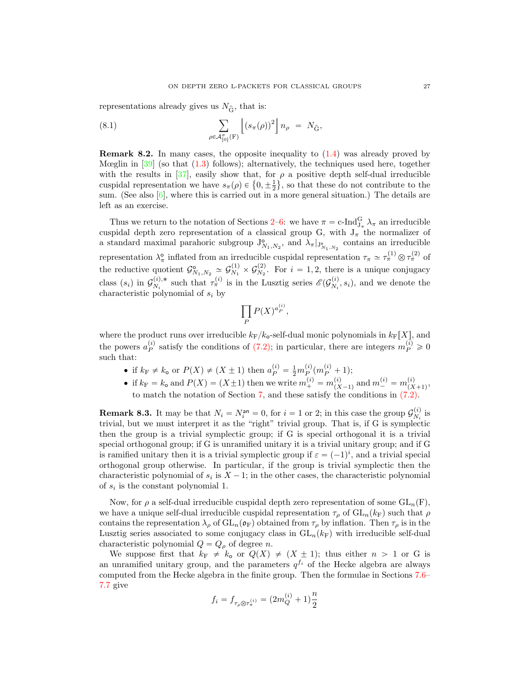<span id="page-26-0"></span>representations already gives us  $N_{\hat{\mathbf{G}}}$ , that is:

(8.1) 
$$
\sum_{\rho \in \mathcal{A}_{[0]}^{\sigma}(\mathbf{F})} \left[ (s_{\pi}(\rho))^{2} \right] n_{\rho} = N_{\hat{\mathbf{G}}},
$$

**Remark 8.2.** In many cases, the opposite inequality to  $(1.4)$  was already proved by Mœglin in  $\left[39\right]$  (so that  $(1.3)$  follows); alternatively, the techniques used here, together with the results in  $[37]$ , easily show that, for  $\rho$  a positive depth self-dual irreducible with the results in [37], easily show that, for  $\rho$  a positive depth self-dual irreducible cuspidal representation we have  $s_{\pi}(\rho) \in \{0, \pm \frac{1}{2}\}$ , so that these do not contribute to the sum. (See also  $[6]$ , where this is carried out in a more general situation.) The details are left as an exercise.

Thus we return to the notation of Sections [2–](#page-5-0)[6:](#page-12-0) we have  $\pi = c$ -Ind $_{J_\pi}^G \lambda_\pi$  an irreducible cuspidal depth zero representation of a classical group G, with  $J_{\pi}$  the normalizer of a standard maximal parahoric subgroup  $J^{\circ}_{N_1,N_2}$ , and  $\lambda_{\pi}|_{J^{\circ}_{N_1,N_2}}$  contains an irreducible representation  $\lambda_{\pi}^{\circ}$  inflated from an irreducible cuspidal representation  $\tau_{\pi} \simeq \tau_{\pi}^{(1)} \otimes \tau_{\pi}^{(2)}$  of the reductive quotient  $\mathcal{G}_{N_1,N_2}^{\mathsf{o}} \simeq \mathcal{G}_{N_1}^{(1)}$  $\frac{C^{(1)}}{N_1}\times\mathcal{G}_{N_2}^{(2)}$  $\chi_2^{(2)}$ . For  $i = 1, 2$ , there is a unique conjugacy class  $(s_i)$  in  $\mathcal{G}_{N_i}^{(i),*}$  $\zeta_{N_i}^{(i),*}$  such that  $\tau_{\pi}^{(i)}$  is in the Lusztig series  $\mathscr{E}(\mathcal{G}_{N_i}^{(i)})$  $\mathcal{N}_i^{(i)}, s_i$ , and we denote the characteristic polynomial of  $s_i$  by

$$
\prod_P P(X)^{a_P^{(i)}},
$$

where the product runs over irreducible  $k_F/k_o$ -self-dual monic polynomials in  $k_F[X]$ , and the powers  $a_P^{(i)}$  satisfy the conditions of [\(7.2\);](#page-0-0) in particular, there are integers  $m_P^{(i)} \geq 0$ such that:

- if  $k_F \neq k_o$  or  $P(X) \neq (X \pm 1)$  then  $a_P^{(i)} = \frac{1}{2} m_P^{(i)} (m_P^{(i)} + 1);$ P
- if  $k_F = k_o$  and  $P(X) = (X \pm 1)$  then we write  $m_+^{(i)} = m_{(X)}^{(i)}$  $\binom{i}{(X-1)}$  and  $m_{-}^{(i)} = m_{(X)}^{(i)}$  $\frac{y}{(X+1)}$ , to match the notation of Section [7,](#page-14-0) and these satisfy the conditions in [\(7.2\).](#page-0-0)

**Remark 8.3.** It may be that  $N_i = N_i^{\text{an}} = 0$ , for  $i = 1$  or 2; in this case the group  $\mathcal{G}_{N_i}^{(i)}$  $\mathop{N_i}\limits^{\left( i \right)}$  is trivial, but we must interpret it as the "right" trivial group. That is, if G is symplectic then the group is a trivial symplectic group; if G is special orthogonal it is a trivial special orthogonal group; if G is unramified unitary it is a trivial unitary group; and if G is ramified unitary then it is a trivial symplectic group if  $\varepsilon = (-1)^i$ , and a trivial special orthogonal group otherwise. In particular, if the group is trivial symplectic then the characteristic polynomial of  $s_i$  is  $X - 1$ ; in the other cases, the characteristic polynomial of  $s_i$  is the constant polynomial 1.

Now, for  $\rho$  a self-dual irreducible cuspidal depth zero representation of some  $GL_n(F)$ , we have a unique self-dual irreducible cuspidal representation  $\tau_\rho$  of  $GL_n(k_F)$  such that  $\rho$ contains the representation  $\lambda_\rho$  of  $GL_n(\mathfrak{o}_F)$  obtained from  $\tau_\rho$  by inflation. Then  $\tau_\rho$  is in the Lusztig series associated to some conjugacy class in  $GL_n(k_F)$  with irreducible self-dual characteristic polynomial  $Q = Q_\rho$  of degree n.

We suppose first that  $k_F \neq k_o$  or  $Q(X) \neq (X \pm 1)$ ; thus either  $n > 1$  or G is an unramified unitary group, and the parameters  $q^{f_i}$  of the Hecke algebra are always computed from the Hecke algebra in the finite group. Then the formulae in Sections [7.6–](#page-24-0) [7.7](#page-25-1) give

$$
f_i = f_{\tau_\rho \otimes \tau_\pi^{(i)}} = \big( 2 m_Q^{(i)} + 1 \big) \frac{n}{2}
$$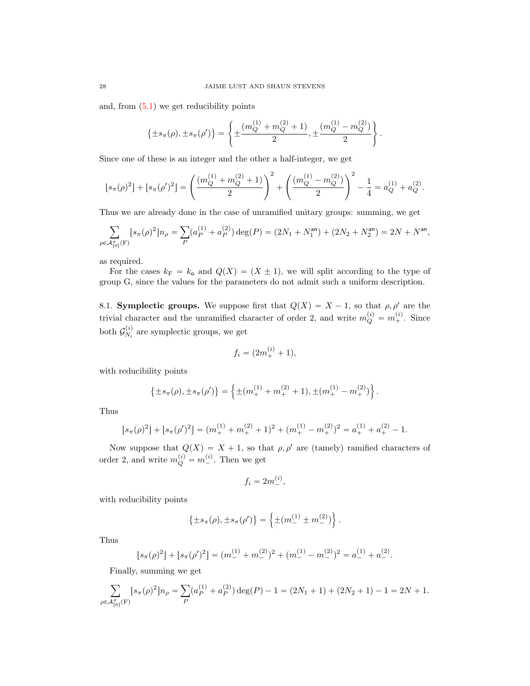and, from  $(5.1)$  we get reducibility points

$$
\left\{\pm s_{\pi}(\rho), \pm s_{\pi}(\rho')\right\} = \left\{\pm \frac{(m_Q^{(1)} + m_Q^{(2)} + 1)}{2}, \pm \frac{(m_Q^{(1)} - m_Q^{(2)})}{2}\right\}.
$$

Since one of these is an integer and the other a half-integer, we get

$$
\lfloor s_{\pi}(\rho)^2\rfloor + \lfloor s_{\pi}(\rho')^2\rfloor = \left(\frac{(m_Q^{(1)}+m_Q^{(2)}+1)}{2}\right)^2 + \left(\frac{(m_Q^{(1)}-m_Q^{(2)})}{2}\right)^2 - \frac{1}{4} = a_Q^{(1)} + a_Q^{(2)}.
$$

Thus we are already done in the case of unramified unitary groups: summing, we get

$$
\sum_{\rho \in \mathcal{A}_{[0]}^{\sigma}(F)} [s_{\pi}(\rho)^{2}] n_{\rho} = \sum_{P} (a_{P}^{(1)} + a_{P}^{(2)}) \deg(P) = (2N_{1} + N_{1}^{\text{an}}) + (2N_{2} + N_{2}^{\text{an}}) = 2N + N^{\text{an}},
$$

as required.

For the cases  $k_F = k_o$  and  $Q(X) = (X \pm 1)$ , we will split according to the type of group G, since the values for the parameters do not admit such a uniform description.

8.1. **Symplectic groups.** We suppose first that  $Q(X) = X - 1$ , so that  $\rho, \rho'$  are the trivial character and the unramified character of order 2, and write  $m_Q^{(i)} = m_+^{(i)}$ . Since both  $\mathcal{G}_N^{(i)}$  $N_i^{(i)}$  are symplectic groups, we get

$$
f_i = (2m_+^{(i)} + 1),
$$

with reducibility points

$$
\{\pm s_{\pi}(\rho), \pm s_{\pi}(\rho')\} = \left\{\pm (m_{+}^{(1)} + m_{+}^{(2)} + 1), \pm (m_{+}^{(1)} - m_{+}^{(2)})\right\}.
$$

Thus

$$
[s_{\pi}(\rho)^{2}] + [s_{\pi}(\rho')^{2}] = (m_{+}^{(1)} + m_{+}^{(2)} + 1)^{2} + (m_{+}^{(1)} - m_{+}^{(2)})^{2} = a_{+}^{(1)} + a_{+}^{(2)} - 1.
$$

Now suppose that  $Q(X) = X + 1$ , so that  $\rho, \rho'$  are (tamely) ramified characters of order 2, and write  $m_Q^{(i)} = m_{-}^{(i)}$ . Then we get

$$
f_i = 2m^{(i)}_-,
$$

with reducibility points

$$
\left\{\pm s_{\pi}(\rho), \pm s_{\pi}(\rho')\right\} = \left\{\pm (m_{-}^{(1)} \pm m_{-}^{(2)})\right\}.
$$

Thus

$$
[s_{\pi}(\rho)^{2}] + [s_{\pi}(\rho')^{2}] = (m_{-}^{(1)} + m_{-}^{(2)})^{2} + (m_{-}^{(1)} - m_{-}^{(2)})^{2} = a_{-}^{(1)} + a_{-}^{(2)}.
$$

Finally, summing we get

$$
\sum_{\rho \in \mathcal{A}_{[0]}^{\sigma}(F)} [s_{\pi}(\rho)^{2}] n_{\rho} = \sum_{P} (a_{P}^{(1)} + a_{P}^{(2)}) \deg(P) - 1 = (2N_{1} + 1) + (2N_{2} + 1) - 1 = 2N + 1.
$$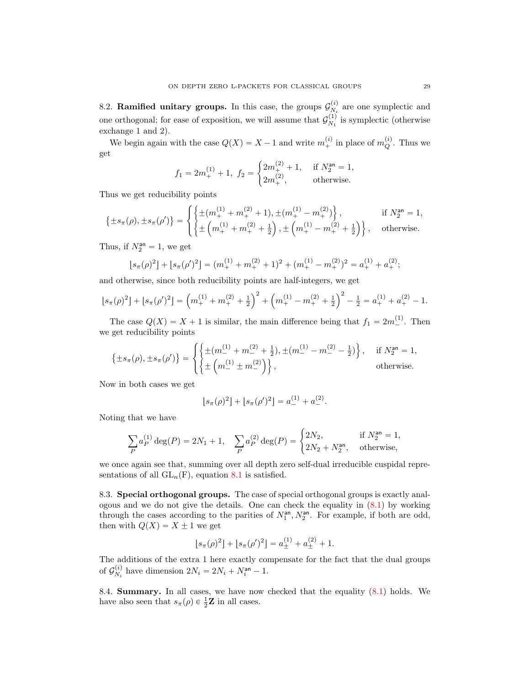8.2. Ramified unitary groups. In this case, the groups  $\mathcal{G}_{N}^{(i)}$  $N_i^{(i)}$  are one symplectic and one orthogonal; for ease of exposition, we will assume that  $\mathcal{G}_{N_1}^{(1)}$  $\chi_1^{(1)}$  is symplectic (otherwise exchange 1 and 2).

We begin again with the case  $Q(X) = X - 1$  and write  $m_+^{(i)}$  in place of  $m_Q^{(i)}$ . Thus we get #

$$
f_1 = 2m_+^{(1)} + 1
$$
,  $f_2 = \begin{cases} 2m_+^{(2)} + 1, & \text{if } N_2^{\text{an}} = 1, \\ 2m_+^{(2)}, & \text{otherwise.} \end{cases}$ 

Thus we get reducibility points

$$
\{\pm s_{\pi}(\rho), \pm s_{\pi}(\rho')\} = \begin{cases} \left\{\pm (m_{+}^{(1)} + m_{+}^{(2)} + 1), \pm (m_{+}^{(1)} - m_{+}^{(2)})\right\}, & \text{if } N_{2}^{\text{an}} = 1, \\ \left\{\pm \left(m_{+}^{(1)} + m_{+}^{(2)} + \frac{1}{2}\right), \pm \left(m_{+}^{(1)} - m_{+}^{(2)} + \frac{1}{2}\right)\right\}, & \text{otherwise.} \end{cases}
$$

Thus, if  $N_2^{\text{an}} = 1$ , we get

$$
[s_{\pi}(\rho)^{2}] + [s_{\pi}(\rho')^{2}] = (m_{+}^{(1)} + m_{+}^{(2)} + 1)^{2} + (m_{+}^{(1)} - m_{+}^{(2)})^{2} = a_{+}^{(1)} + a_{+}^{(2)};
$$

and otherwise, since both reducibility points are half-integers, we get

$$
\lfloor s_{\pi}(\rho)^2 \rfloor + \lfloor s_{\pi}(\rho')^2 \rfloor = \left( m_+^{(1)} + m_+^{(2)} + \frac{1}{2} \right)^2 + \left( m_+^{(1)} - m_+^{(2)} + \frac{1}{2} \right)^2 - \frac{1}{2} = a_+^{(1)} + a_+^{(2)} - 1.
$$

The case  $Q(X) = X + 1$  is similar, the main difference being that  $f_1 = 2m_{-}^{(1)}$ . Then we get reducibility points \$ **1980** 

$$
\{\pm s_{\pi}(\rho), \pm s_{\pi}(\rho')\} = \begin{cases} \left\{\pm (m_{-}^{(1)} + m_{-}^{(2)} + \frac{1}{2}), \pm (m_{-}^{(1)} - m_{-}^{(2)} - \frac{1}{2})\right\}, & \text{if } N_{2}^{\text{an}} = 1, \\ \left\{\pm \left(m_{-}^{(1)} \pm m_{-}^{(2)}\right)\right\}, & \text{otherwise.} \end{cases}
$$

Now in both cases we get

$$
[s_{\pi}(\rho)^{2}] + [s_{\pi}(\rho')^{2}] = a_{-}^{(1)} + a_{-}^{(2)}.
$$

Noting that we have

$$
\sum_{P} a_P^{(1)} \deg(P) = 2N_1 + 1, \quad \sum_{P} a_P^{(2)} \deg(P) = \begin{cases} 2N_2, & \text{if } N_2^{\text{an}} = 1, \\ 2N_2 + N_2^{\text{an}}, & \text{otherwise,} \end{cases}
$$

we once again see that, summing over all depth zero self-dual irreducible cuspidal representations of all  $GL_n(F)$ , equation [8.1](#page-26-0) is satisfied.

8.3. Special orthogonal groups. The case of special orthogonal groups is exactly analogous and we do not give the details. One can check the equality in [\(8.1\)](#page-26-0) by working through the cases according to the parities of  $N_1^{\text{an}}, N_2^{\text{an}}$ . For example, if both are odd, then with  $Q(X) = X \pm 1$  we get

$$
[s_{\pi}(\rho)^{2}] + [s_{\pi}(\rho')^{2}] = a_{\pm}^{(1)} + a_{\pm}^{(2)} + 1.
$$

The additions of the extra 1 here exactly compensate for the fact that the dual groups of  ${\cal G}_N^{(i)}$  $N_i^{(i)}$  have dimension  $2N_i = 2N_i + N_i^{\text{an}} - 1$ .

8.4. Summary. In all cases, we have now checked that the equality [\(8.1\)](#page-26-0) holds. We have also seen that  $s_{\pi}(\rho) \in \frac{1}{2}\mathbf{Z}$  in all cases.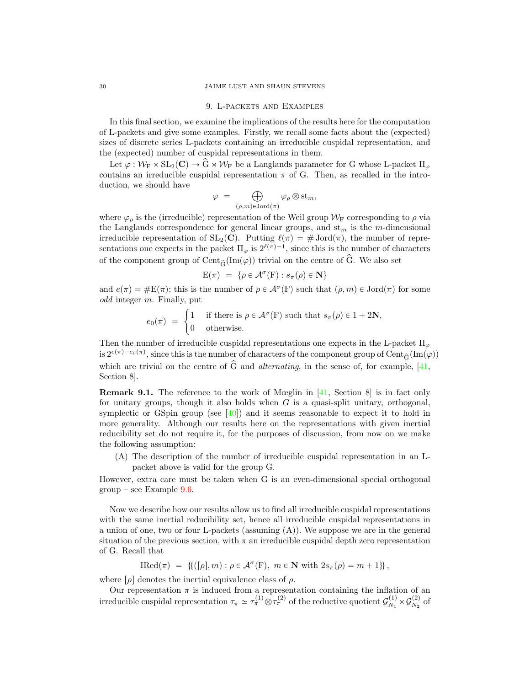#### <span id="page-29-0"></span>30 JAIME LUST AND SHAUN STEVENS

#### 9. L-packets and Examples

In this final section, we examine the implications of the results here for the computation of L-packets and give some examples. Firstly, we recall some facts about the (expected) sizes of discrete series L-packets containing an irreducible cuspidal representation, and the (expected) number of cuspidal representations in them.

Let  $\varphi : \mathcal{W}_{F} \times SL_2(\mathbb{C}) \to \widehat{G} \rtimes \mathcal{W}_{F}$  be a Langlands parameter for G whose L-packet  $\Pi_{\varphi}$ contains an irreducible cuspidal representation  $\pi$  of G. Then, as recalled in the introduction, we should have

$$
\varphi = \bigoplus_{(\rho,m)\in \mathrm{Jord}(\pi)} \varphi_{\rho} \otimes \mathrm{st}_m,
$$

where  $\varphi_{\rho}$  is the (irreducible) representation of the Weil group  $\mathcal{W}_{\mathrm{F}}$  corresponding to  $\rho$  via the Langlands correspondence for general linear groups, and  $\operatorname{st}_m$  is the m-dimensional irreducible representation of  $SL_2(\mathbb{C})$ . Putting  $\ell(\pi) = \# \text{Jord}(\pi)$ , the number of representations one expects in the packet  $\Pi_{\varphi}$  is  $2^{\ell(\pi)-1}$ , since this is the number of characters of the component group of  $Cent_{\hat{G}}(Im(\varphi))$  trivial on the centre of  $\hat{G}$ . We also set

$$
E(\pi) = \{ \rho \in \mathcal{A}^{\sigma}(F) : s_{\pi}(\rho) \in \mathbf{N} \}
$$

and  $e(\pi) = \#E(\pi)$ ; this is the number of  $\rho \in \mathcal{A}^{\sigma}(F)$  such that  $(\rho, m) \in \text{Jord}(\pi)$  for some odd integer m. Finally, put<br>  $e_0(\pi) = \begin{cases} 1 \\ 0 \end{cases}$ 

$$
e_0(\pi) = \begin{cases} 1 & \text{if there is } \rho \in \mathcal{A}^\sigma(\mathcal{F}) \text{ such that } s_\pi(\rho) \in 1 + 2\mathbf{N}, \\ 0 & \text{otherwise.} \end{cases}
$$

Then the number of irreducible cuspidal representations one expects in the L-packet  $\Pi_{\varphi}$ is  $2^{e(\pi)-e_0(\pi)}$ , since this is the number of characters of the component group of  $\text{Cent}_{\hat{G}}(\text{Im}(\varphi))$ which are trivial on the centre of  $\hat{G}$  and *alternating*, in the sense of, for example, [\[41,](#page-38-13) Section 8].

Remark 9.1. The reference to the work of Mœglin in [\[41,](#page-38-13) Section 8] is in fact only for unitary groups, though it also holds when  $G$  is a quasi-split unitary, orthogonal, symplectic or GSpin group (see  $[40]$ ) and it seems reasonable to expect it to hold in more generality. Although our results here on the representations with given inertial reducibility set do not require it, for the purposes of discussion, from now on we make the following assumption:

(A) The description of the number of irreducible cuspidal representation in an Lpacket above is valid for the group G.

However, extra care must be taken when G is an even-dimensional special orthogonal  $group - see Example 9.6.$  $group - see Example 9.6.$ 

Now we describe how our results allow us to find all irreducible cuspidal representations with the same inertial reducibility set, hence all irreducible cuspidal representations in a union of one, two or four L-packets (assuming (A)). We suppose we are in the general situation of the previous section, with  $\pi$  an irreducible cuspidal depth zero representation of G. Recall that

$$
\text{IRed}(\pi) = \left\{ \left( [\rho], m \right) : \rho \in \mathcal{A}^{\sigma}(\mathcal{F}), \ m \in \mathbb{N} \text{ with } 2s_{\pi}(\rho) = m + 1 \right\},\
$$

where  $\lceil \rho \rceil$  denotes the inertial equivalence class of  $\rho$ .

Our representation  $\pi$  is induced from a representation containing the inflation of an irreducible cuspidal representation  $\tau_{\pi} \simeq \tau_{\pi}^{(1)} \otimes \tau_{\pi}^{(2)}$  of the reductive quotient  $\mathcal{G}_{N_1}^{(1)}$  $S_{N_1}^{(1)} \times G_{N_2}^{(2)}$  $\frac{1}{N_2}$  of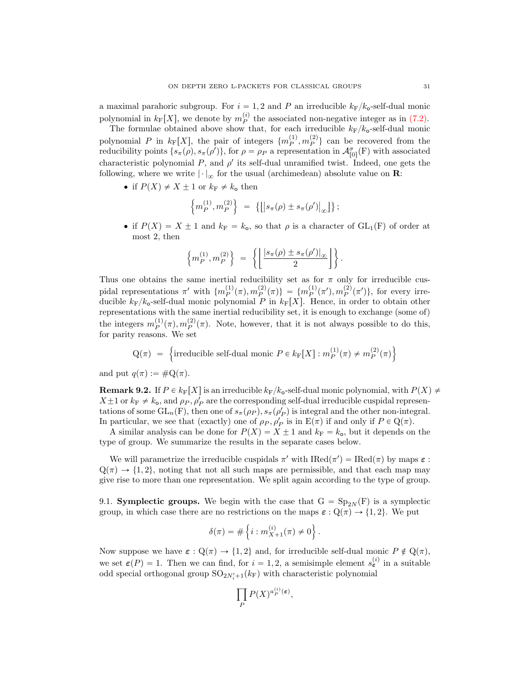a maximal parahoric subgroup. For  $i = 1, 2$  and P an irreducible  $k_F/k_o$ -self-dual monic polynomial in  $k_F[X]$ , we denote by  $m_P^{(i)}$  the associated non-negative integer as in [\(7.2\).](#page-0-0)

The formulae obtained above show that, for each irreducible  $k_F/k_o$ -self-dual monic polynomial P in  $k_F[X]$ , the pair of integers  $\{m_P^{(1)}, m_P^{(2)}\}$  can be recovered from the reducibility points  $\{s_{\pi}(\rho), s_{\pi}(\rho')\}$ , for  $\rho = \rho_P$  a representation in  $\mathcal{A}_{[0]}^{\sigma}(\mathbf{F})$  with associated characteristic polynomial  $P$ , and  $\rho'$  its self-dual unramified twist. Indeed, one gets the following, where we write  $|\cdot|_{\infty}$  for the usual (archimedean) absolute value on **R**:

• if  $P(X) \neq X \pm 1$  or  $k_F \neq k_o$  then

$$
\left\{ m_P^{(1)}, m_P^{(2)} \right\} \; = \; \left\{ \left[ \left| s_\pi(\rho) \pm s_\pi(\rho') \right|_\infty \right] \right\};
$$

if  $P(X) = X \pm 1$  and  $k_F = k_o$ , so that  $\rho$  is a character of  $GL_1(F)$  of order at most 2, then "Z**A** 

$$
\left\{m_P^{(1)}, m_P^{(2)}\right\} \ = \ \left\{ \left\lfloor \frac{\left|s_\pi(\rho) \pm s_\pi(\rho')\right|_\infty}{2} \right\rfloor \right\}.
$$

Thus one obtains the same inertial reducibility set as for  $\pi$  only for irreducible cuspidal representations  $\pi'$  with  $\{m_P^{(1)}(\pi), m_P^{(2)}(\pi)\} = \{m_P^{(1)}(\pi'), m_P^{(2)}(\pi')\}$ , for every irreducible  $k_F/k_o$ -self-dual monic polynomial P in  $k_F[X]$ . Hence, in order to obtain other representations with the same inertial reducibility set, it is enough to exchange (some of) the integers  $m_P^{(1)}(\pi), m_P^{(2)}(\pi)$ . Note, however, that it is not always possible to do this, for parity reasons. We set  $\mathbf{r}$ 

$$
Q(\pi) = \left\{\text{irreducible self-dual monic } P \in k_{\mathcal{F}}[X] : m_P^{(1)}(\pi) \neq m_P^{(2)}(\pi) \right\}
$$

and put  $q(\pi) := \#Q(\pi)$ .

<span id="page-30-0"></span>**Remark 9.2.** If  $P \in k_{\text{F}}[X]$  is an irreducible  $k_{\text{F}}/k_{\text{o}}$ -self-dual monic polynomial, with  $P(X) \neq$  $X \pm 1$  or  $k_F \neq k_o$ , and  $\rho_P$ ,  $\rho'_P$  are the corresponding self-dual irreducible cuspidal representations of some  $GL_n(F)$ , then one of  $s_{\pi}(\rho_P), s_{\pi}(\rho_P')$  is integral and the other non-integral. In particular, we see that (exactly) one of  $\rho_P$ ,  $\rho'_P$  is in  $E(\pi)$  if and only if  $P \in Q(\pi)$ .

A similar analysis can be done for  $P(X) = X \pm 1$  and  $k_F = k_o$ , but it depends on the type of group. We summarize the results in the separate cases below.

We will parametrize the irreducible cuspidals  $\pi'$  with  $\text{Red}(\pi') = \text{Red}(\pi)$  by maps  $\varepsilon$ :  $Q(\pi) \rightarrow \{1, 2\}$ , noting that not all such maps are permissible, and that each map may give rise to more than one representation. We split again according to the type of group.

9.1. Symplectic groups. We begin with the case that  $G = Sp_{2N}(F)$  is a symplectic group, in which case there are no restrictions on the maps  $\varepsilon : \mathbb{Q}(\pi) \to \{1, 2\}$ . We put

$$
\delta(\pi) = \# \left\{ i : m_{X+1}^{(i)}(\pi) \neq 0 \right\}.
$$

Now suppose we have  $\varepsilon : \mathbb{Q}(\pi) \to \{1, 2\}$  and, for irreducible self-dual monic  $P \notin \mathbb{Q}(\pi)$ , we set  $\varepsilon(P) = 1$ . Then we can find, for  $i = 1, 2$ , a semisimple element  $s_{\varepsilon}^{(i)}$  in a suitable odd special orthogonal group  $\mathrm{SO}_{2N'_i+1}(k_{\rm F})$  with characteristic polynomial

$$
\prod_P P(X)^{a_P^{(i)}(\varepsilon)},
$$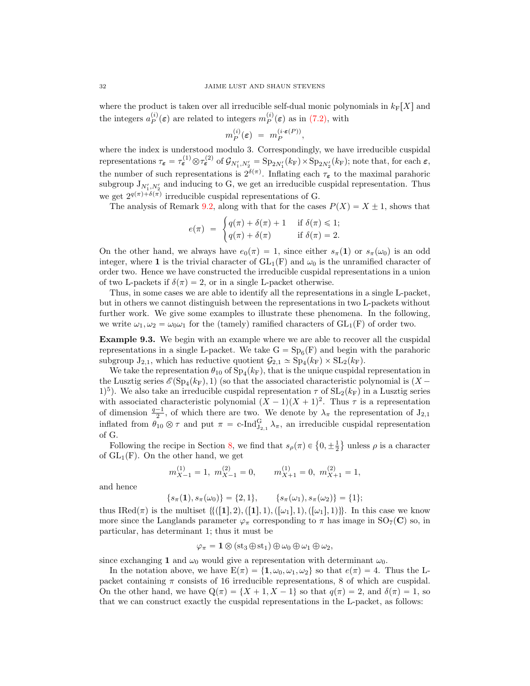where the product is taken over all irreducible self-dual monic polynomials in  $k_F[X]$  and the integers  $a_P^{(i)}(\varepsilon)$  are related to integers  $m_P^{(i)}(\varepsilon)$  as in [\(7.2\),](#page-0-0) with

$$
m_P^{(i)}(\varepsilon) = m_P^{(i \cdot \varepsilon(P))},
$$

where the index is understood modulo 3. Correspondingly, we have irreducible cuspidal representations  $\tau_{\epsilon} = \tau_{\epsilon}^{(1)} \otimes \tau_{\epsilon}^{(2)}$  of  $\mathcal{G}_{N_1', N_2'} = \text{Sp}_{2N_1'}(k_F) \times \text{Sp}_{2N_2'}(k_F)$ ; note that, for each  $\epsilon$ , the number of such representations is  $2^{\delta(\pi)}$ . Inflating each  $\tau_{\epsilon}$  to the maximal parahoric subgroup  $J_{N'_1,N'_2}$  and inducing to G, we get an irreducible cuspidal representation. Thus we get  $2^{q(\pi)+\delta(\pi)}$  irreducible cuspidal representations of G.

The analysis of Remark [9.2,](#page-30-0) along with that for the cases  $P(X) = X + 1$ , shows that

$$
e(\pi) = \begin{cases} q(\pi) + \delta(\pi) + 1 & \text{if } \delta(\pi) \le 1; \\ q(\pi) + \delta(\pi) & \text{if } \delta(\pi) = 2. \end{cases}
$$

On the other hand, we always have  $e_0(\pi) = 1$ , since either  $s_{\pi}(1)$  or  $s_{\pi}(\omega_0)$  is an odd integer, where 1 is the trivial character of  $GL_1(F)$  and  $\omega_0$  is the unramified character of order two. Hence we have constructed the irreducible cuspidal representations in a union of two L-packets if  $\delta(\pi) = 2$ , or in a single L-packet otherwise.

Thus, in some cases we are able to identify all the representations in a single L-packet, but in others we cannot distinguish between the representations in two L-packets without further work. We give some examples to illustrate these phenomena. In the following, we write  $\omega_1, \omega_2 = \omega_0 \omega_1$  for the (tamely) ramified characters of  $GL_1(F)$  of order two.

<span id="page-31-0"></span>Example 9.3. We begin with an example where we are able to recover all the cuspidal representations in a single L-packet. We take  $G = Sp_6(F)$  and begin with the parahoric subgroup  $J_{2,1}$ , which has reductive quotient  $\mathcal{G}_{2,1} \simeq Sp_4(k_F) \times SL_2(k_F)$ .

We take the representation  $\theta_{10}$  of  $Sp_4(k_F)$ , that is the unique cuspidal representation in the Lusztig series  $\mathcal{E}(Sp_4(k_F), 1)$  (so that the associated characteristic polynomial is  $(X -$ 1<sup>5</sup>). We also take an irreducible cuspidal representation  $\tau$  of  $SL_2(k_F)$  in a Lusztig series with associated characteristic polynomial  $(X - 1)(X + 1)^2$ . Thus  $\tau$  is a representation of dimension  $\frac{q-1}{2}$ , of which there are two. We denote by  $\lambda_{\pi}$  the representation of  $J_{2,1}$ inflated from  $\theta_{10} \otimes \tau$  and put  $\pi = c$ -Ind ${}_{J_{2,1}}^G \lambda_{\pi}$ , an irreducible cuspidal representation of G.

G.<br>Following the recipe in Section [8,](#page-25-0) we find that  $s_\rho(\pi) \in \left\{0, \pm \frac{1}{2}\right\}$  unless  $\rho$  is a character of  $GL_1(F)$ . On the other hand, we get

$$
m_{X-1}^{(1)} = 1
$$
,  $m_{X-1}^{(2)} = 0$ ,  $m_{X+1}^{(1)} = 0$ ,  $m_{X+1}^{(2)} = 1$ ,

and hence

 $\{s_{\pi}(1), s_{\pi}(\omega_0)\} = \{2, 1\}, \qquad \{s_{\pi}(\omega_1), s_{\pi}(\omega_2)\} = \{1\};$ 

thus IRed $(\pi)$  is the multiset  $\{([1], 2), ([1], 1), ([\omega_1], 1), ([\omega_1], 1)\}.$  In this case we know more since the Langlands parameter  $\varphi_{\pi}$  corresponding to  $\pi$  has image in  $SO_7(\mathbf{C})$  so, in particular, has determinant 1; thus it must be

$$
\varphi_{\pi} = \mathbf{1} \otimes (\mathop{\mathrm{st}}\nolimits_3 \oplus \mathop{\mathrm{st}}\nolimits_1) \oplus \omega_0 \oplus \omega_1 \oplus \omega_2,
$$

since exchanging 1 and  $\omega_0$  would give a representation with determinant  $\omega_0$ .

In the notation above, we have  $E(\pi) = \{1, \omega_0, \omega_1, \omega_2\}$  so that  $e(\pi) = 4$ . Thus the Lpacket containing  $\pi$  consists of 16 irreducible representations, 8 of which are cuspidal. On the other hand, we have  $Q(\pi) = \{X + 1, X - 1\}$  so that  $q(\pi) = 2$ , and  $\delta(\pi) = 1$ , so that we can construct exactly the cuspidal representations in the L-packet, as follows: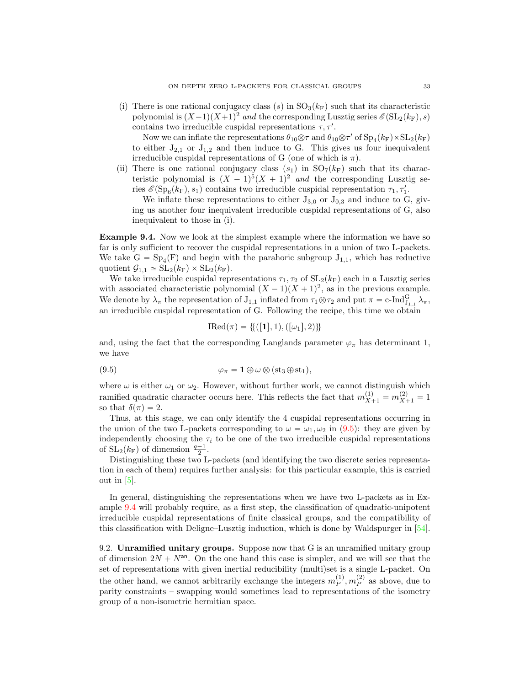(i) There is one rational conjugacy class (s) in  $SO<sub>3</sub>(k<sub>F</sub>)$  such that its characteristic polynomial is  $(X-1)(X+1)^2$  and the corresponding Lusztig series  $\mathscr{E}(\mathrm{SL}_2(k_F), s)$ contains two irreducible cuspidal representations  $\tau$ ,  $\tau'$ .

Now we can inflate the representations  $\theta_{10} \otimes \tau$  and  $\theta_{10} \otimes \tau'$  of  $Sp_4(k_F) \times SL_2(k_F)$ to either  $J_{2,1}$  or  $J_{1,2}$  and then induce to G. This gives us four inequivalent irreducible cuspidal representations of G (one of which is  $\pi$ ).

(ii) There is one rational conjugacy class  $(s_1)$  in  $SO_7(k_F)$  such that its characteristic polynomial is  $(X - 1)^5 (X + 1)^2$  and the corresponding Lusztig series  $\mathcal{E}(Sp_6(k_F), s_1)$  contains two irreducible cuspidal representation  $\tau_1, \tau'_1$ .

We inflate these representations to either  $J_{3,0}$  or  $J_{0,3}$  and induce to G, giving us another four inequivalent irreducible cuspidal representations of G, also inequivalent to those in (i).

<span id="page-32-1"></span>Example 9.4. Now we look at the simplest example where the information we have so far is only sufficient to recover the cuspidal representations in a union of two L-packets. We take  $G = Sp_4(F)$  and begin with the parahoric subgroup  $J_{1,1}$ , which has reductive quotient  $\mathcal{G}_{1,1} \simeq SL_2(k_F) \times SL_2(k_F)$ .

We take irreducible cuspidal representations  $\tau_1, \tau_2$  of  $SL_2(k_F)$  each in a Lusztig series with associated characteristic polynomial  $(X - 1)(X + 1)^2$ , as in the previous example. We denote by  $\lambda_{\pi}$  the representation of  $J_{1,1}$  inflated from  $\tau_1 \otimes \tau_2$  and put  $\pi = c$ -Ind ${}_{J_{1,1}}^G \lambda_{\pi}$ , an irreducible cuspidal representation of G. Following the recipe, this time we obtain

<span id="page-32-0"></span>
$$
IRed(\pi) = \{ \{ ([1], 1), ([\omega_1], 2) \} \}
$$

and, using the fact that the corresponding Langlands parameter  $\varphi_{\pi}$  has determinant 1, we have

(9.5) 
$$
\varphi_{\pi} = \mathbf{1} \oplus \omega \otimes (\mathrm{st}_3 \oplus \mathrm{st}_1),
$$

where  $\omega$  is either  $\omega_1$  or  $\omega_2$ . However, without further work, we cannot distinguish which ramified quadratic character occurs here. This reflects the fact that  $m_{X+1}^{(1)} = m_{X+1}^{(2)} = 1$ so that  $\delta(\pi) = 2$ .

Thus, at this stage, we can only identify the 4 cuspidal representations occurring in the union of the two L-packets corresponding to  $\omega = \omega_1, \omega_2$  in [\(9.5\)](#page-32-0): they are given by independently choosing the  $\tau_i$  to be one of the two irreducible cuspidal representations of  $SL_2(k_F)$  of dimension  $\frac{q-1}{2}$ .

Distinguishing these two L-packets (and identifying the two discrete series representation in each of them) requires further analysis: for this particular example, this is carried out in  $[5]$ .

In general, distinguishing the representations when we have two L-packets as in Example [9.4](#page-32-1) will probably require, as a first step, the classification of quadratic-unipotent irreducible cuspidal representations of finite classical groups, and the compatibility of this classification with Deligne–Lusztig induction, which is done by Waldspurger in [\[54\]](#page-38-12).

9.2. Unramified unitary groups. Suppose now that G is an unramified unitary group of dimension  $2N + N^{an}$ . On the one hand this case is simpler, and we will see that the set of representations with given inertial reducibility (multi)set is a single L-packet. On the other hand, we cannot arbitrarily exchange the integers  $m_P^{(1)}$ ,  $m_P^{(2)}$  as above, due to parity constraints – swapping would sometimes lead to representations of the isometry group of a non-isometric hermitian space.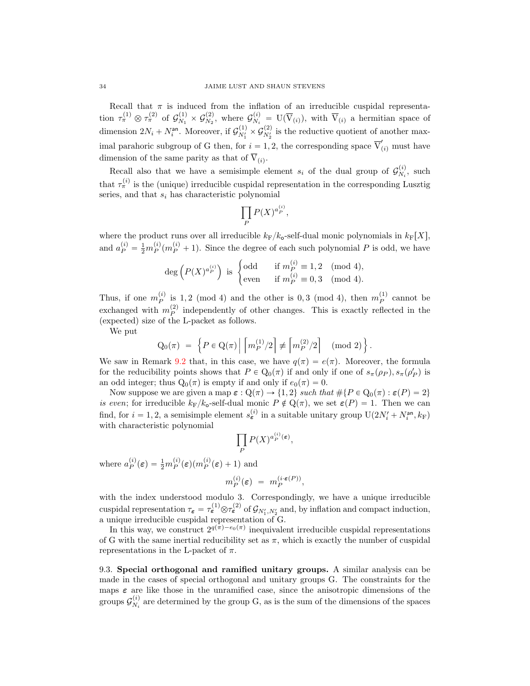Recall that  $\pi$  is induced from the inflation of an irreducible cuspidal representation  $\tau_{\pi}^{(1)} \otimes \tau_{\pi}^{(2)}$  of  $\mathcal{G}_{N_1}^{(1)}$  $\frac{\mathcal{G}(1)}{N_1}\times\mathcal{G}_{N_2}^{(2)}$  $S_{N_2}^{(2)}$ , where  $\mathcal{G}_{N_i}^{(i)}$  $\overline{N}_{N_i}^{\left(i\right)} = \mathbf{U}(\overline{\mathbf{V}}_{(i)})$ , with  $\overline{\mathbf{V}}_{(i)}$  a hermitian space of dimension  $2N_i + N_i^{\text{an}}$ . Moreover, if  $\mathcal{G}_{N'_1}^{(1)} \times \mathcal{G}_{N'_2}^{(2)}$  is the reductive quotient of another maximal parahoric subgroup of G then, for  $i = 1, 2$ , the corresponding space  $\overline{V}'_{(i)}$  must have dimension of the same parity as that of  $V_{(i)}$ .

Recall also that we have a semisimple element  $s_i$  of the dual group of  $\mathcal{G}_{N_i}^{(i)}$  $\chi_i^{(i)}$ , such that  $\tau_{\pi}^{(i)}$  is the (unique) irreducible cuspidal representation in the corresponding Lusztig series, and that  $s_i$  has characteristic polynomial

$$
\prod_P P(X)^{a_P^{(i)}},
$$

where the product runs over all irreducible  $k_F/k_o$ -self-dual monic polynomials in  $k_F[X]$ , and  $a_P^{(i)} = \frac{1}{2} m_P^{(i)}(m_P^{(i)} + 1)$ . Since the degree of each such polynomial P is odd, we have

$$
\deg\left(P(X)^{a_P^{(i)}}\right) \text{ is } \begin{cases} \text{odd} & \text{if } m_P^{(i)} \equiv 1, 2 \pmod{4}, \\ \text{even} & \text{if } m_P^{(i)} \equiv 0, 3 \pmod{4}. \end{cases}
$$

Thus, if one  $m_P^{(i)}$  is 1,2 (mod 4) and the other is 0,3 (mod 4), then  $m_P^{(1)}$  cannot be exchanged with  $m_P^{(2)}$  independently of other changes. This is exactly reflected in the (expected) size of the L-packet as follows.

We put

$$
Q_0(\pi) = \left\{ P \in Q(\pi) \middle| \left\lceil \frac{m_P^{(1)}/2}{P} \right\rceil \neq \left\lceil \frac{m_P^{(2)}/2}{P} \right\rceil \pmod{2} \right\}.
$$

We saw in Remark [9.2](#page-30-0) that, in this case, we have  $q(\pi) = e(\pi)$ . Moreover, the formula for the reducibility points shows that  $P \in Q_0(\pi)$  if and only if one of  $s_{\pi}(\rho_P), s_{\pi}(\rho_P')$  is an odd integer; thus  $Q_0(\pi)$  is empty if and only if  $e_0(\pi) = 0$ .

Now suppose we are given a map  $\varepsilon$  :  $Q(\pi) \to \{1, 2\}$  such that  $\#\{P \in Q_0(\pi) : \varepsilon(P) = 2\}$ is even; for irreducible  $k_F/k_o$ -self-dual monic  $P \notin Q(\pi)$ , we set  $\varepsilon(P) = 1$ . Then we can find, for  $i = 1, 2$ , a semisimple element  $s_{\epsilon}^{(i)}$  in a suitable unitary group  $U(2N'_{i} + N_{i}^{an}, k_{F})$ with characteristic polynomial

$$
\prod_P P(X)^{a_P^{(i)}(\varepsilon)},
$$

where  $a_P^{(i)}(\varepsilon) = \frac{1}{2} m_P^{(i)}(\varepsilon) (m_P^{(i)}(\varepsilon) + 1)$  and

$$
m_P^{(i)}(\varepsilon) = m_P^{(i \cdot \varepsilon(P))},
$$

with the index understood modulo 3. Correspondingly, we have a unique irreducible cuspidal representation  $\tau_{\epsilon} = \tau_{\epsilon}^{(1)} \otimes \tau_{\epsilon}^{(2)}$  of  $\mathcal{G}_{N_1',N_2'}$  and, by inflation and compact induction, a unique irreducible cuspidal representation of G.

In this way, we construct  $2^{q(\pi)-e_0(\pi)}$  inequivalent irreducible cuspidal representations of G with the same inertial reducibility set as  $\pi$ , which is exactly the number of cuspidal representations in the L-packet of  $\pi$ .

9.3. Special orthogonal and ramified unitary groups. A similar analysis can be made in the cases of special orthogonal and unitary groups G. The constraints for the maps  $\varepsilon$  are like those in the unramified case, since the anisotropic dimensions of the groups  $\mathcal{G}_{N_{s}}^{(i)}$  $N_i^{(1)}$  are determined by the group G, as is the sum of the dimensions of the spaces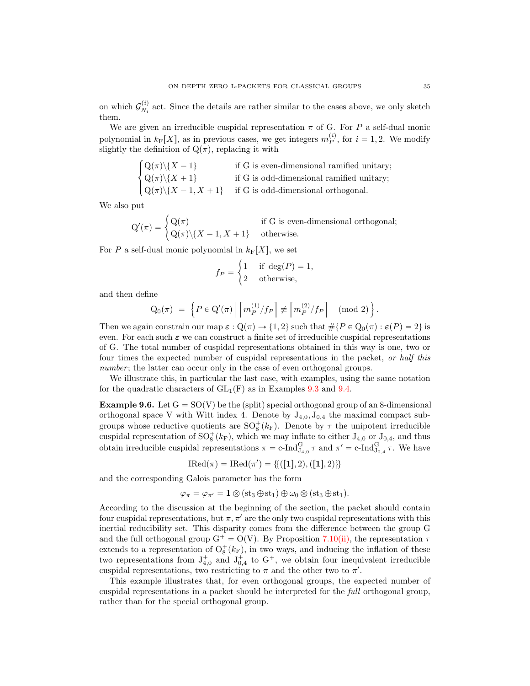on which  $\mathcal{G}_{N_i}^{(i)}$  $N_i^{(1)}$  act. Since the details are rather similar to the cases above, we only sketch them.

We are given an irreducible cuspidal representation  $\pi$  of G. For P a self-dual monic polynomial in  $k_F[X]$ , as in previous cases, we get integers  $m_P^{(i)}$ , for  $i = 1, 2$ . We modify slightly the definition of  $Q(\pi)$ , replacing it with

$$
\begin{cases} Q(\pi)\backslash\{X-1\} & \text{if G is even-dimensional ramified unitary;} \\ Q(\pi)\backslash\{X+1\} & \text{if G is odd-dimensional ramified unitary;} \\ Q(\pi)\backslash\{X-1,X+1\} & \text{if G is odd-dimensional orthogonal.} \end{cases}
$$

We also put

$$
Q'(\pi) = \begin{cases} Q(\pi) & \text{if G is even-dimensional orthogonal;} \\ Q(\pi) \setminus \{X - 1, X + 1\} & \text{otherwise.} \end{cases}
$$

For P a self-dual monic polynomial in  $k_F[X]$ , we set

$$
f_P = \begin{cases} 1 & \text{if } \deg(P) = 1, \\ 2 & \text{otherwise,} \end{cases}
$$

and then define

$$
Q_0(\pi) = \left\{ P \in Q'(\pi) \middle| \left[ m_P^{(1)}/f_P \right] \not\equiv \left[ m_P^{(2)}/f_P \right] \pmod{2} \right\}.
$$

Then we again constrain our map  $\varepsilon$  :  $Q(\pi) \to \{1, 2\}$  such that  $\#\{P \in Q_0(\pi) : \varepsilon(P) = 2\}$  is even. For each such  $\varepsilon$  we can construct a finite set of irreducible cuspidal representations of G. The total number of cuspidal representations obtained in this way is one, two or four times the expected number of cuspidal representations in the packet, or half this number; the latter can occur only in the case of even orthogonal groups.

We illustrate this, in particular the last case, with examples, using the same notation for the quadratic characters of  $GL_1(F)$  as in Examples [9.3](#page-31-0) and [9.4.](#page-32-1)

<span id="page-34-0"></span>**Example 9.6.** Let  $G = SO(V)$  be the (split) special orthogonal group of an 8-dimensional orthogonal space V with Witt index 4. Denote by  $J_{4,0}, J_{0,4}$  the maximal compact subgroups whose reductive quotients are  $\mathrm{SO}_8^+(k_F)$ . Denote by  $\tau$  the unipotent irreducible cuspidal representation of  $SO_8^+(k_F)$ , which we may inflate to either  $J_{4,0}$  or  $J_{0,4}$ , and thus obtain irreducible cuspidal representations  $\pi = c$ -Ind $_{J_{4,0}}^G \tau$  and  $\pi' = c$ -Ind $_{J_{0,4}}^G \tau$ . We have

$$
IRed(\pi) = IRed(\pi') = \{ \{ ([1], 2), ([1], 2) \} \}
$$

and the corresponding Galois parameter has the form

$$
\varphi_{\pi} = \varphi_{\pi'} = \mathbf{1} \otimes (\mathrm{st}_3 \oplus \mathrm{st}_1) \oplus \omega_0 \otimes (\mathrm{st}_3 \oplus \mathrm{st}_1).
$$

According to the discussion at the beginning of the section, the packet should contain four cuspidal representations, but  $\pi, \pi'$  are the only two cuspidal representations with this inertial reducibility set. This disparity comes from the difference between the group G and the full orthogonal group  $G^+ = O(V)$ . By Proposition [7.10](#page-22-0)[\(ii\),](#page-22-2) the representation  $\tau$ extends to a representation of  $O^+_8(k_F)$ , in two ways, and inducing the inflation of these two representations from  $J_{4,0}^+$  and  $J_{0,4}^+$  to  $G^+$ , we obtain four inequivalent irreducible cuspidal representations, two restricting to  $\pi$  and the other two to  $\pi'$ .

This example illustrates that, for even orthogonal groups, the expected number of cuspidal representations in a packet should be interpreted for the full orthogonal group, rather than for the special orthogonal group.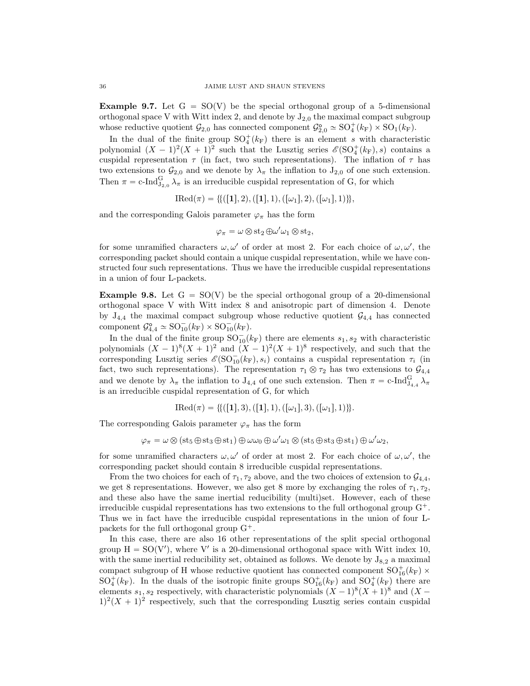Example 9.7. Let  $G = SO(V)$  be the special orthogonal group of a 5-dimensional orthogonal space V with Witt index 2, and denote by  $J_{2,0}$  the maximal compact subgroup whose reductive quotient  $\mathcal{G}_{2,0}$  has connected component  $\mathcal{G}_{2,0}^{\circ} \simeq SO_{4}^{+}(k_{F}) \times SO_{1}(k_{F})$ .

In the dual of the finite group  $SO_4^+(k_F)$  there is an element s with characteristic polynomial  $(X - 1)^2(X + 1)^2$  such that the Lusztig series  $\mathscr{E}(\mathrm{SO}_4^+(k_F), s)$  contains a cuspidal representation  $\tau$  (in fact, two such representations). The inflation of  $\tau$  has two extensions to  $\mathcal{G}_{2,0}$  and we denote by  $\lambda_{\pi}$  the inflation to  $J_{2,0}$  of one such extension. Then  $\pi = \text{c-Ind}_{J_{2,0}}^G \lambda_{\pi}$  is an irreducible cuspidal representation of G, for which

$$
IRed(\pi) = \{ (1, 2), (1, 1), ([\omega_1], 2), ([\omega_1], 1) \},
$$

and the corresponding Galois parameter  $\varphi_{\pi}$  has the form

$$
\varphi_{\pi} = \omega \otimes st_2 \oplus \omega' \omega_1 \otimes st_2,
$$

for some unramified characters  $\omega, \omega'$  of order at most 2. For each choice of  $\omega, \omega'$ , the corresponding packet should contain a unique cuspidal representation, while we have constructed four such representations. Thus we have the irreducible cuspidal representations in a union of four L-packets.

<span id="page-35-0"></span>**Example 9.8.** Let  $G = SO(V)$  be the special orthogonal group of a 20-dimensional orthogonal space V with Witt index 8 and anisotropic part of dimension 4. Denote by  $J_{4,4}$  the maximal compact subgroup whose reductive quotient  $\mathcal{G}_{4,4}$  has connected component  $\mathcal{G}_{4,4}^{\circ} \simeq SO_{10}^{-}(k_{\text{F}}) \times SO_{10}^{-}(k_{\text{F}})$ .

In the dual of the finite group  $\mathrm{SO}_{10}^-(k_F)$  there are elements  $s_1, s_2$  with characteristic polynomials  $(X - 1)^8 (X + 1)^2$  and  $(X - 1)^2 (X + 1)^8$  respectively, and such that the corresponding Lusztig series  $\mathscr{E}(\mathrm{SO}^-_{10}(k_F), s_i)$  contains a cuspidal representation  $\tau_i$  (in fact, two such representations). The representation  $\tau_1 \otimes \tau_2$  has two extensions to  $\mathcal{G}_{4,4}$ and we denote by  $\lambda_{\pi}$  the inflation to  $J_{4,4}$  of one such extension. Then  $\pi = c$ -Ind ${}_{J_{4,4}}^G$   $\lambda_{\pi}$ is an irreducible cuspidal representation of G, for which

$$
\text{IRed}(\pi) = \{\{([1],3),([1],1),([\omega_1],3),([\omega_1],1)\}\}.
$$

The corresponding Galois parameter  $\varphi_{\pi}$  has the form

 $\varphi_{\pi} = \omega \otimes (\mathop{\rm st}\nolimits_5 \oplus \mathop{\rm st}\nolimits_3 \oplus \mathop{\rm st}\nolimits_1) \oplus \omega \omega_0 \oplus \omega' \omega_1 \otimes (\mathop{\rm st}\nolimits_5 \oplus \mathop{\rm st}\nolimits_3 \oplus \mathop{\rm st}\nolimits_1) \oplus \omega' \omega_2,$ 

for some unramified characters  $\omega, \omega'$  of order at most 2. For each choice of  $\omega, \omega'$ , the corresponding packet should contain 8 irreducible cuspidal representations.

From the two choices for each of  $\tau_1, \tau_2$  above, and the two choices of extension to  $\mathcal{G}_{4,4}$ , we get 8 representations. However, we also get 8 more by exchanging the roles of  $\tau_1, \tau_2$ , and these also have the same inertial reducibility (multi)set. However, each of these irreducible cuspidal representations has two extensions to the full orthogonal group  $G^+$ . Thus we in fact have the irreducible cuspidal representations in the union of four Lpackets for the full orthogonal group  $G^+$ .

In this case, there are also 16 other representations of the split special orthogonal group  $H = SO(V')$ , where V' is a 20-dimensional orthogonal space with Witt index 10, with the same inertial reducibility set, obtained as follows. We denote by  $J_{8,2}$  a maximal compact subgroup of H whose reductive quotient has connected component  $\mathrm{SO}^+_{16}(k_{\mathrm{F}})$   $\times$  $SO_4^+(k_F)$ . In the duals of the isotropic finite groups  $SO_{16}^+(k_F)$  and  $SO_4^+(k_F)$  there are elements  $s_1, s_2$  respectively, with characteristic polynomials  $(X - 1)^8 (X + 1)^8$  and  $(X 1^2(X + 1)^2$  respectively, such that the corresponding Lusztig series contain cuspidal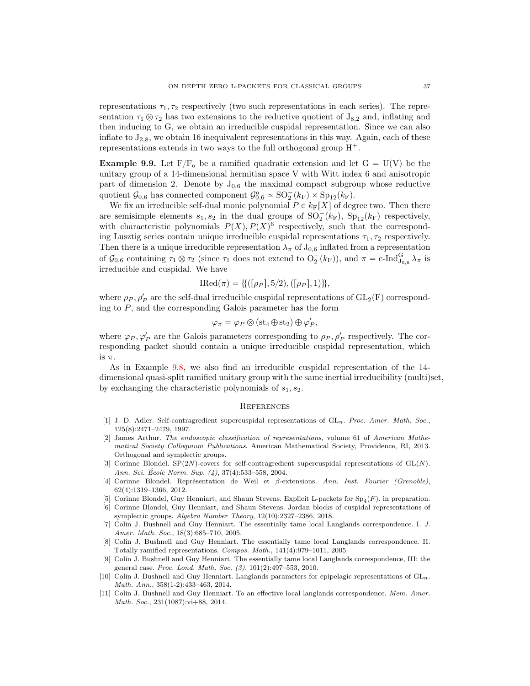representations  $\tau_1, \tau_2$  respectively (two such representations in each series). The representation  $\tau_1 \otimes \tau_2$  has two extensions to the reductive quotient of  $J_{8,2}$  and, inflating and then inducing to G, we obtain an irreducible cuspidal representation. Since we can also inflate to  $J_{2,8}$ , we obtain 16 inequivalent representations in this way. Again, each of these representations extends in two ways to the full orthogonal group  $H^+$ .

**Example 9.9.** Let  $F/F_{o}$  be a ramified quadratic extension and let  $G = U(V)$  be the unitary group of a 14-dimensional hermitian space V with Witt index 6 and anisotropic part of dimension 2. Denote by  $J_{0,6}$  the maximal compact subgroup whose reductive quotient  $\mathcal{G}_{0,6}$  has connected component  $\mathcal{G}_{0,6}^{\circ} \simeq SO_2^-(k_F) \times Sp_{12}(k_F)$ .

We fix an irreducible self-dual monic polynomial  $P \in k_{\text{F}}[X]$  of degree two. Then there are semisimple elements  $s_1, s_2$  in the dual groups of  $SO_2^-(k_F)$ ,  $Sp_{12}(k_F)$  respectively, with characteristic polynomials  $P(X)$ ,  $P(X)^6$  respectively, such that the corresponding Lusztig series contain unique irreducible cuspidal representations  $\tau_1, \tau_2$  respectively. Then there is a unique irreducible representation  $\lambda_{\pi}$  of  $J_{0,6}$  inflated from a representation of  $\mathcal{G}_{0,6}$  containing  $\tau_1 \otimes \tau_2$  (since  $\tau_1$  does not extend to  $O_2^-(k_F)$ ), and  $\pi = c$ -Ind $_{J_{0,6}}^G \lambda_{\pi}$  is irreducible and cuspidal. We have

$$
IRed(\pi) = \{ ((\rho_P], 5/2), ([\rho_P], 1) \},
$$

where  $\rho_P$ ,  $\rho'_P$  are the self-dual irreducible cuspidal representations of  $GL_2(F)$  corresponding to  $P$ , and the corresponding Galois parameter has the form

$$
\varphi_{\pi} = \varphi_P \otimes (\mathrm{st}_4 \oplus \mathrm{st}_2) \oplus \varphi'_P,
$$

where  $\varphi_P, \varphi_P'$  are the Galois parameters corresponding to  $\rho_P, \rho_P'$  respectively. The corresponding packet should contain a unique irreducible cuspidal representation, which is  $\pi$ .

As in Example [9.8,](#page-35-0) we also find an irreducible cuspidal representation of the 14 dimensional quasi-split ramified unitary group with the same inertial irreducibility (multi)set, by exchanging the characteristic polynomials of  $s_1, s_2$ .

### References

- <span id="page-36-9"></span>[1] J. D. Adler. Self-contragredient supercuspidal representations of  $GL_n$ . Proc. Amer. Math. Soc., 125(8):2471–2479, 1997.
- <span id="page-36-0"></span>[2] James Arthur. The endoscopic classification of representations, volume 61 of American Mathematical Society Colloquium Publications. American Mathematical Society, Providence, RI, 2013. Orthogonal and symplectic groups.
- <span id="page-36-7"></span>[3] Corinne Blondel. SP(2N)-covers for self-contragredient supercuspidal representations of  $GL(N)$ . Ann. Sci. École Norm. Sup.  $(4)$ , 37 $(4)$ :533–558, 2004.
- <span id="page-36-8"></span>[4] Corinne Blondel. Représentation de Weil et β-extensions. Ann. Inst. Fourier (Grenoble), 62(4):1319–1366, 2012.
- <span id="page-36-10"></span>[5] Corinne Blondel, Guy Henniart, and Shaun Stevens. Explicit L-packets for  $Sp_4(F)$ . in preparation.
- <span id="page-36-6"></span>[6] Corinne Blondel, Guy Henniart, and Shaun Stevens. Jordan blocks of cuspidal representations of symplectic groups. Algebra Number Theory, 12(10):2327–2386, 2018.
- <span id="page-36-1"></span>[7] Colin J. Bushnell and Guy Henniart. The essentially tame local Langlands correspondence. I. J. Amer. Math. Soc., 18(3):685–710, 2005.
- <span id="page-36-2"></span>[8] Colin J. Bushnell and Guy Henniart. The essentially tame local Langlands correspondence. II. Totally ramified representations. Compos. Math., 141(4):979–1011, 2005.
- <span id="page-36-3"></span>[9] Colin J. Bushnell and Guy Henniart. The essentially tame local Langlands correspondence, III: the general case. Proc. Lond. Math. Soc. (3), 101(2):497–553, 2010.
- <span id="page-36-5"></span>[10] Colin J. Bushnell and Guy Henniart. Langlands parameters for epipelagic representations of  $GL_n$ . Math. Ann., 358(1-2):433–463, 2014.
- <span id="page-36-4"></span>[11] Colin J. Bushnell and Guy Henniart. To an effective local langlands correspondence. Mem. Amer. Math. Soc., 231(1087):vi+88, 2014.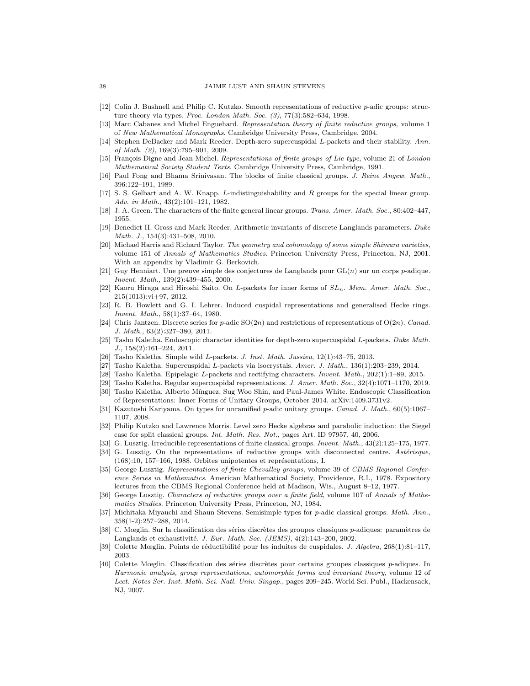- <span id="page-37-15"></span>[12] Colin J. Bushnell and Philip C. Kutzko. Smooth representations of reductive p-adic groups: structure theory via types. Proc. London Math. Soc. (3), 77(3):582–634, 1998.
- <span id="page-37-26"></span>[13] Marc Cabanes and Michel Enguehard. Representation theory of finite reductive groups, volume 1 of New Mathematical Monographs. Cambridge University Press, Cambridge, 2004.
- <span id="page-37-5"></span>[14] Stephen DeBacker and Mark Reeder. Depth-zero supercuspidal L-packets and their stability. Ann. of Math. (2), 169(3):795–901, 2009.
- <span id="page-37-27"></span>[15] François Digne and Jean Michel. Representations of finite groups of Lie type, volume 21 of London Mathematical Society Student Texts. Cambridge University Press, Cambridge, 1991.
- <span id="page-37-28"></span>[16] Paul Fong and Bhama Srinivasan. The blocks of finite classical groups. J. Reine Angew. Math., 396:122–191, 1989.
- <span id="page-37-2"></span>[17] S. S. Gelbart and A. W. Knapp. L-indistinguishability and R groups for the special linear group. Adv. in Math., 43(2):101–121, 1982.
- <span id="page-37-19"></span>[18] J. A. Green. The characters of the finite general linear groups. Trans. Amer. Math. Soc., 80:402-447, 1955.
- <span id="page-37-8"></span>[19] Benedict H. Gross and Mark Reeder. Arithmetic invariants of discrete Langlands parameters. Duke Math. J., 154(3):431–508, 2010.
- <span id="page-37-0"></span>[20] Michael Harris and Richard Taylor. The geometry and cohomology of some simple Shimura varieties, volume 151 of Annals of Mathematics Studies. Princeton University Press, Princeton, NJ, 2001. With an appendix by Vladimir G. Berkovich.
- <span id="page-37-1"></span>[21] Guy Henniart. Une preuve simple des conjectures de Langlands pour  $GL(n)$  sur un corps p-adique. Invent. Math., 139(2):439–455, 2000.
- <span id="page-37-3"></span>[22] Kaoru Hiraga and Hiroshi Saito. On L-packets for inner forms of  $SL_n$ . Mem. Amer. Math. Soc., 215(1013):vi+97, 2012.
- <span id="page-37-17"></span>[23] R. B. Howlett and G. I. Lehrer. Induced cuspidal representations and generalised Hecke rings. Invent. Math., 58(1):37–64, 1980.
- <span id="page-37-23"></span>[24] Chris Jantzen. Discrete series for p-adic  $SO(2n)$  and restrictions of representations of  $O(2n)$ . Canad. J. Math., 63(2):327–380, 2011.
- <span id="page-37-6"></span>[25] Tasho Kaletha. Endoscopic character identities for depth-zero supercuspidal L-packets. Duke Math. J., 158(2):161–224, 2011.
- <span id="page-37-9"></span>[26] Tasho Kaletha. Simple wild L-packets. J. Inst. Math. Jussieu, 12(1):43–75, 2013.
- <span id="page-37-7"></span>[27] Tasho Kaletha. Supercuspidal L-packets via isocrystals. Amer. J. Math., 136(1):203–239, 2014.
- <span id="page-37-10"></span>[28] Tasho Kaletha. Epipelagic L-packets and rectifying characters. Invent. Math., 202(1):1–89, 2015.
- <span id="page-37-11"></span>[29] Tasho Kaletha. Regular supercuspidal representations. J. Amer. Math. Soc., 32(4):1071–1170, 2019.
- <span id="page-37-4"></span>[30] Tasho Kaletha, Alberto Mínguez, Sug Woo Shin, and Paul-James White. Endoscopic Classification of Representations: Inner Forms of Unitary Groups, October 2014. arXiv:1409.3731v2.
- <span id="page-37-20"></span>[31] Kazutoshi Kariyama. On types for unramified p-adic unitary groups. Canad. J. Math., 60(5):1067– 1107, 2008.
- <span id="page-37-25"></span>[32] Philip Kutzko and Lawrence Morris. Level zero Hecke algebras and parabolic induction: the Siegel case for split classical groups. Int. Math. Res. Not., pages Art. ID 97957, 40, 2006.
- <span id="page-37-21"></span>[33] G. Lusztig. Irreducible representations of finite classical groups. Invent. Math., 43(2):125–175, 1977.
- <span id="page-37-22"></span>[34] G. Lusztig. On the representations of reductive groups with disconnected centre. Astérisque,  $(168):10, 157-166, 1988.$  Orbites unipotentes et représentations, I.
- <span id="page-37-18"></span>[35] George Lusztig. Representations of finite Chevalley groups, volume 39 of CBMS Regional Conference Series in Mathematics. American Mathematical Society, Providence, R.I., 1978. Expository lectures from the CBMS Regional Conference held at Madison, Wis., August 8–12, 1977.
- <span id="page-37-24"></span>[36] George Lusztig. Characters of reductive groups over a finite field, volume 107 of Annals of Mathematics Studies. Princeton University Press, Princeton, NJ, 1984.
- <span id="page-37-16"></span>[37] Michitaka Miyauchi and Shaun Stevens. Semisimple types for p-adic classical groups. Math. Ann., 358(1-2):257–288, 2014.
- <span id="page-37-12"></span>[38] C. Mœglin. Sur la classification des séries discrètes des groupes classiques  $p$ -adiques: paramètres de Langlands et exhaustivité. J. Eur. Math. Soc. (JEMS), 4(2):143-200, 2002.
- <span id="page-37-14"></span>[39] Colette Mœglin. Points de réductibilité pour les induites de cuspidales. J. Algebra, 268(1):81–117, 2003.
- <span id="page-37-13"></span>[40] Colette Mœglin. Classification des séries discrètes pour certains groupes classiques p-adiques. In Harmonic analysis, group representations, automorphic forms and invariant theory, volume 12 of Lect. Notes Ser. Inst. Math. Sci. Natl. Univ. Singap., pages 209–245. World Sci. Publ., Hackensack, NJ, 2007.